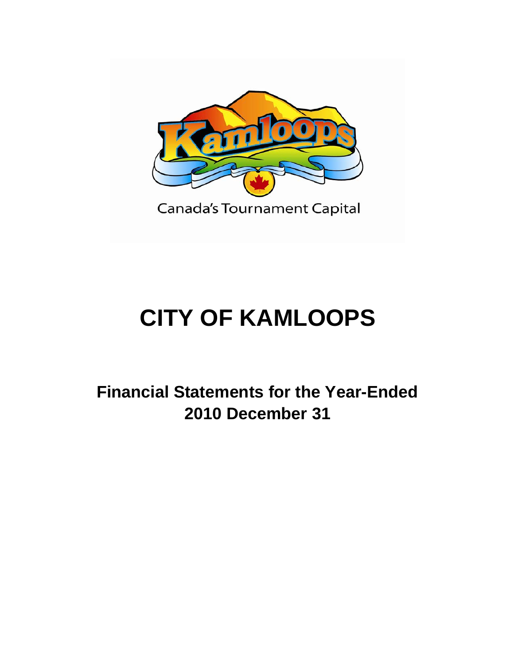

# **CITY OF KAMLOOPS**

**Financial Statements for the Year-Ended 2010 December 31**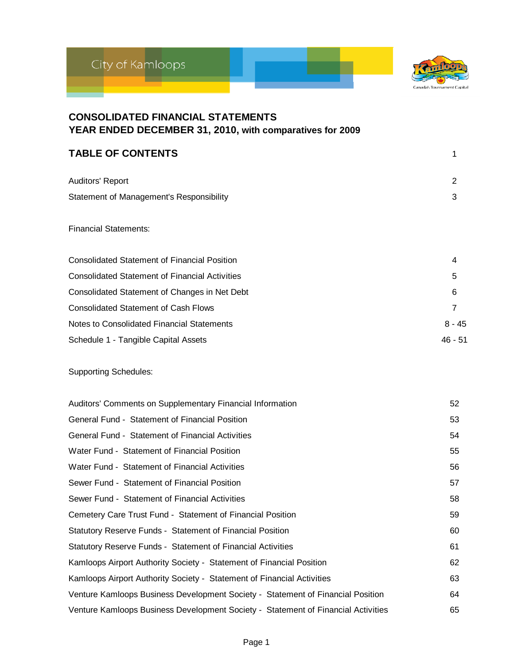



| <b>CONSOLIDATED FINANCIAL STATEMENTS</b><br>YEAR ENDED DECEMBER 31, 2010, with comparatives for 2009 |                |
|------------------------------------------------------------------------------------------------------|----------------|
| <b>TABLE OF CONTENTS</b>                                                                             | 1              |
| Auditors' Report                                                                                     | 2              |
| <b>Statement of Management's Responsibility</b>                                                      | 3              |
| <b>Financial Statements:</b>                                                                         |                |
| <b>Consolidated Statement of Financial Position</b>                                                  | 4              |
| <b>Consolidated Statement of Financial Activities</b>                                                | 5              |
| Consolidated Statement of Changes in Net Debt                                                        | 6              |
| <b>Consolidated Statement of Cash Flows</b>                                                          | $\overline{7}$ |
| Notes to Consolidated Financial Statements                                                           | $8 - 45$       |
| Schedule 1 - Tangible Capital Assets                                                                 | $46 - 51$      |
| <b>Supporting Schedules:</b>                                                                         |                |
| Auditors' Comments on Supplementary Financial Information                                            | 52             |
| General Fund - Statement of Financial Position                                                       | 53             |
| General Fund - Statement of Financial Activities                                                     | 54             |
| Water Fund - Statement of Financial Position                                                         | 55             |
| Water Fund - Statement of Financial Activities                                                       | 56             |
| Sewer Fund - Statement of Financial Position                                                         | 57             |
| Sewer Fund - Statement of Financial Activities                                                       | 58             |
| Cemetery Care Trust Fund - Statement of Financial Position                                           | 59             |
| Statutory Reserve Funds - Statement of Financial Position                                            | 60             |
| Statutory Reserve Funds - Statement of Financial Activities                                          | 61             |
| Kamloops Airport Authority Society - Statement of Financial Position                                 | 62             |
| Kamloops Airport Authority Society - Statement of Financial Activities                               | 63             |
| Venture Kamloops Business Development Society - Statement of Financial Position                      | 64             |
| Venture Kamloops Business Development Society - Statement of Financial Activities                    | 65             |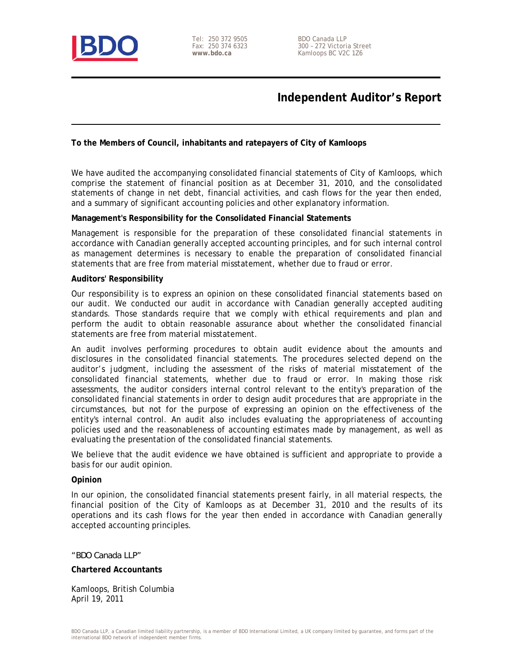

Tel: 250 372 9505 Fax: 250 374 6323 **www.bdo.ca** 

### **Independent Auditor's Report**

#### **To the Members of Council, inhabitants and ratepayers of City of Kamloops**

We have audited the accompanying consolidated financial statements of City of Kamloops, which comprise the statement of financial position as at December 31, 2010, and the consolidated statements of change in net debt, financial activities, and cash flows for the year then ended, and a summary of significant accounting policies and other explanatory information.

#### **Management's Responsibility for the Consolidated Financial Statements**

Management is responsible for the preparation of these consolidated financial statements in accordance with Canadian generally accepted accounting principles, and for such internal control as management determines is necessary to enable the preparation of consolidated financial statements that are free from material misstatement, whether due to fraud or error.

#### **Auditors' Responsibility**

Our responsibility is to express an opinion on these consolidated financial statements based on our audit. We conducted our audit in accordance with Canadian generally accepted auditing standards. Those standards require that we comply with ethical requirements and plan and perform the audit to obtain reasonable assurance about whether the consolidated financial statements are free from material misstatement.

An audit involves performing procedures to obtain audit evidence about the amounts and disclosures in the consolidated financial statements. The procedures selected depend on the auditor's judgment, including the assessment of the risks of material misstatement of the consolidated financial statements, whether due to fraud or error. In making those risk assessments, the auditor considers internal control relevant to the entity's preparation of the consolidated financial statements in order to design audit procedures that are appropriate in the circumstances, but not for the purpose of expressing an opinion on the effectiveness of the entity's internal control. An audit also includes evaluating the appropriateness of accounting policies used and the reasonableness of accounting estimates made by management, as well as evaluating the presentation of the consolidated financial statements.

We believe that the audit evidence we have obtained is sufficient and appropriate to provide a basis for our audit opinion.

#### **Opinion**

In our opinion, the consolidated financial statements present fairly, in all material respects, the financial position of the City of Kamloops as at December 31, 2010 and the results of its operations and its cash flows for the year then ended in accordance with Canadian generally accepted accounting principles.

*"BDO Canada LLP"* 

**Chartered Accountants** 

Kamloops, British Columbia April 19, 2011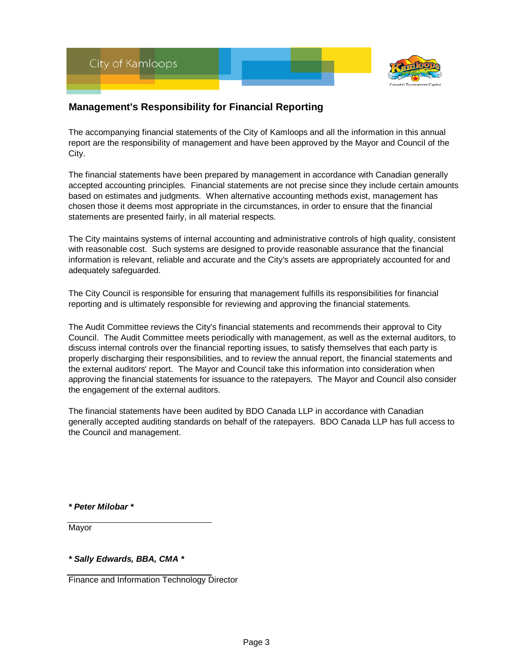

### **Management's Responsibility for Financial Reporting**

The accompanying financial statements of the City of Kamloops and all the information in this annual report are the responsibility of management and have been approved by the Mayor and Council of the City.

The financial statements have been prepared by management in accordance with Canadian generally accepted accounting principles. Financial statements are not precise since they include certain amounts based on estimates and judgments. When alternative accounting methods exist, management has chosen those it deems most appropriate in the circumstances, in order to ensure that the financial statements are presented fairly, in all material respects.

The City maintains systems of internal accounting and administrative controls of high quality, consistent with reasonable cost. Such systems are designed to provide reasonable assurance that the financial information is relevant, reliable and accurate and the City's assets are appropriately accounted for and adequately safeguarded.

The City Council is responsible for ensuring that management fulfills its responsibilities for financial reporting and is ultimately responsible for reviewing and approving the financial statements.

The Audit Committee reviews the City's financial statements and recommends their approval to City Council. The Audit Committee meets periodically with management, as well as the external auditors, to discuss internal controls over the financial reporting issues, to satisfy themselves that each party is properly discharging their responsibilities, and to review the annual report, the financial statements and the external auditors' report. The Mayor and Council take this information into consideration when approving the financial statements for issuance to the ratepayers. The Mayor and Council also consider the engagement of the external auditors.

The financial statements have been audited by BDO Canada LLP in accordance with Canadian generally accepted auditing standards on behalf of the ratepayers. BDO Canada LLP has full access to the Council and management.

*\* Peter Milobar \**

Mayor

*\* Sally Edwards, BBA, CMA \**

Finance and Information Technology Director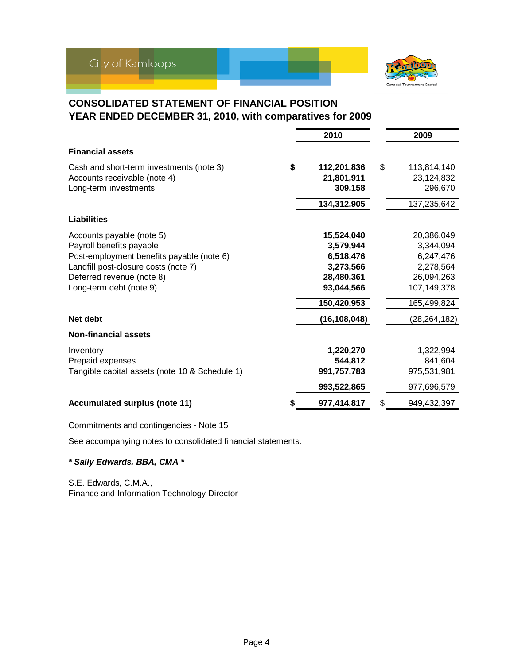

### **CONSOLIDATED STATEMENT OF FINANCIAL POSITION YEAR ENDED DECEMBER 31, 2010, with comparatives for 2009**

|                                                | 2010              | 2009              |
|------------------------------------------------|-------------------|-------------------|
| <b>Financial assets</b>                        |                   |                   |
| Cash and short-term investments (note 3)       | \$<br>112,201,836 | \$<br>113,814,140 |
| Accounts receivable (note 4)                   | 21,801,911        | 23,124,832        |
| Long-term investments                          | 309,158           | 296,670           |
|                                                | 134,312,905       | 137,235,642       |
| <b>Liabilities</b>                             |                   |                   |
| Accounts payable (note 5)                      | 15,524,040        | 20,386,049        |
| Payroll benefits payable                       | 3,579,944         | 3,344,094         |
| Post-employment benefits payable (note 6)      | 6,518,476         | 6,247,476         |
| Landfill post-closure costs (note 7)           | 3,273,566         | 2,278,564         |
| Deferred revenue (note 8)                      | 28,480,361        | 26,094,263        |
| Long-term debt (note 9)                        | 93,044,566        | 107,149,378       |
|                                                | 150,420,953       | 165,499,824       |
| Net debt                                       | (16,108,048)      | (28, 264, 182)    |
| <b>Non-financial assets</b>                    |                   |                   |
| Inventory                                      | 1,220,270         | 1,322,994         |
| Prepaid expenses                               | 544,812           | 841,604           |
| Tangible capital assets (note 10 & Schedule 1) | 991,757,783       | 975,531,981       |
|                                                | 993,522,865       | 977,696,579       |
| <b>Accumulated surplus (note 11)</b>           | 977,414,817       | \$<br>949,432,397 |

Commitments and contingencies - Note 15

See accompanying notes to consolidated financial statements.

*\* Sally Edwards, BBA, CMA \**

S.E. Edwards, C.M.A., Finance and Information Technology Director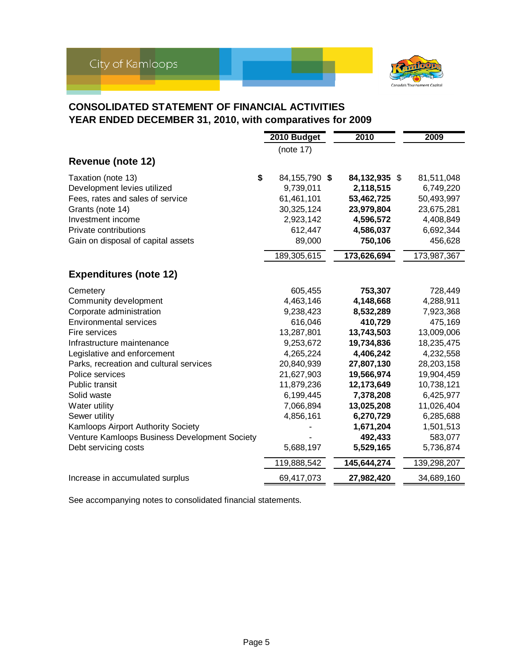

### **CONSOLIDATED STATEMENT OF FINANCIAL ACTIVITIES YEAR ENDED DECEMBER 31, 2010, with comparatives for 2009**

|                                               | 2010 Budget     | 2010          | 2009        |
|-----------------------------------------------|-----------------|---------------|-------------|
|                                               | (note 17)       |               |             |
| <b>Revenue (note 12)</b>                      |                 |               |             |
| \$<br>Taxation (note 13)                      | 84, 155, 790 \$ | 84,132,935 \$ | 81,511,048  |
| Development levies utilized                   | 9,739,011       | 2,118,515     | 6,749,220   |
| Fees, rates and sales of service              | 61,461,101      | 53,462,725    | 50,493,997  |
| Grants (note 14)                              | 30,325,124      | 23,979,804    | 23,675,281  |
| Investment income                             | 2,923,142       | 4,596,572     | 4,408,849   |
| Private contributions                         | 612,447         | 4,586,037     | 6,692,344   |
| Gain on disposal of capital assets            | 89,000          | 750,106       | 456,628     |
|                                               | 189,305,615     | 173,626,694   | 173,987,367 |
| <b>Expenditures (note 12)</b>                 |                 |               |             |
|                                               |                 |               |             |
| Cemetery                                      | 605,455         | 753,307       | 728,449     |
| Community development                         | 4,463,146       | 4,148,668     | 4,288,911   |
| Corporate administration                      | 9,238,423       | 8,532,289     | 7,923,368   |
| <b>Environmental services</b>                 | 616,046         | 410,729       | 475,169     |
| Fire services                                 | 13,287,801      | 13,743,503    | 13,009,006  |
| Infrastructure maintenance                    | 9,253,672       | 19,734,836    | 18,235,475  |
| Legislative and enforcement                   | 4,265,224       | 4,406,242     | 4,232,558   |
| Parks, recreation and cultural services       | 20,840,939      | 27,807,130    | 28,203,158  |
| Police services                               | 21,627,903      | 19,566,974    | 19,904,459  |
| Public transit                                | 11,879,236      | 12,173,649    | 10,738,121  |
| Solid waste                                   | 6,199,445       | 7,378,208     | 6,425,977   |
| Water utility                                 | 7,066,894       | 13,025,208    | 11,026,404  |
| Sewer utility                                 | 4,856,161       | 6,270,729     | 6,285,688   |
| Kamloops Airport Authority Society            |                 | 1,671,204     | 1,501,513   |
| Venture Kamloops Business Development Society |                 | 492,433       | 583,077     |
| Debt servicing costs                          | 5,688,197       | 5,529,165     | 5,736,874   |
|                                               | 119,888,542     | 145,644,274   | 139,298,207 |
| Increase in accumulated surplus               | 69,417,073      | 27,982,420    | 34,689,160  |

See accompanying notes to consolidated financial statements.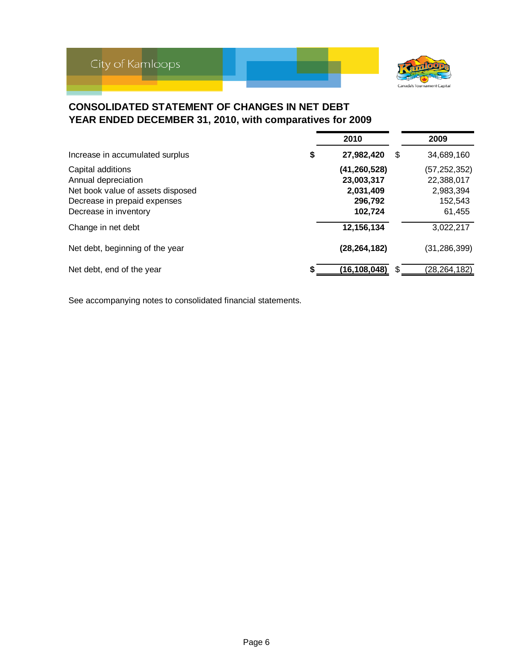

### **CONSOLIDATED STATEMENT OF CHANGES IN NET DEBT YEAR ENDED DECEMBER 31, 2010, with comparatives for 2009**

|                                                                                                                                        | 2010                                                          |    | 2009                                                           |
|----------------------------------------------------------------------------------------------------------------------------------------|---------------------------------------------------------------|----|----------------------------------------------------------------|
| Increase in accumulated surplus                                                                                                        | \$<br>27,982,420                                              | \$ | 34,689,160                                                     |
| Capital additions<br>Annual depreciation<br>Net book value of assets disposed<br>Decrease in prepaid expenses<br>Decrease in inventory | (41,260,528)<br>23,003,317<br>2,031,409<br>296,792<br>102,724 |    | (57, 252, 352)<br>22,388,017<br>2,983,394<br>152,543<br>61,455 |
| Change in net debt                                                                                                                     | 12,156,134                                                    |    | 3,022,217                                                      |
| Net debt, beginning of the year                                                                                                        | (28, 264, 182)                                                |    | (31, 286, 399)                                                 |
| Net debt, end of the year                                                                                                              | (16,108,048)                                                  | S  | (28, 264, 182)                                                 |

See accompanying notes to consolidated financial statements.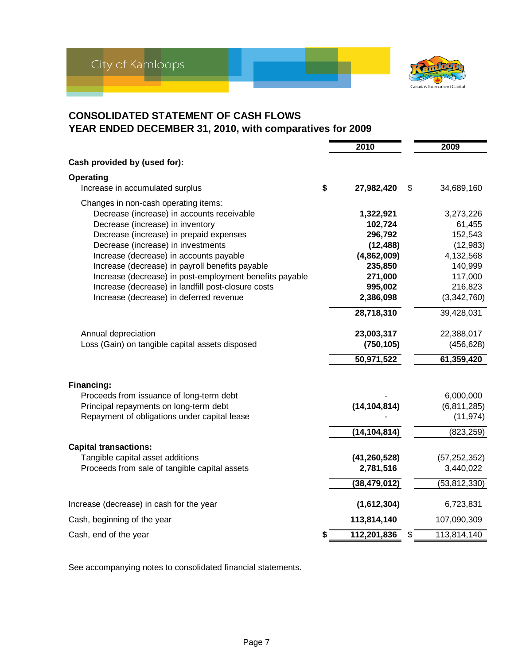

### **CONSOLIDATED STATEMENT OF CASH FLOWS YEAR ENDED DECEMBER 31, 2010, with comparatives for 2009**

|                                                         | 2010                    | 2009           |
|---------------------------------------------------------|-------------------------|----------------|
| Cash provided by (used for):                            |                         |                |
| Operating                                               |                         |                |
| Increase in accumulated surplus                         | \$<br>27,982,420<br>\$  | 34,689,160     |
| Changes in non-cash operating items:                    |                         |                |
| Decrease (increase) in accounts receivable              | 1,322,921               | 3,273,226      |
| Decrease (increase) in inventory                        | 102,724                 | 61,455         |
| Decrease (increase) in prepaid expenses                 | 296,792                 | 152,543        |
| Decrease (increase) in investments                      | (12, 488)               | (12, 983)      |
| Increase (decrease) in accounts payable                 | (4,862,009)             | 4,132,568      |
| Increase (decrease) in payroll benefits payable         | 235,850                 | 140,999        |
| Increase (decrease) in post-employment benefits payable | 271,000                 | 117,000        |
| Increase (decrease) in landfill post-closure costs      | 995,002                 | 216,823        |
| Increase (decrease) in deferred revenue                 | 2,386,098               | (3,342,760)    |
|                                                         | 28,718,310              | 39,428,031     |
| Annual depreciation                                     | 23,003,317              | 22,388,017     |
| Loss (Gain) on tangible capital assets disposed         | (750, 105)              | (456, 628)     |
|                                                         | 50,971,522              | 61,359,420     |
| Financing:                                              |                         |                |
| Proceeds from issuance of long-term debt                |                         | 6,000,000      |
| Principal repayments on long-term debt                  | (14, 104, 814)          | (6,811,285)    |
| Repayment of obligations under capital lease            |                         | (11, 974)      |
|                                                         | (14, 104, 814)          | (823, 259)     |
|                                                         |                         |                |
| <b>Capital transactions:</b>                            |                         |                |
| Tangible capital asset additions                        | (41, 260, 528)          | (57, 252, 352) |
| Proceeds from sale of tangible capital assets           | 2,781,516               | 3,440,022      |
|                                                         | (38, 479, 012)          | (53, 812, 330) |
| Increase (decrease) in cash for the year                | (1,612,304)             | 6,723,831      |
| Cash, beginning of the year                             | 113,814,140             | 107,090,309    |
| Cash, end of the year                                   | \$<br>112,201,836<br>\$ | 113,814,140    |

See accompanying notes to consolidated financial statements.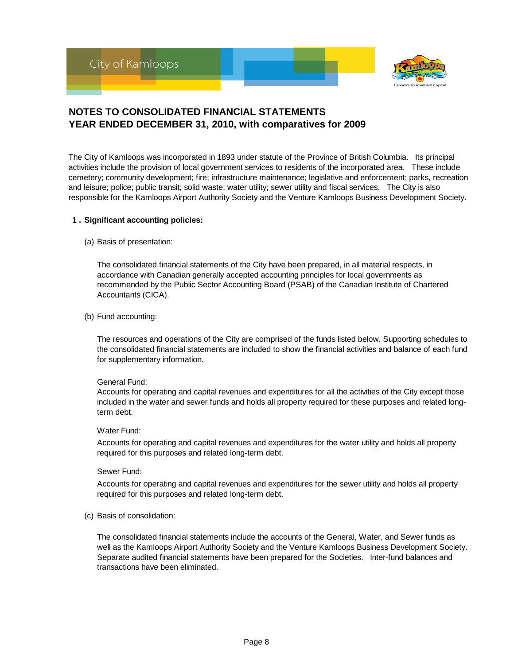

The City of Kamloops was incorporated in 1893 under statute of the Province of British Columbia. Its principal activities include the provision of local government services to residents of the incorporated area. These include cemetery; community development; fire; infrastructure maintenance; legislative and enforcement; parks, recreation and leisure; police; public transit; solid waste; water utility; sewer utility and fiscal services. The City is also responsible for the Kamloops Airport Authority Society and the Venture Kamloops Business Development Society.

#### **1 . Significant accounting policies:**

(a) Basis of presentation:

The consolidated financial statements of the City have been prepared, in all material respects, in accordance with Canadian generally accepted accounting principles for local governments as recommended by the Public Sector Accounting Board (PSAB) of the Canadian Institute of Chartered Accountants (CICA).

(b) Fund accounting:

The resources and operations of the City are comprised of the funds listed below. Supporting schedules to the consolidated financial statements are included to show the financial activities and balance of each fund for supplementary information.

#### General Fund:

Accounts for operating and capital revenues and expenditures for all the activities of the City except those included in the water and sewer funds and holds all property required for these purposes and related longterm debt.

#### Water Fund:

Accounts for operating and capital revenues and expenditures for the water utility and holds all property required for this purposes and related long-term debt.

#### Sewer Fund:

Accounts for operating and capital revenues and expenditures for the sewer utility and holds all property required for this purposes and related long-term debt.

(c) Basis of consolidation:

The consolidated financial statements include the accounts of the General, Water, and Sewer funds as well as the Kamloops Airport Authority Society and the Venture Kamloops Business Development Society. Separate audited financial statements have been prepared for the Societies. Inter-fund balances and transactions have been eliminated.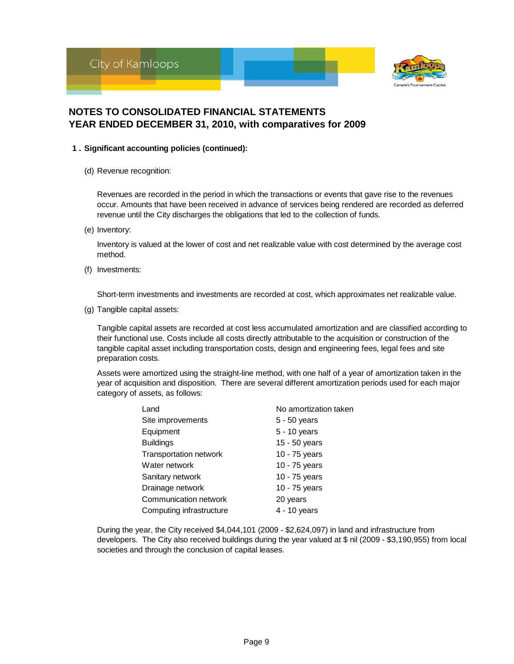



#### **1 . Significant accounting policies (continued):**

(d) Revenue recognition:

Revenues are recorded in the period in which the transactions or events that gave rise to the revenues occur. Amounts that have been received in advance of services being rendered are recorded as deferred revenue until the City discharges the obligations that led to the collection of funds.

(e) Inventory:

Inventory is valued at the lower of cost and net realizable value with cost determined by the average cost method.

(f) Investments:

Short-term investments and investments are recorded at cost, which approximates net realizable value.

(g) Tangible capital assets:

Tangible capital assets are recorded at cost less accumulated amortization and are classified according to their functional use. Costs include all costs directly attributable to the acquisition or construction of the tangible capital asset including transportation costs, design and engineering fees, legal fees and site preparation costs.

Assets were amortized using the straight-line method, with one half of a year of amortization taken in the year of acquisition and disposition. There are several different amortization periods used for each major category of assets, as follows:

| Land                          | No amortization taken |
|-------------------------------|-----------------------|
| Site improvements             | $5 - 50$ years        |
| Equipment                     | 5 - 10 years          |
| <b>Buildings</b>              | 15 - 50 years         |
| <b>Transportation network</b> | 10 - 75 years         |
| Water network                 | 10 - 75 years         |
| Sanitary network              | 10 - 75 years         |
| Drainage network              | 10 - 75 years         |
| Communication network         | 20 years              |
| Computing infrastructure      | 4 - 10 years          |

During the year, the City received \$4,044,101 (2009 - \$2,624,097) in land and infrastructure from developers. The City also received buildings during the year valued at \$ nil (2009 - \$3,190,955) from local societies and through the conclusion of capital leases.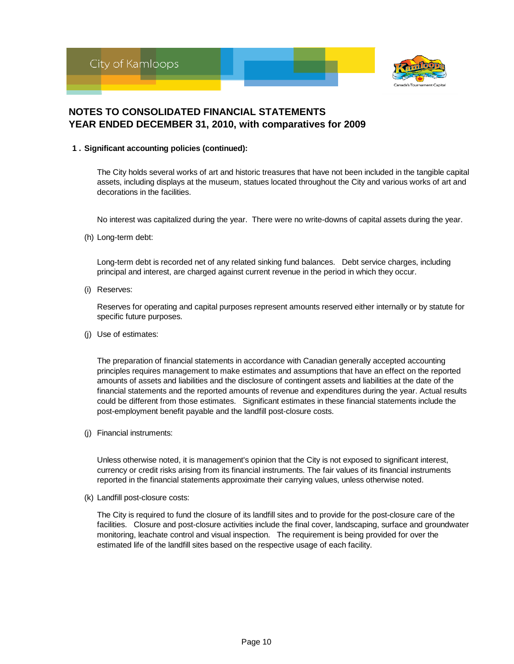

#### **1 . Significant accounting policies (continued):**

The City holds several works of art and historic treasures that have not been included in the tangible capital assets, including displays at the museum, statues located throughout the City and various works of art and decorations in the facilities.

No interest was capitalized during the year. There were no write-downs of capital assets during the year.

(h) Long-term debt:

Long-term debt is recorded net of any related sinking fund balances. Debt service charges, including principal and interest, are charged against current revenue in the period in which they occur.

(i) Reserves:

Reserves for operating and capital purposes represent amounts reserved either internally or by statute for specific future purposes.

(j) Use of estimates:

The preparation of financial statements in accordance with Canadian generally accepted accounting principles requires management to make estimates and assumptions that have an effect on the reported amounts of assets and liabilities and the disclosure of contingent assets and liabilities at the date of the financial statements and the reported amounts of revenue and expenditures during the year. Actual results could be different from those estimates. Significant estimates in these financial statements include the post-employment benefit payable and the landfill post-closure costs.

(j) Financial instruments:

Unless otherwise noted, it is management's opinion that the City is not exposed to significant interest, currency or credit risks arising from its financial instruments. The fair values of its financial instruments reported in the financial statements approximate their carrying values, unless otherwise noted.

(k) Landfill post-closure costs:

The City is required to fund the closure of its landfill sites and to provide for the post-closure care of the facilities. Closure and post-closure activities include the final cover, landscaping, surface and groundwater monitoring, leachate control and visual inspection. The requirement is being provided for over the estimated life of the landfill sites based on the respective usage of each facility.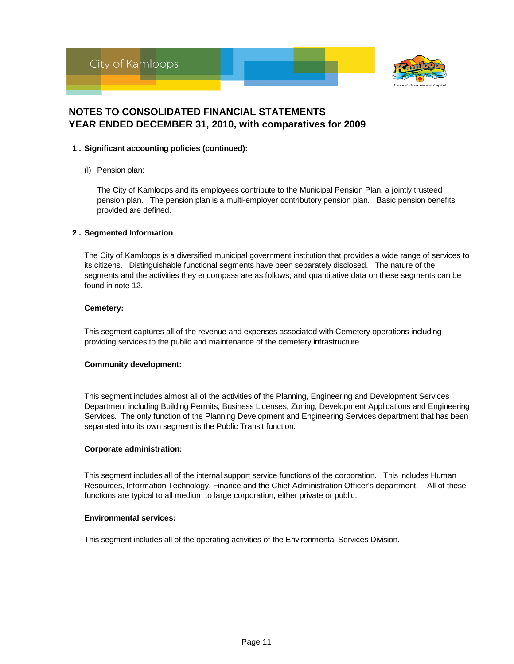



#### **1 . Significant accounting policies (continued):**

(l) Pension plan:

The City of Kamloops and its employees contribute to the Municipal Pension Plan, a jointly trusteed pension plan. The pension plan is a multi-employer contributory pension plan. Basic pension benefits provided are defined.

#### **2 . Segmented Information**

The City of Kamloops is a diversified municipal government institution that provides a wide range of services to its citizens. Distinguishable functional segments have been separately disclosed. The nature of the segments and the activities they encompass are as follows; and quantitative data on these segments can be found in note 12.

#### **Cemetery:**

This segment captures all of the revenue and expenses associated with Cemetery operations including providing services to the public and maintenance of the cemetery infrastructure.

#### **Community development:**

This segment includes almost all of the activities of the Planning, Engineering and Development Services Department including Building Permits, Business Licenses, Zoning, Development Applications and Engineering Services. The only function of the Planning Development and Engineering Services department that has been separated into its own segment is the Public Transit function.

#### **Corporate administration:**

This segment includes all of the internal support service functions of the corporation. This includes Human Resources, Information Technology, Finance and the Chief Administration Officer's department. All of these functions are typical to all medium to large corporation, either private or public.

#### **Environmental services:**

This segment includes all of the operating activities of the Environmental Services Division.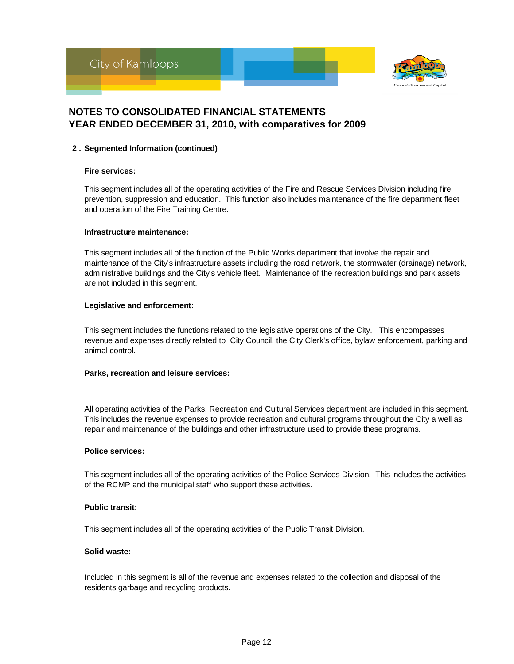



#### **2 . Segmented Information (continued)**

#### **Fire services:**

This segment includes all of the operating activities of the Fire and Rescue Services Division including fire prevention, suppression and education. This function also includes maintenance of the fire department fleet and operation of the Fire Training Centre.

#### **Infrastructure maintenance:**

This segment includes all of the function of the Public Works department that involve the repair and maintenance of the City's infrastructure assets including the road network, the stormwater (drainage) network, administrative buildings and the City's vehicle fleet. Maintenance of the recreation buildings and park assets are not included in this segment.

#### **Legislative and enforcement:**

This segment includes the functions related to the legislative operations of the City. This encompasses revenue and expenses directly related to City Council, the City Clerk's office, bylaw enforcement, parking and animal control.

#### **Parks, recreation and leisure services:**

All operating activities of the Parks, Recreation and Cultural Services department are included in this segment. This includes the revenue expenses to provide recreation and cultural programs throughout the City a well as repair and maintenance of the buildings and other infrastructure used to provide these programs.

#### **Police services:**

This segment includes all of the operating activities of the Police Services Division. This includes the activities of the RCMP and the municipal staff who support these activities.

#### **Public transit:**

This segment includes all of the operating activities of the Public Transit Division.

#### **Solid waste:**

Included in this segment is all of the revenue and expenses related to the collection and disposal of the residents garbage and recycling products.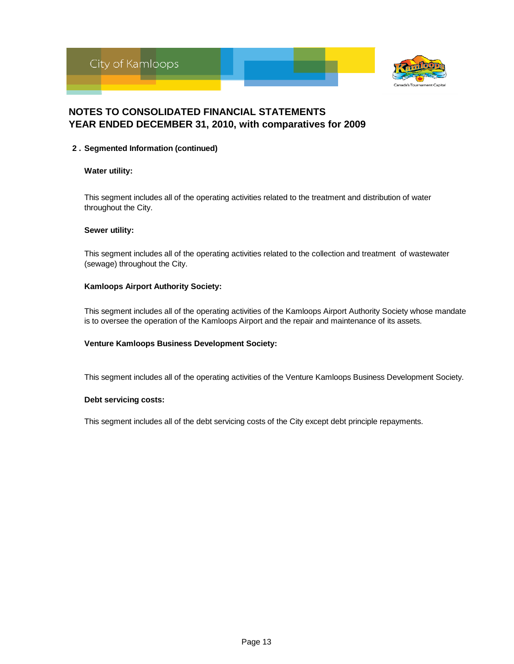



#### **2 . Segmented Information (continued)**

#### **Water utility:**

This segment includes all of the operating activities related to the treatment and distribution of water throughout the City.

#### **Sewer utility:**

This segment includes all of the operating activities related to the collection and treatment of wastewater (sewage) throughout the City.

#### **Kamloops Airport Authority Society:**

This segment includes all of the operating activities of the Kamloops Airport Authority Society whose mandate is to oversee the operation of the Kamloops Airport and the repair and maintenance of its assets.

#### **Venture Kamloops Business Development Society:**

This segment includes all of the operating activities of the Venture Kamloops Business Development Society.

#### **Debt servicing costs:**

This segment includes all of the debt servicing costs of the City except debt principle repayments.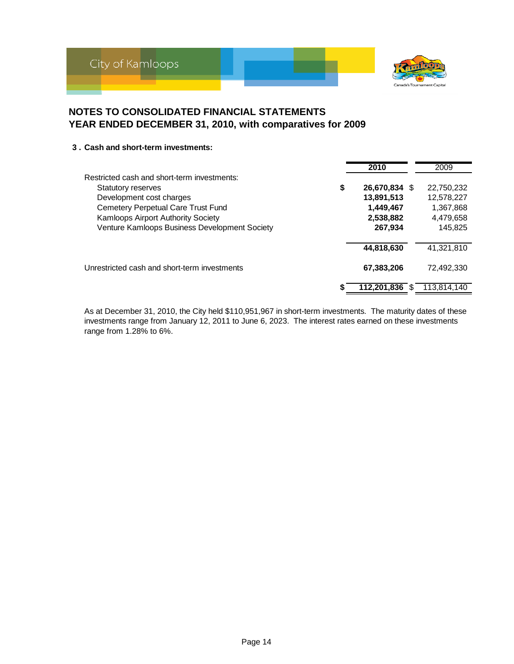



#### **3 . Cash and short-term investments:**

|                                               | 2010          | 2009        |
|-----------------------------------------------|---------------|-------------|
| Restricted cash and short-term investments:   |               |             |
| \$<br><b>Statutory reserves</b>               | 26,670,834 \$ | 22,750,232  |
| Development cost charges                      | 13,891,513    | 12,578,227  |
| Cemetery Perpetual Care Trust Fund            | 1,449,467     | 1,367,868   |
| Kamloops Airport Authority Society            | 2,538,882     | 4,479,658   |
| Venture Kamloops Business Development Society | 267,934       | 145,825     |
|                                               | 44,818,630    | 41.321.810  |
| Unrestricted cash and short-term investments  | 67,383,206    | 72.492.330  |
|                                               | 112.201.836   | 113.814.140 |

As at December 31, 2010, the City held \$110,951,967 in short-term investments. The maturity dates of these investments range from January 12, 2011 to June 6, 2023. The interest rates earned on these investments range from 1.28% to 6%.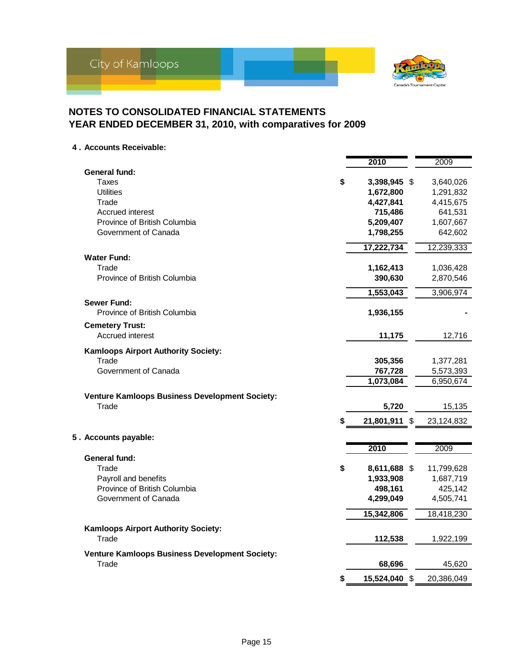

**4 . Accounts Receivable:**

|                                                   | 2010                | 2009       |
|---------------------------------------------------|---------------------|------------|
| <b>General fund:</b>                              |                     |            |
| Taxes                                             | \$<br>3,398,945 \$  | 3,640,026  |
| <b>Utilities</b>                                  | 1,672,800           | 1,291,832  |
| Trade                                             | 4,427,841           | 4,415,675  |
| Accrued interest                                  | 715,486             | 641,531    |
| Province of British Columbia                      | 5,209,407           | 1,607,667  |
| Government of Canada                              | 1,798,255           | 642,602    |
|                                                   | 17,222,734          | 12,239,333 |
| <b>Water Fund:</b>                                |                     |            |
| Trade                                             | 1,162,413           | 1,036,428  |
| Province of British Columbia                      | 390,630             | 2,870,546  |
|                                                   | 1,553,043           | 3,906,974  |
| <b>Sewer Fund:</b>                                |                     |            |
| Province of British Columbia                      | 1,936,155           |            |
| <b>Cemetery Trust:</b><br><b>Accrued interest</b> |                     |            |
|                                                   | 11,175              | 12,716     |
| Kamloops Airport Authority Society:               |                     |            |
| Trade                                             | 305,356             | 1,377,281  |
| Government of Canada                              | 767,728             | 5,573,393  |
|                                                   | 1,073,084           | 6,950,674  |
| Venture Kamloops Business Development Society:    |                     |            |
| Trade                                             | 5,720               | 15,135     |
|                                                   | \$<br>21,801,911 \$ | 23,124,832 |
| 5. Accounts payable:                              |                     |            |
|                                                   | 2010                | 2009       |
| General fund:                                     |                     |            |
| Trade                                             | \$<br>8,611,688 \$  | 11,799,628 |
| Payroll and benefits                              | 1,933,908           | 1,687,719  |
| Province of British Columbia                      | 498,161             | 425,142    |
| Government of Canada                              | 4,299,049           | 4,505,741  |
|                                                   | 15,342,806          | 18,418,230 |
| <b>Kamloops Airport Authority Society:</b>        |                     |            |
| Trade                                             | 112,538             | 1,922,199  |
|                                                   |                     |            |
| Venture Kamloops Business Development Society:    |                     |            |
| Trade                                             | 68,696              | 45,620     |
|                                                   | \$<br>15,524,040 \$ | 20,386,049 |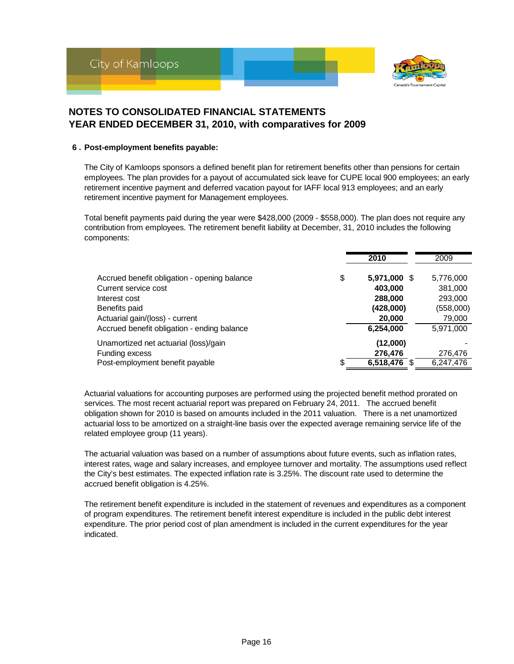

#### **6 . Post-employment benefits payable:**

The City of Kamloops sponsors a defined benefit plan for retirement benefits other than pensions for certain employees. The plan provides for a payout of accumulated sick leave for CUPE local 900 employees; an early retirement incentive payment and deferred vacation payout for IAFF local 913 employees; and an early retirement incentive payment for Management employees.

Total benefit payments paid during the year were \$428,000 (2009 - \$558,000). The plan does not require any contribution from employees. The retirement benefit liability at December, 31, 2010 includes the following components:

|                                                                                                                                           |    | 2010                                                      | 2009                                                   |
|-------------------------------------------------------------------------------------------------------------------------------------------|----|-----------------------------------------------------------|--------------------------------------------------------|
| Accrued benefit obligation - opening balance<br>Current service cost<br>Interest cost<br>Benefits paid<br>Actuarial gain/(loss) - current | \$ | 5,971,000 \$<br>403,000<br>288,000<br>(428,000)<br>20,000 | 5,776,000<br>381,000<br>293,000<br>(558,000)<br>79,000 |
| Accrued benefit obligation - ending balance                                                                                               |    | 6,254,000                                                 | 5,971,000                                              |
| Unamortized net actuarial (loss)/gain<br>Funding excess<br>Post-employment benefit payable                                                | S. | (12,000)<br>276,476<br>$6,518,476$ \$                     | 276,476<br>6,247,476                                   |

Actuarial valuations for accounting purposes are performed using the projected benefit method prorated on services. The most recent actuarial report was prepared on February 24, 2011. The accrued benefit obligation shown for 2010 is based on amounts included in the 2011 valuation. There is a net unamortized actuarial loss to be amortized on a straight-line basis over the expected average remaining service life of the related employee group (11 years).

The actuarial valuation was based on a number of assumptions about future events, such as inflation rates, interest rates, wage and salary increases, and employee turnover and mortality. The assumptions used reflect the City's best estimates. The expected inflation rate is 3.25%. The discount rate used to determine the accrued benefit obligation is 4.25%.

The retirement benefit expenditure is included in the statement of revenues and expenditures as a component of program expenditures. The retirement benefit interest expenditure is included in the public debt interest expenditure. The prior period cost of plan amendment is included in the current expenditures for the year indicated.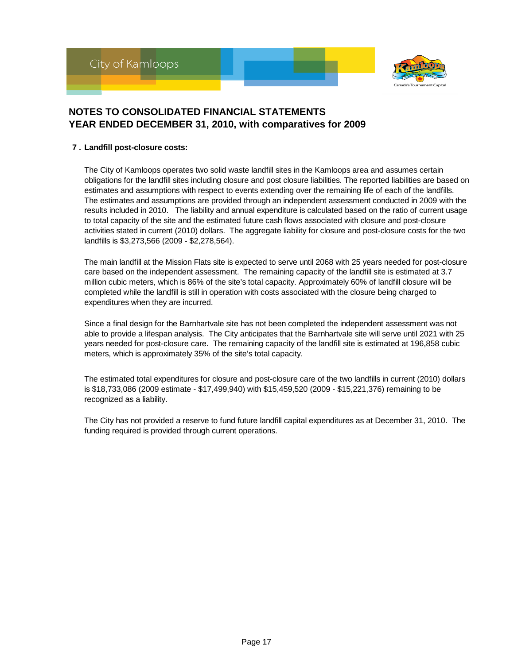



#### **7 . Landfill post-closure costs:**

The City of Kamloops operates two solid waste landfill sites in the Kamloops area and assumes certain obligations for the landfill sites including closure and post closure liabilities. The reported liabilities are based on estimates and assumptions with respect to events extending over the remaining life of each of the landfills. The estimates and assumptions are provided through an independent assessment conducted in 2009 with the results included in 2010. The liability and annual expenditure is calculated based on the ratio of current usage to total capacity of the site and the estimated future cash flows associated with closure and post-closure activities stated in current (2010) dollars. The aggregate liability for closure and post-closure costs for the two landfills is \$3,273,566 (2009 - \$2,278,564).

The main landfill at the Mission Flats site is expected to serve until 2068 with 25 years needed for post-closure care based on the independent assessment. The remaining capacity of the landfill site is estimated at 3.7 million cubic meters, which is 86% of the site's total capacity. Approximately 60% of landfill closure will be completed while the landfill is still in operation with costs associated with the closure being charged to expenditures when they are incurred.

Since a final design for the Barnhartvale site has not been completed the independent assessment was not able to provide a lifespan analysis. The City anticipates that the Barnhartvale site will serve until 2021 with 25 years needed for post-closure care. The remaining capacity of the landfill site is estimated at 196,858 cubic meters, which is approximately 35% of the site's total capacity.

The estimated total expenditures for closure and post-closure care of the two landfills in current (2010) dollars is \$18,733,086 (2009 estimate - \$17,499,940) with \$15,459,520 (2009 - \$15,221,376) remaining to be recognized as a liability.

The City has not provided a reserve to fund future landfill capital expenditures as at December 31, 2010. The funding required is provided through current operations.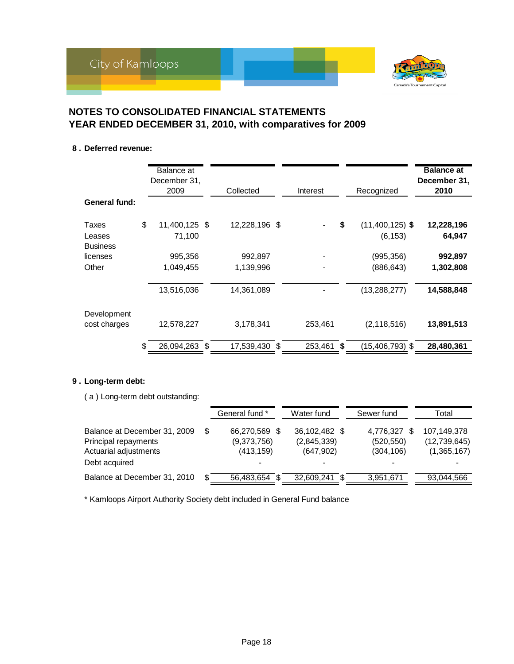

#### **8 . Deferred revenue:**

|                                    | Balance at<br>December 31,<br>2009 | Collected            | Interest         | Recognized                          | <b>Balance at</b><br>December 31,<br>2010 |
|------------------------------------|------------------------------------|----------------------|------------------|-------------------------------------|-------------------------------------------|
| General fund:                      |                                    |                      |                  |                                     |                                           |
| Taxes<br>Leases<br><b>Business</b> | \$<br>11,400,125 \$<br>71,100      | 12,228,196 \$        |                  | \$<br>$(11,400,125)$ \$<br>(6, 153) | 12,228,196<br>64,947                      |
| licenses<br>Other                  | 995,356<br>1,049,455               | 992,897<br>1,139,996 |                  | (995, 356)<br>(886, 643)            | 992,897<br>1,302,808                      |
|                                    | 13,516,036                         | 14,361,089           |                  | (13, 288, 277)                      | 14,588,848                                |
| Development<br>cost charges        | 12,578,227                         | 3,178,341            | 253,461          | (2, 118, 516)                       | 13,891,513                                |
|                                    | \$<br>26,094,263 \$                | 17,539,430           | \$<br>253,461 \$ | $(15,406,793)$ \$                   | 28,480,361                                |

#### **9 . Long-term debt:**

( a ) Long-term debt outstanding:

|                                                                                                |     | General fund *                             | Water fund                                 | Sewer fund                                   | Total                                      |
|------------------------------------------------------------------------------------------------|-----|--------------------------------------------|--------------------------------------------|----------------------------------------------|--------------------------------------------|
| Balance at December 31, 2009<br>Principal repayments<br>Actuarial adjustments<br>Debt acquired | S   | 66,270,569 \$<br>(9,373,756)<br>(413, 159) | 36,102,482 \$<br>(2,845,339)<br>(647, 902) | 4,776,327<br>\$.<br>(520, 550)<br>(304, 106) | 107,149,378<br>(12,739,645)<br>(1,365,167) |
| Balance at December 31, 2010                                                                   | \$. | 56,483,654                                 | 32,609,241 \$                              | 3,951,671                                    | 93,044,566                                 |

\* Kamloops Airport Authority Society debt included in General Fund balance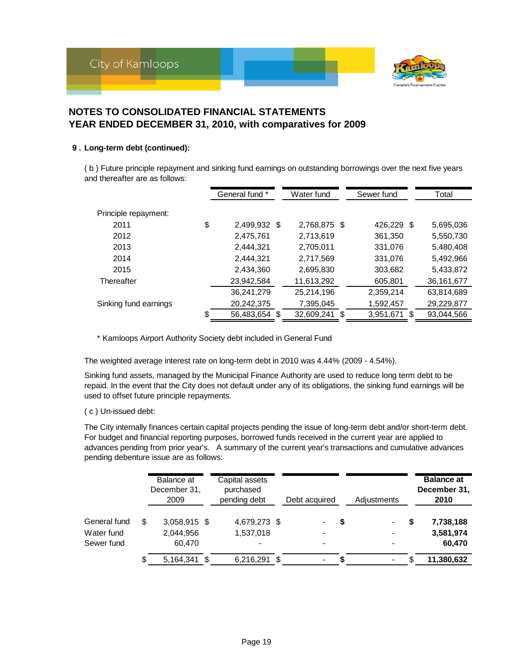



#### **9 . Long-term debt (continued):**

( b ) Future principle repayment and sinking fund earnings on outstanding borrowings over the next five years and thereafter are as follows:

|                       | General fund *      | Water fund   | Sewer fund   | Total        |  |
|-----------------------|---------------------|--------------|--------------|--------------|--|
| Principle repayment:  |                     |              |              |              |  |
| 2011                  | \$<br>2,499,932 \$  | 2,768,875 \$ | 426,229 \$   | 5,695,036    |  |
| 2012                  | 2,475,761           | 2,713,619    | 361,350      | 5,550,730    |  |
| 2013                  | 2,444,321           | 2,705,011    | 331.076      | 5,480,408    |  |
| 2014                  | 2,444,321           | 2,717,569    | 331,076      | 5,492,966    |  |
| 2015                  | 2,434,360           | 2,695,830    | 303,682      | 5,433,872    |  |
| Thereafter            | 23,942,584          | 11,613,292   | 605,801      | 36, 161, 677 |  |
|                       | 36,241,279          | 25,214,196   | 2,359,214    | 63,814,689   |  |
| Sinking fund earnings | 20,242,375          | 7,395,045    | 1,592,457    | 29,229,877   |  |
|                       | \$<br>56,483,654 \$ | 32,609,241   | 3,951,671 \$ | 93,044,566   |  |

\* Kamloops Airport Authority Society debt included in General Fund

The weighted average interest rate on long-term debt in 2010 was 4.44% (2009 - 4.54%).

Sinking fund assets, managed by the Municipal Finance Authority are used to reduce long term debt to be repaid. In the event that the City does not default under any of its obligations, the sinking fund earnings will be used to offset future principle repayments.

#### ( c ) Un-issued debt:

The City internally finances certain capital projects pending the issue of long-term debt and/or short-term debt. For budget and financial reporting purposes, borrowed funds received in the current year are applied to advances pending from prior year's. A summary of the current year's transactions and cumulative advances pending debenture issue are as follows:

|              | Balance at<br>December 31,<br>2009 | Capital assets<br>purchased<br>pending debt |      | Debt acquired            |   | Adjustments              | <b>Balance at</b><br>December 31,<br>2010 |
|--------------|------------------------------------|---------------------------------------------|------|--------------------------|---|--------------------------|-------------------------------------------|
| General fund | \$<br>3,058,915 \$                 | 4,679,273 \$                                |      | $\blacksquare$           | S | $\overline{\phantom{0}}$ | 7,738,188                                 |
| Water fund   | 2,044,956                          | 1,537,018                                   |      | $\blacksquare$           |   | -                        | 3,581,974                                 |
| Sewer fund   | 60.470                             |                                             |      | $\overline{\phantom{0}}$ |   |                          | 60,470                                    |
|              | 5,164,341 \$                       | 6,216,291                                   | - \$ |                          |   | $\blacksquare$           | 11,380,632                                |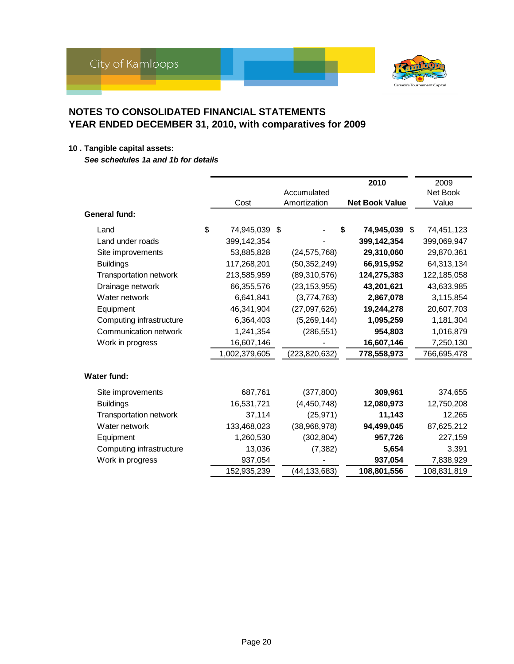

### **10 . Tangible capital assets:**

*See schedules 1a and 1b for details*

|                               |                     |                 | 2010                  | 2009        |
|-------------------------------|---------------------|-----------------|-----------------------|-------------|
|                               |                     | Accumulated     |                       | Net Book    |
|                               | Cost                | Amortization    | <b>Net Book Value</b> | Value       |
| General fund:                 |                     |                 |                       |             |
| Land                          | \$<br>74,945,039 \$ |                 | \$<br>74,945,039 \$   | 74,451,123  |
| Land under roads              | 399,142,354         |                 | 399,142,354           | 399,069,947 |
| Site improvements             | 53,885,828          | (24, 575, 768)  | 29,310,060            | 29,870,361  |
| <b>Buildings</b>              | 117,268,201         | (50, 352, 249)  | 66,915,952            | 64,313,134  |
| <b>Transportation network</b> | 213,585,959         | (89,310,576)    | 124,275,383           | 122,185,058 |
| Drainage network              | 66,355,576          | (23, 153, 955)  | 43,201,621            | 43,633,985  |
| Water network                 | 6,641,841           | (3,774,763)     | 2,867,078             | 3,115,854   |
| Equipment                     | 46,341,904          | (27,097,626)    | 19,244,278            | 20,607,703  |
| Computing infrastructure      | 6,364,403           | (5,269,144)     | 1,095,259             | 1,181,304   |
| Communication network         | 1,241,354           | (286, 551)      | 954,803               | 1,016,879   |
| Work in progress              | 16,607,146          |                 | 16,607,146            | 7,250,130   |
|                               | 1,002,379,605       | (223, 820, 632) | 778,558,973           | 766,695,478 |
| Water fund:                   |                     |                 |                       |             |
| Site improvements             | 687,761             | (377, 800)      | 309,961               | 374,655     |
| <b>Buildings</b>              | 16,531,721          | (4,450,748)     | 12,080,973            | 12,750,208  |
| Transportation network        | 37,114              | (25, 971)       | 11,143                | 12,265      |
| Water network                 | 133,468,023         | (38,968,978)    | 94,499,045            | 87,625,212  |
| Equipment                     | 1,260,530           | (302, 804)      | 957,726               | 227,159     |
| Computing infrastructure      | 13,036              | (7, 382)        | 5,654                 | 3,391       |
| Work in progress              | 937,054             |                 | 937,054               | 7,838,929   |
|                               | 152,935,239         | (44,133,683)    | 108,801,556           | 108,831,819 |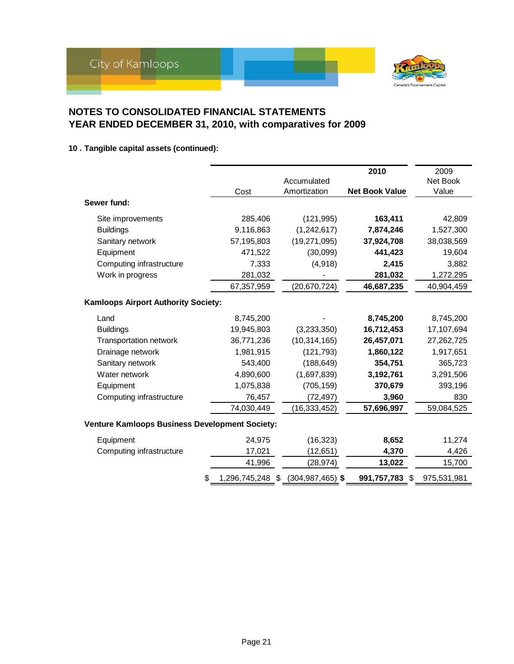

#### **10 . Tangible capital assets (continued):**

|                                                       |                  |                      | 2010                  | 2009        |
|-------------------------------------------------------|------------------|----------------------|-----------------------|-------------|
|                                                       |                  | Accumulated          |                       | Net Book    |
|                                                       | Cost             | Amortization         | <b>Net Book Value</b> | Value       |
| Sewer fund:                                           |                  |                      |                       |             |
| Site improvements                                     | 285,406          | (121, 995)           | 163,411               | 42,809      |
| <b>Buildings</b>                                      | 9,116,863        | (1, 242, 617)        | 7,874,246             | 1,527,300   |
| Sanitary network                                      | 57,195,803       | (19, 271, 095)       | 37,924,708            | 38,038,569  |
| Equipment                                             | 471,522          | (30,099)             | 441,423               | 19,604      |
| Computing infrastructure                              | 7,333            | (4,918)              | 2,415                 | 3,882       |
| Work in progress                                      | 281,032          |                      | 281,032               | 1,272,295   |
|                                                       | 67,357,959       | (20, 670, 724)       | 46,687,235            | 40,904,459  |
| <b>Kamloops Airport Authority Society:</b>            |                  |                      |                       |             |
| Land                                                  | 8,745,200        |                      | 8,745,200             | 8,745,200   |
| <b>Buildings</b>                                      | 19,945,803       | (3,233,350)          | 16,712,453            | 17,107,694  |
| <b>Transportation network</b>                         | 36,771,236       | (10, 314, 165)       | 26,457,071            | 27,262,725  |
| Drainage network                                      | 1,981,915        | (121, 793)           | 1,860,122             | 1,917,651   |
| Sanitary network                                      | 543,400          | (188, 649)           | 354,751               | 365,723     |
| Water network                                         | 4,890,600        | (1,697,839)          | 3,192,761             | 3,291,506   |
| Equipment                                             | 1,075,838        | (705, 159)           | 370,679               | 393,196     |
| Computing infrastructure                              | 76,457           | (72, 497)            | 3,960                 | 830         |
|                                                       | 74,030,449       | (16, 333, 452)       | 57,696,997            | 59,084,525  |
| <b>Venture Kamloops Business Development Society:</b> |                  |                      |                       |             |
| Equipment                                             | 24,975           | (16, 323)            | 8,652                 | 11,274      |
| Computing infrastructure                              | 17,021           | (12, 651)            | 4,370                 | 4,426       |
|                                                       | 41,996           | (28,974)             | 13,022                | 15,700      |
|                                                       | 1,296,745,248 \$ | $(304, 987, 465)$ \$ | 991,757,783<br>S.     | 975,531,981 |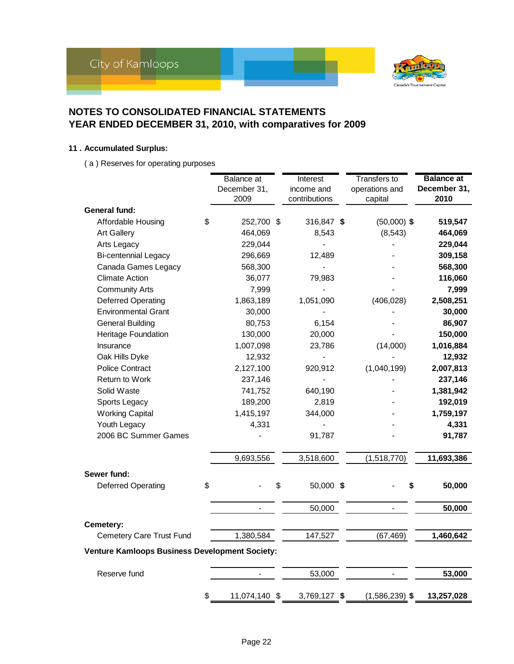

#### **11 . Accumulated Surplus:**

( a ) Reserves for operating purposes

|                                                       | Balance at               | Interest           | <b>Transfers to</b>      | <b>Balance</b> at |
|-------------------------------------------------------|--------------------------|--------------------|--------------------------|-------------------|
|                                                       | December 31,             | income and         | operations and           | December 31,      |
|                                                       | 2009                     | contributions      | capital                  | 2010              |
| General fund:                                         |                          |                    |                          |                   |
| Affordable Housing                                    | \$<br>252,700 \$         | 316,847 \$         | $(50,000)$ \$            | 519,547           |
| <b>Art Gallery</b>                                    | 464,069                  | 8,543              | (8, 543)                 | 464,069           |
| Arts Legacy                                           | 229,044                  |                    |                          | 229,044           |
| <b>Bi-centennial Legacy</b>                           | 296,669                  | 12,489             |                          | 309,158           |
| Canada Games Legacy                                   | 568,300                  |                    |                          | 568,300           |
| <b>Climate Action</b>                                 | 36,077                   | 79,983             |                          | 116,060           |
| <b>Community Arts</b>                                 | 7,999                    |                    |                          | 7,999             |
| Deferred Operating                                    | 1,863,189                | 1,051,090          | (406, 028)               | 2,508,251         |
| <b>Environmental Grant</b>                            | 30,000                   |                    |                          | 30,000            |
| <b>General Building</b>                               | 80,753                   | 6,154              |                          | 86,907            |
| Heritage Foundation                                   | 130,000                  | 20,000             |                          | 150,000           |
| Insurance                                             | 1,007,098                | 23,786             | (14,000)                 | 1,016,884         |
| Oak Hills Dyke                                        | 12,932                   |                    |                          | 12,932            |
| <b>Police Contract</b>                                | 2,127,100                | 920,912            | (1,040,199)              | 2,007,813         |
| <b>Return to Work</b>                                 | 237,146                  |                    |                          | 237,146           |
| Solid Waste                                           | 741,752                  | 640,190            |                          | 1,381,942         |
| Sports Legacy                                         | 189,200                  | 2,819              |                          | 192,019           |
| <b>Working Capital</b>                                | 1,415,197                | 344,000            |                          | 1,759,197         |
| Youth Legacy                                          | 4,331                    |                    |                          | 4,331             |
| 2006 BC Summer Games                                  |                          | 91,787             |                          | 91,787            |
|                                                       | 9,693,556                | 3,518,600          | (1,518,770)              | 11,693,386        |
| Sewer fund:                                           |                          |                    |                          |                   |
| <b>Deferred Operating</b>                             | \$                       | \$<br>50,000 \$    | \$                       | 50,000            |
|                                                       | $\overline{\phantom{a}}$ | 50,000             | $\overline{\phantom{a}}$ | 50,000            |
| Cemetery:                                             |                          |                    |                          |                   |
| Cemetery Care Trust Fund                              | 1,380,584                | 147,527            | (67, 469)                | 1,460,642         |
| <b>Venture Kamloops Business Development Society:</b> |                          |                    |                          |                   |
| Reserve fund                                          |                          | 53,000             |                          | 53,000            |
|                                                       | \$<br>11,074,140         | \$<br>3,769,127 \$ | $(1,586,239)$ \$         | 13,257,028        |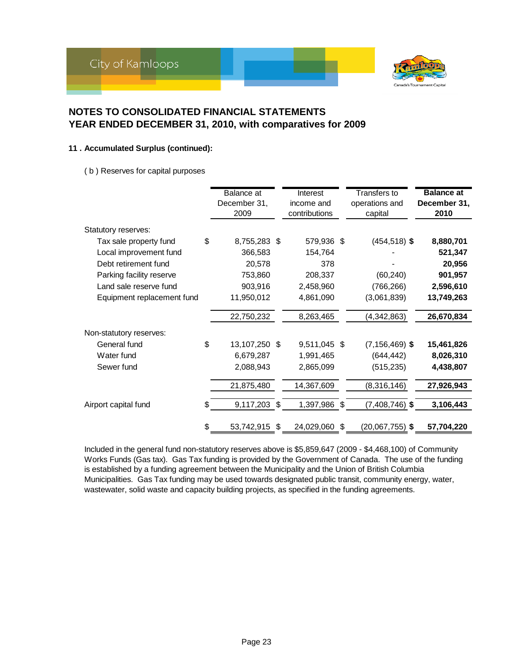

#### **11 . Accumulated Surplus (continued):**

( b ) Reserves for capital purposes

|                            | Balance at<br>December 31,<br>2009 |      | Interest<br>income and<br>contributions | Transfers to<br>operations and<br>capital | <b>Balance at</b><br>December 31,<br>2010 |
|----------------------------|------------------------------------|------|-----------------------------------------|-------------------------------------------|-------------------------------------------|
| Statutory reserves:        |                                    |      |                                         |                                           |                                           |
| Tax sale property fund     | \$<br>8,755,283                    | - \$ | 579,936 \$                              | $(454, 518)$ \$                           | 8,880,701                                 |
| Local improvement fund     | 366,583                            |      | 154,764                                 |                                           | 521,347                                   |
| Debt retirement fund       | 20,578                             |      | 378                                     |                                           | 20,956                                    |
| Parking facility reserve   | 753,860                            |      | 208,337                                 | (60, 240)                                 | 901,957                                   |
| Land sale reserve fund     | 903,916                            |      | 2,458,960                               | (766, 266)                                | 2,596,610                                 |
| Equipment replacement fund | 11,950,012                         |      | 4,861,090                               | (3,061,839)                               | 13,749,263                                |
|                            | 22,750,232                         |      | 8,263,465                               | (4,342,863)                               | 26,670,834                                |
| Non-statutory reserves:    |                                    |      |                                         |                                           |                                           |
| General fund               | \$<br>13,107,250 \$                |      | 9,511,045 \$                            | $(7, 156, 469)$ \$                        | 15,461,826                                |
| Water fund                 | 6,679,287                          |      | 1,991,465                               | (644, 442)                                | 8,026,310                                 |
| Sewer fund                 | 2,088,943                          |      | 2,865,099                               | (515, 235)                                | 4,438,807                                 |
|                            | 21,875,480                         |      | 14,367,609                              | (8,316,146)                               | 27,926,943                                |
| Airport capital fund       | \$<br>9,117,203 \$                 |      | 1,397,986 \$                            | $(7,408,746)$ \$                          | 3,106,443                                 |
|                            | \$<br>53,742,915                   | \$   | 24,029,060                              | \$<br>$(20,067,755)$ \$                   | 57,704,220                                |

Included in the general fund non-statutory reserves above is \$5,859,647 (2009 - \$4,468,100) of Community Works Funds (Gas tax). Gas Tax funding is provided by the Government of Canada. The use of the funding is established by a funding agreement between the Municipality and the Union of British Columbia Municipalities. Gas Tax funding may be used towards designated public transit, community energy, water, wastewater, solid waste and capacity building projects, as specified in the funding agreements.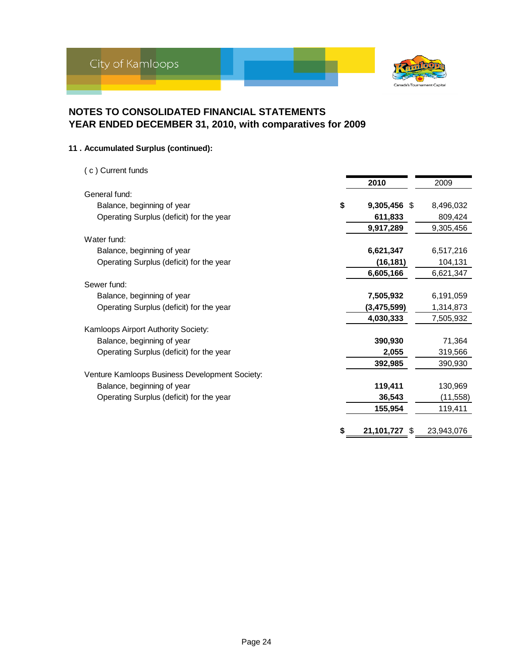

#### **11 . Accumulated Surplus (continued):**

| (c) Current funds                              |    |               |            |
|------------------------------------------------|----|---------------|------------|
|                                                |    | 2010          | 2009       |
| General fund:                                  |    |               |            |
| Balance, beginning of year                     | \$ | 9,305,456 \$  | 8,496,032  |
| Operating Surplus (deficit) for the year       |    | 611,833       | 809,424    |
|                                                |    | 9,917,289     | 9,305,456  |
| Water fund:                                    |    |               |            |
| Balance, beginning of year                     |    | 6,621,347     | 6,517,216  |
| Operating Surplus (deficit) for the year       |    | (16, 181)     | 104,131    |
|                                                |    | 6,605,166     | 6,621,347  |
| Sewer fund:                                    |    |               |            |
| Balance, beginning of year                     |    | 7,505,932     | 6,191,059  |
| Operating Surplus (deficit) for the year       |    | (3,475,599)   | 1,314,873  |
|                                                |    | 4,030,333     | 7,505,932  |
| Kamloops Airport Authority Society:            |    |               |            |
| Balance, beginning of year                     |    | 390,930       | 71,364     |
| Operating Surplus (deficit) for the year       |    | 2,055         | 319,566    |
|                                                |    | 392,985       | 390,930    |
| Venture Kamloops Business Development Society: |    |               |            |
| Balance, beginning of year                     |    | 119,411       | 130,969    |
| Operating Surplus (deficit) for the year       |    | 36,543        | (11, 558)  |
|                                                |    | 155,954       | 119,411    |
|                                                | S  |               |            |
|                                                |    | 21,101,727 \$ | 23,943,076 |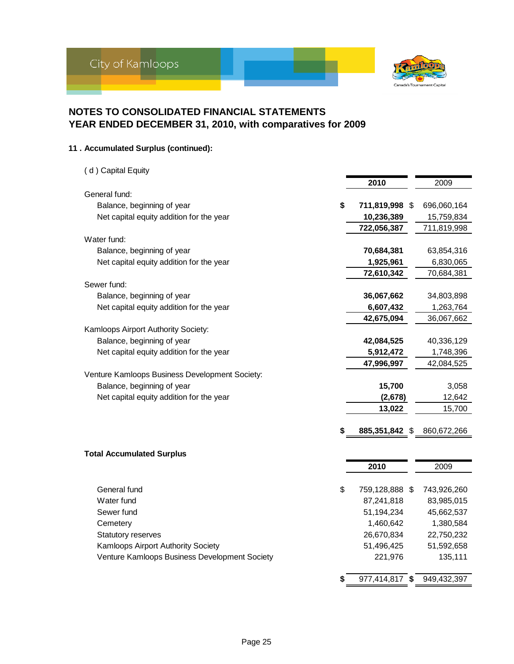

#### **11 . Accumulated Surplus (continued):**

| (d) Capital Equity                             |                      |             |
|------------------------------------------------|----------------------|-------------|
|                                                | 2010                 | 2009        |
| General fund:                                  |                      |             |
| Balance, beginning of year                     | \$<br>711,819,998 \$ | 696,060,164 |
| Net capital equity addition for the year       | 10,236,389           | 15,759,834  |
|                                                | 722,056,387          | 711,819,998 |
| Water fund:                                    |                      |             |
| Balance, beginning of year                     | 70,684,381           | 63,854,316  |
| Net capital equity addition for the year       | 1,925,961            | 6,830,065   |
|                                                | 72,610,342           | 70,684,381  |
| Sewer fund:                                    |                      |             |
| Balance, beginning of year                     | 36,067,662           | 34,803,898  |
| Net capital equity addition for the year       | 6,607,432            | 1,263,764   |
|                                                | 42,675,094           | 36,067,662  |
| Kamloops Airport Authority Society:            |                      |             |
| Balance, beginning of year                     | 42,084,525           | 40,336,129  |
| Net capital equity addition for the year       | 5,912,472            | 1,748,396   |
|                                                | 47,996,997           | 42,084,525  |
| Venture Kamloops Business Development Society: |                      |             |
| Balance, beginning of year                     | 15,700               | 3,058       |
| Net capital equity addition for the year       | (2,678)              | 12,642      |
|                                                | 13,022               | 15,700      |
|                                                | \$<br>885,351,842 \$ | 860,672,266 |
|                                                |                      |             |
| <b>Total Accumulated Surplus</b>               |                      |             |
|                                                | 2010                 | 2009        |
|                                                |                      |             |
| General fund                                   | \$<br>759,128,888 \$ | 743,926,260 |
| Water fund                                     | 87,241,818           | 83,985,015  |
| Sewer fund                                     | 51,194,234           | 45,662,537  |
| Cemetery                                       | 1,460,642            | 1,380,584   |
| Statutory reserves                             | 26,670,834           | 22,750,232  |
| Kamloops Airport Authority Society             | 51,496,425           | 51,592,658  |
| Venture Kamloops Business Development Society  | 221,976              | 135,111     |
|                                                | \$<br>977,414,817 \$ | 949,432,397 |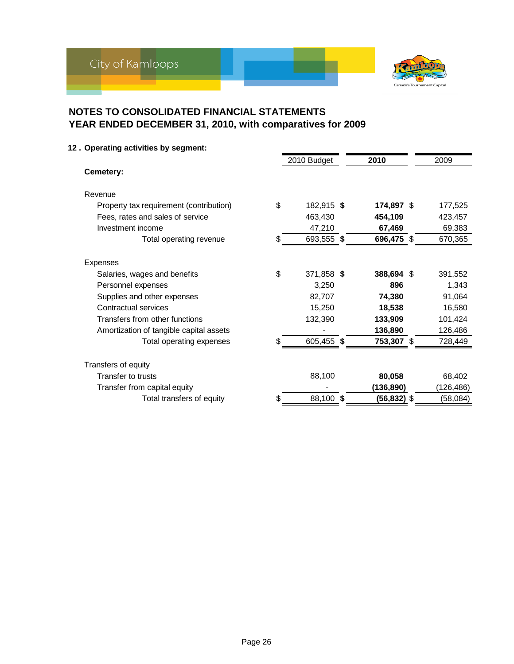

**12 . Operating activities by segment:**

|                                           |    | 2010 Budget | 2010        | 2009      |
|-------------------------------------------|----|-------------|-------------|-----------|
| Cemetery:                                 |    |             |             |           |
| Revenue                                   |    |             |             |           |
| Property tax requirement (contribution)   | \$ | 182,915 \$  | 174,897 \$  | 177,525   |
| Fees, rates and sales of service          |    | 463,430     | 454,109     | 423,457   |
| Investment income                         |    | 47,210      | 67,469      | 69,383    |
| Total operating revenue                   | \$ | 693,555 \$  | 696,475 \$  | 670,365   |
|                                           |    |             |             |           |
| Expenses                                  |    |             |             |           |
| Salaries, wages and benefits              | \$ | 371,858 \$  | 388,694 \$  | 391,552   |
| Personnel expenses                        |    | 3,250       | 896         | 1,343     |
| Supplies and other expenses               |    | 82,707      | 74,380      | 91,064    |
| Contractual services                      |    | 15,250      | 18,538      | 16,580    |
| Transfers from other functions            |    | 132,390     | 133,909     | 101,424   |
| Amortization of tangible capital assets   |    |             | 136,890     | 126,486   |
| Total operating expenses                  | \$ | 605,455 \$  | 753,307 \$  | 728,449   |
|                                           |    |             |             |           |
| Transfers of equity<br>Transfer to trusts |    | 88,100      |             |           |
|                                           |    |             | 80,058      | 68,402    |
| Transfer from capital equity              |    |             | (136, 890)  | (126,486) |
| Total transfers of equity                 | S  | 88,100 \$   | (56,832) \$ | (58,084)  |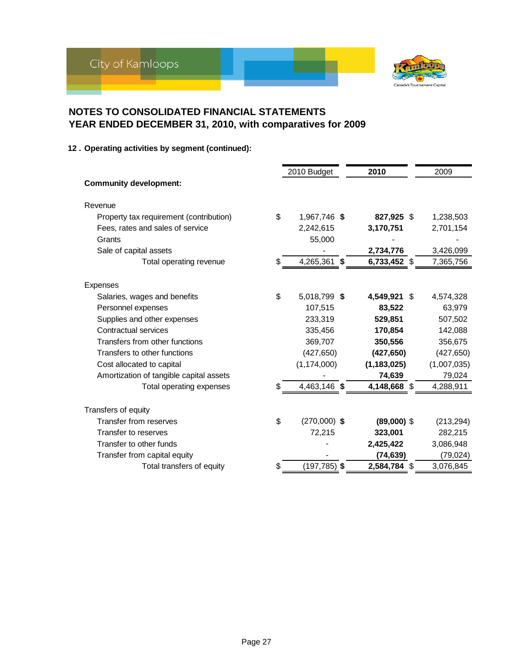

#### **12 . Operating activities by segment (continued):**

|                                               | 2010 Budget     | 2010          | 2009        |
|-----------------------------------------------|-----------------|---------------|-------------|
| <b>Community development:</b>                 |                 |               |             |
| Revenue                                       |                 |               |             |
| \$<br>Property tax requirement (contribution) | 1,967,746 \$    | 827,925 \$    | 1,238,503   |
| Fees, rates and sales of service              | 2,242,615       | 3,170,751     | 2,701,154   |
| Grants                                        | 55,000          |               |             |
| Sale of capital assets                        |                 | 2,734,776     | 3,426,099   |
| \$<br>Total operating revenue                 | 4,265,361 \$    | 6,733,452 \$  | 7,365,756   |
|                                               |                 |               |             |
| Expenses                                      |                 |               |             |
| \$<br>Salaries, wages and benefits            | 5,018,799 \$    | 4,549,921 \$  | 4,574,328   |
| Personnel expenses                            | 107,515         | 83,522        | 63,979      |
| Supplies and other expenses                   | 233,319         | 529,851       | 507,502     |
| Contractual services                          | 335,456         | 170,854       | 142,088     |
| Transfers from other functions                | 369,707         | 350,556       | 356,675     |
| Transfers to other functions                  | (427, 650)      | (427, 650)    | (427, 650)  |
| Cost allocated to capital                     | (1, 174, 000)   | (1, 183, 025) | (1,007,035) |
| Amortization of tangible capital assets       |                 | 74,639        | 79,024      |
| Total operating expenses<br>S.                | 4,463,146 \$    | 4,148,668 \$  | 4,288,911   |
| Transfers of equity                           |                 |               |             |
| \$<br><b>Transfer from reserves</b>           | $(270,000)$ \$  | $(89,000)$ \$ | (213, 294)  |
| Transfer to reserves                          | 72,215          | 323,001       | 282,215     |
| Transfer to other funds                       |                 | 2,425,422     | 3,086,948   |
| Transfer from capital equity                  |                 | (74, 639)     | (79, 024)   |
| Total transfers of equity<br>\$               | $(197, 785)$ \$ | 2,584,784 \$  | 3,076,845   |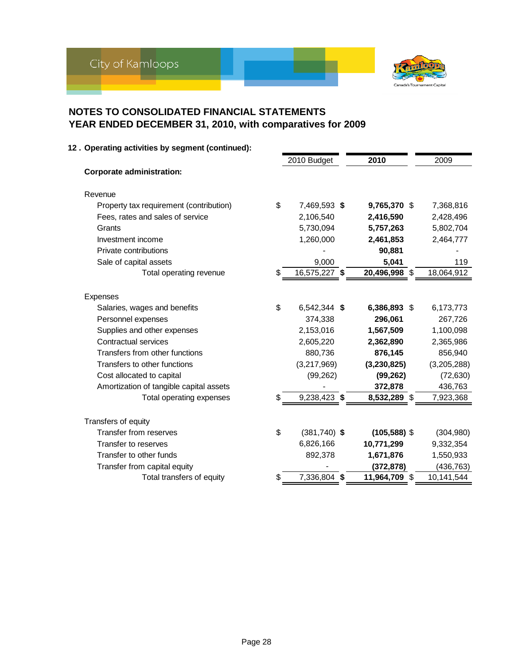

| 12. Operating activities by segment (continued): |                      |                 |             |
|--------------------------------------------------|----------------------|-----------------|-------------|
|                                                  | 2010 Budget          | 2010            | 2009        |
| <b>Corporate administration:</b>                 |                      |                 |             |
| Revenue                                          |                      |                 |             |
| Property tax requirement (contribution)          | \$<br>7,469,593 \$   | 9,765,370 \$    | 7,368,816   |
| Fees, rates and sales of service                 | 2,106,540            | 2,416,590       | 2,428,496   |
| Grants                                           | 5,730,094            | 5,757,263       | 5,802,704   |
| Investment income                                | 1,260,000            | 2,461,853       | 2,464,777   |
| Private contributions                            |                      | 90,881          |             |
| Sale of capital assets                           | 9,000                | 5,041           | 119         |
| Total operating revenue                          | \$<br>16,575,227 \$  | 20,496,998 \$   | 18,064,912  |
| Expenses                                         |                      |                 |             |
| Salaries, wages and benefits                     | \$<br>6,542,344 \$   | 6,386,893 \$    | 6,173,773   |
| Personnel expenses                               | 374,338              | 296,061         | 267,726     |
| Supplies and other expenses                      | 2,153,016            | 1,567,509       | 1,100,098   |
| <b>Contractual services</b>                      | 2,605,220            | 2,362,890       | 2,365,986   |
| Transfers from other functions                   | 880,736              | 876,145         | 856,940     |
| Transfers to other functions                     | (3,217,969)          | (3, 230, 825)   | (3,205,288) |
| Cost allocated to capital                        | (99, 262)            | (99, 262)       | (72, 630)   |
| Amortization of tangible capital assets          |                      | 372,878         | 436,763     |
| Total operating expenses                         | 9,238,423 \$         | 8,532,289<br>\$ | 7,923,368   |
| Transfers of equity                              |                      |                 |             |
| Transfer from reserves                           | \$<br>$(381,740)$ \$ | $(105, 588)$ \$ | (304, 980)  |
| Transfer to reserves                             | 6,826,166            | 10,771,299      | 9,332,354   |
| Transfer to other funds                          | 892,378              | 1,671,876       | 1,550,933   |
| Transfer from capital equity                     |                      | (372, 878)      | (436, 763)  |
| Total transfers of equity                        | \$<br>7,336,804 \$   | 11,964,709 \$   | 10,141,544  |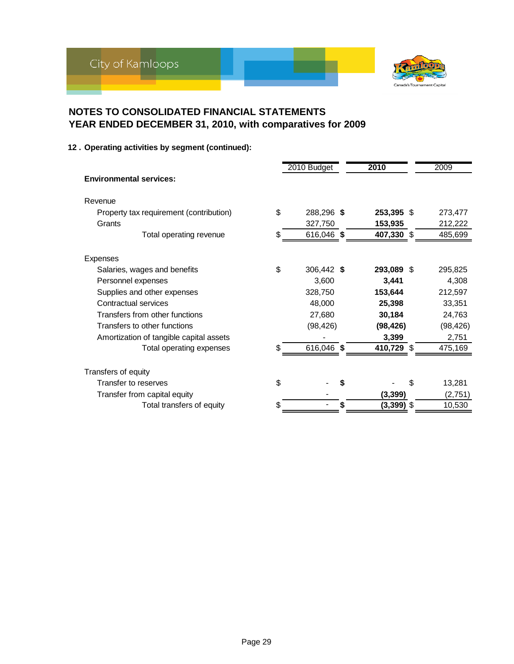

**12 . Operating activities by segment (continued):**

|                                         |    | 2010 Budget | 2010         | 2009         |
|-----------------------------------------|----|-------------|--------------|--------------|
| <b>Environmental services:</b>          |    |             |              |              |
| Revenue                                 |    |             |              |              |
| Property tax requirement (contribution) | \$ | 288,296 \$  | 253,395 \$   | 273,477      |
| Grants                                  |    | 327,750     | 153,935      | 212,222      |
| Total operating revenue                 | \$ | 616,046 \$  | 407,330 \$   | 485,699      |
| Expenses                                |    |             |              |              |
| Salaries, wages and benefits            | \$ | 306,442 \$  | 293,089 \$   | 295,825      |
| Personnel expenses                      |    | 3,600       | 3,441        | 4,308        |
| Supplies and other expenses             |    | 328,750     | 153,644      | 212,597      |
| Contractual services                    |    | 48,000      | 25,398       | 33,351       |
| Transfers from other functions          |    | 27,680      | 30,184       | 24,763       |
| Transfers to other functions            |    | (98, 426)   | (98, 426)    | (98, 426)    |
| Amortization of tangible capital assets |    |             | 3,399        | 2,751        |
| Total operating expenses                | S  | 616,046 \$  | 410,729 \$   | 475,169      |
| Transfers of equity                     |    |             |              |              |
| Transfer to reserves                    | \$ |             |              | \$<br>13,281 |
| Transfer from capital equity            |    |             | (3, 399)     | (2,751)      |
| Total transfers of equity               | \$ |             | $(3,399)$ \$ | 10,530       |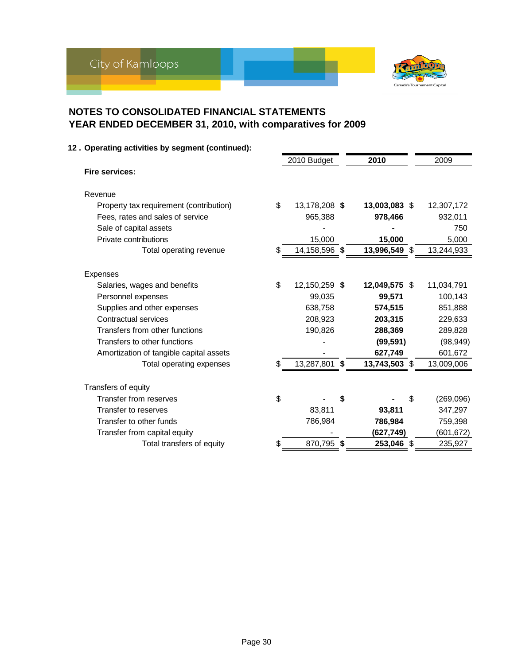

| 12. Operating activities by segment (continued): |                     |               |            |
|--------------------------------------------------|---------------------|---------------|------------|
|                                                  | 2010 Budget         | 2010          | 2009       |
| <b>Fire services:</b>                            |                     |               |            |
| Revenue                                          |                     |               |            |
| Property tax requirement (contribution)          | \$<br>13,178,208 \$ | 13,003,083 \$ | 12,307,172 |
| Fees, rates and sales of service                 | 965,388             | 978,466       | 932,011    |
| Sale of capital assets                           |                     |               | 750        |
| Private contributions                            | 15,000              | 15,000        | 5,000      |
| Total operating revenue                          | 14,158,596 \$       | 13,996,549 \$ | 13,244,933 |
| Expenses                                         |                     |               |            |
| Salaries, wages and benefits                     | \$<br>12,150,259 \$ | 12,049,575 \$ | 11,034,791 |
| Personnel expenses                               | 99,035              | 99,571        | 100,143    |
| Supplies and other expenses                      | 638,758             | 574,515       | 851,888    |
| Contractual services                             | 208,923             | 203,315       | 229,633    |
| Transfers from other functions                   | 190,826             | 288,369       | 289,828    |
| Transfers to other functions                     |                     | (99, 591)     | (98, 949)  |
| Amortization of tangible capital assets          |                     | 627,749       | 601,672    |
| Total operating expenses                         | 13,287,801 \$       | 13,743,503 \$ | 13,009,006 |
| Transfers of equity                              |                     |               |            |
| Transfer from reserves                           | \$                  | \$<br>\$      | (269, 096) |
| Transfer to reserves                             | 83,811              | 93,811        | 347,297    |
| Transfer to other funds                          | 786,984             | 786,984       | 759,398    |
| Transfer from capital equity                     |                     | (627,749)     | (601, 672) |
| Total transfers of equity                        | \$<br>870,795 \$    | 253,046 \$    | 235,927    |
|                                                  |                     |               |            |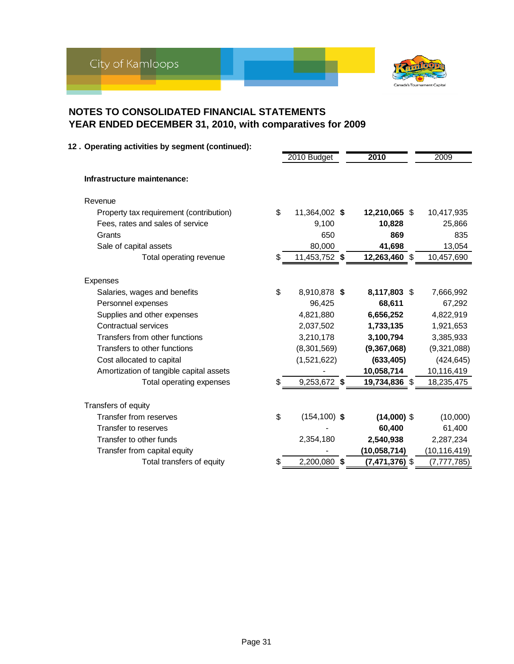

|                                         | 2010 Budget           | 2010             | 2009           |
|-----------------------------------------|-----------------------|------------------|----------------|
| Infrastructure maintenance:             |                       |                  |                |
| Revenue                                 |                       |                  |                |
| Property tax requirement (contribution) | \$<br>11,364,002 \$   | 12,210,065 \$    | 10,417,935     |
| Fees, rates and sales of service        | 9,100                 | 10,828           | 25,866         |
| Grants                                  | 650                   | 869              | 835            |
| Sale of capital assets                  | 80,000                | 41,698           | 13,054         |
| Total operating revenue                 | 11,453,752 \$         | 12,263,460 \$    | 10,457,690     |
| Expenses                                |                       |                  |                |
| Salaries, wages and benefits            | \$<br>8,910,878 \$    | 8,117,803 \$     | 7,666,992      |
| Personnel expenses                      | 96,425                | 68,611           | 67,292         |
| Supplies and other expenses             | 4,821,880             | 6,656,252        | 4,822,919      |
| <b>Contractual services</b>             | 2,037,502             | 1,733,135        | 1,921,653      |
| Transfers from other functions          | 3,210,178             | 3,100,794        | 3,385,933      |
| Transfers to other functions            | (8,301,569)           | (9,367,068)      | (9,321,088)    |
| Cost allocated to capital               | (1,521,622)           | (633, 405)       | (424, 645)     |
| Amortization of tangible capital assets |                       | 10,058,714       | 10,116,419     |
| Total operating expenses                | 9,253,672 \$          | 19,734,836 \$    | 18,235,475     |
| Transfers of equity                     |                       |                  |                |
| Transfer from reserves                  | \$<br>$(154, 100)$ \$ | $(14,000)$ \$    | (10,000)       |
| Transfer to reserves                    |                       | 60,400           | 61,400         |
| Transfer to other funds                 | 2,354,180             | 2,540,938        | 2,287,234      |
| Transfer from capital equity            |                       | (10, 058, 714)   | (10, 116, 419) |
| Total transfers of equity               | 2,200,080 \$          | $(7,471,376)$ \$ | (7, 777, 785)  |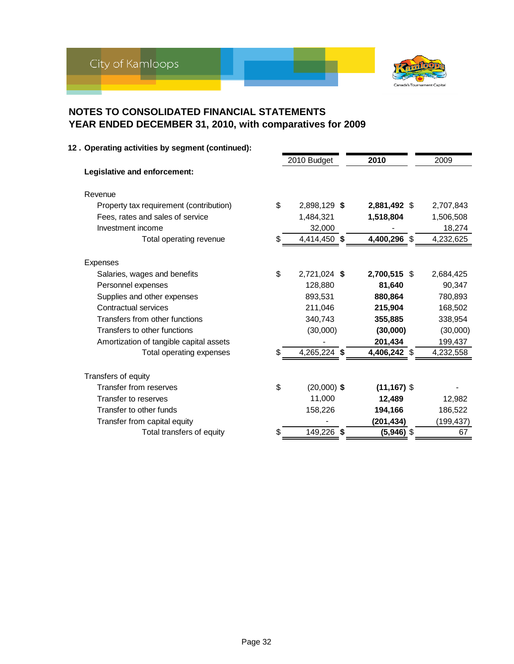

| 12. Operating activities by segment (continued): |                     |                |            |
|--------------------------------------------------|---------------------|----------------|------------|
|                                                  | 2010 Budget         | 2010           | 2009       |
| Legislative and enforcement:                     |                     |                |            |
| Revenue                                          |                     |                |            |
| Property tax requirement (contribution)          | \$<br>2,898,129 \$  | 2,881,492 \$   | 2,707,843  |
| Fees, rates and sales of service                 | 1,484,321           | 1,518,804      | 1,506,508  |
| Investment income                                | 32,000              |                | 18,274     |
| Total operating revenue                          | 4,414,450 \$        | 4,400,296 \$   | 4,232,625  |
| <b>Expenses</b>                                  |                     |                |            |
| Salaries, wages and benefits                     | \$<br>2,721,024 \$  | 2,700,515 \$   | 2,684,425  |
| Personnel expenses                               | 128,880             | 81,640         | 90,347     |
| Supplies and other expenses                      | 893,531             | 880.864        | 780,893    |
| Contractual services                             | 211,046             | 215,904        | 168,502    |
| Transfers from other functions                   | 340,743             | 355,885        | 338,954    |
| Transfers to other functions                     | (30,000)            | (30,000)       | (30,000)   |
| Amortization of tangible capital assets          |                     | 201,434        | 199,437    |
| Total operating expenses                         | 4,265,224 \$        | 4,406,242 \$   | 4,232,558  |
| Transfers of equity                              |                     |                |            |
| Transfer from reserves                           | \$<br>$(20,000)$ \$ | $(11, 167)$ \$ |            |
| Transfer to reserves                             | 11,000              | 12,489         | 12,982     |
| Transfer to other funds                          | 158,226             | 194,166        | 186,522    |
| Transfer from capital equity                     |                     | (201,434)      | (199, 437) |
| Total transfers of equity                        | \$<br>149,226 \$    | $(5,946)$ \$   | 67         |
|                                                  |                     |                |            |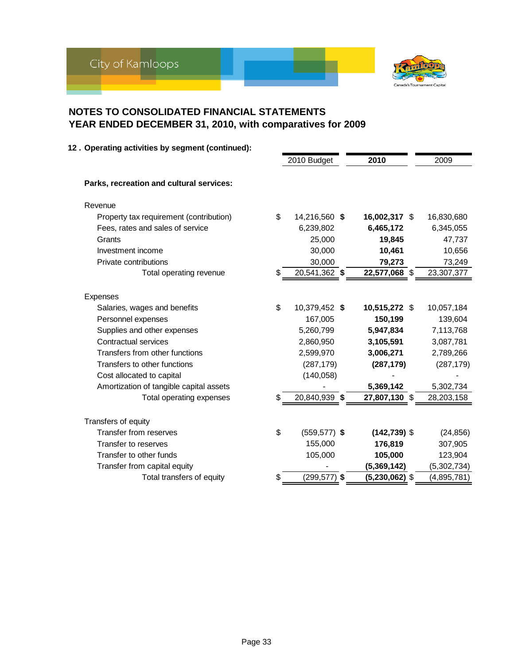

| 12. Operating activities by segment (continued): |    |                 |                  |             |
|--------------------------------------------------|----|-----------------|------------------|-------------|
|                                                  |    | 2010 Budget     | 2010             | 2009        |
| Parks, recreation and cultural services:         |    |                 |                  |             |
| Revenue                                          |    |                 |                  |             |
| Property tax requirement (contribution)          | \$ | 14,216,560 \$   | 16,002,317 \$    | 16,830,680  |
| Fees, rates and sales of service                 |    | 6,239,802       | 6,465,172        | 6,345,055   |
| Grants                                           |    | 25,000          | 19,845           | 47,737      |
| Investment income                                |    | 30,000          | 10,461           | 10,656      |
| Private contributions                            |    | 30,000          | 79,273           | 73,249      |
| Total operating revenue                          |    | 20,541,362 \$   | 22,577,068 \$    | 23,307,377  |
| Expenses                                         |    |                 |                  |             |
| Salaries, wages and benefits                     | \$ | 10,379,452 \$   | 10,515,272 \$    | 10,057,184  |
| Personnel expenses                               |    | 167,005         | 150,199          | 139,604     |
| Supplies and other expenses                      |    | 5,260,799       | 5,947,834        | 7,113,768   |
| Contractual services                             |    | 2,860,950       | 3,105,591        | 3,087,781   |
| Transfers from other functions                   |    | 2,599,970       | 3,006,271        | 2,789,266   |
| Transfers to other functions                     |    | (287, 179)      | (287, 179)       | (287, 179)  |
| Cost allocated to capital                        |    | (140, 058)      |                  |             |
| Amortization of tangible capital assets          |    |                 | 5,369,142        | 5,302,734   |
| Total operating expenses                         |    | 20,840,939 \$   | 27,807,130 \$    | 28,203,158  |
| Transfers of equity                              |    |                 |                  |             |
| Transfer from reserves                           | \$ | $(559, 577)$ \$ | $(142, 739)$ \$  | (24, 856)   |
| Transfer to reserves                             |    | 155,000         | 176,819          | 307,905     |
| Transfer to other funds                          |    | 105,000         | 105,000          | 123,904     |
| Transfer from capital equity                     |    |                 | (5,369,142)      | (5,302,734) |
| Total transfers of equity                        | S  | $(299, 577)$ \$ | $(5,230,062)$ \$ | (4,895,781) |
|                                                  |    |                 |                  |             |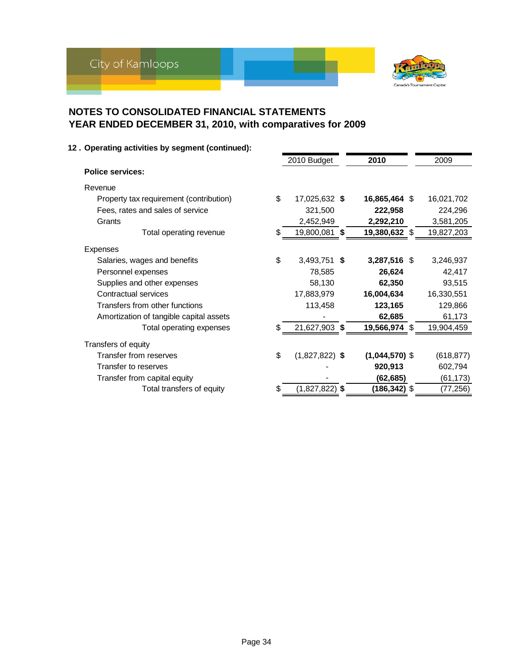

| 12. Operating activities by segment (continued): |                        |                  |            |
|--------------------------------------------------|------------------------|------------------|------------|
|                                                  | 2010 Budget            | 2010             | 2009       |
| <b>Police services:</b>                          |                        |                  |            |
| Revenue                                          |                        |                  |            |
| Property tax requirement (contribution)          | \$<br>17,025,632 \$    | 16,865,464 \$    | 16,021,702 |
| Fees, rates and sales of service                 | 321,500                | 222,958          | 224,296    |
| Grants                                           | 2,452,949              | 2,292,210        | 3,581,205  |
| Total operating revenue                          | 19,800,081 \$          | 19,380,632 \$    | 19,827,203 |
| Expenses                                         |                        |                  |            |
| Salaries, wages and benefits                     | \$<br>3,493,751 \$     | 3,287,516 \$     | 3,246,937  |
| Personnel expenses                               | 78,585                 | 26,624           | 42,417     |
| Supplies and other expenses                      | 58,130                 | 62,350           | 93,515     |
| Contractual services                             | 17,883,979             | 16,004,634       | 16,330,551 |
| Transfers from other functions                   | 113,458                | 123,165          | 129,866    |
| Amortization of tangible capital assets          |                        | 62,685           | 61,173     |
| Total operating expenses                         | 21,627,903 \$          | 19,566,974 \$    | 19,904,459 |
| Transfers of equity                              |                        |                  |            |
| Transfer from reserves                           | \$<br>$(1,827,822)$ \$ | $(1,044,570)$ \$ | (618, 877) |
| Transfer to reserves                             |                        | 920,913          | 602,794    |
| Transfer from capital equity                     |                        | (62, 685)        | (61, 173)  |
| Total transfers of equity                        | $(1,827,822)$ \$       | (186,342) \$     | (77,256)   |

#### Page 34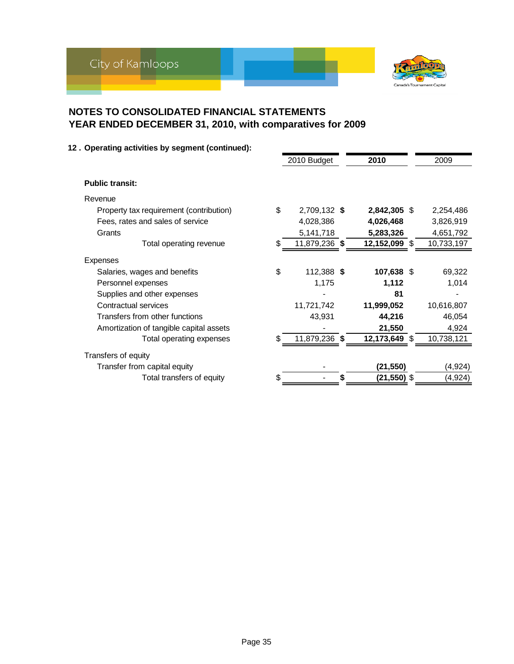

#### **12 . Operating activities by segment (continued):**

|                                         |    | 2010 Budget   | 2010          | 2009       |
|-----------------------------------------|----|---------------|---------------|------------|
| <b>Public transit:</b>                  |    |               |               |            |
|                                         |    |               |               |            |
| Revenue                                 |    |               |               |            |
| Property tax requirement (contribution) | \$ | 2,709,132 \$  | 2,842,305 \$  | 2,254,486  |
| Fees, rates and sales of service        |    | 4,028,386     | 4,026,468     | 3,826,919  |
| Grants                                  |    | 5,141,718     | 5,283,326     | 4,651,792  |
| Total operating revenue                 | S  | 11,879,236 \$ | 12,152,099 \$ | 10,733,197 |
| Expenses                                |    |               |               |            |
| Salaries, wages and benefits            | \$ | 112,388 \$    | 107,638 \$    | 69,322     |
| Personnel expenses                      |    | 1,175         | 1,112         | 1,014      |
| Supplies and other expenses             |    |               | 81            |            |
| Contractual services                    |    | 11,721,742    | 11,999,052    | 10,616,807 |
| Transfers from other functions          |    | 43,931        | 44,216        | 46,054     |
| Amortization of tangible capital assets |    |               | 21,550        | 4,924      |
| Total operating expenses                | S. | 11,879,236 \$ | 12,173,649 \$ | 10,738,121 |
| Transfers of equity                     |    |               |               |            |
| Transfer from capital equity            |    |               | (21, 550)     | (4, 924)   |
| Total transfers of equity               |    |               | (21,550) \$   | (4,924)    |
|                                         |    |               |               |            |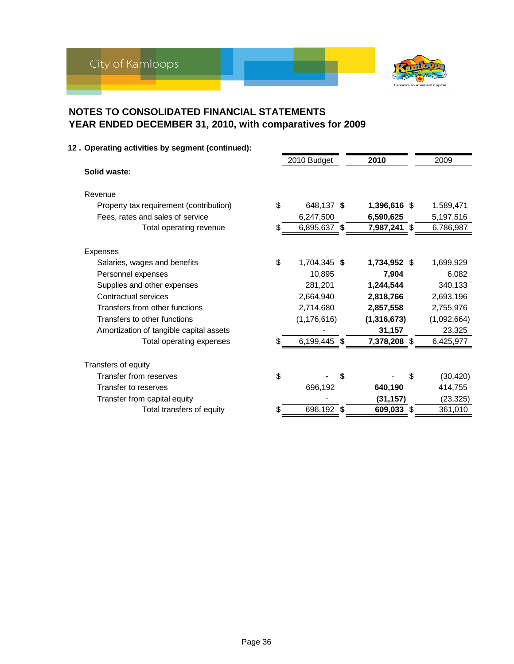

| 12. Operating activities by segment (continued): |    |               |   |               |                 |
|--------------------------------------------------|----|---------------|---|---------------|-----------------|
|                                                  |    | 2010 Budget   |   | 2010          | 2009            |
| Solid waste:                                     |    |               |   |               |                 |
| Revenue                                          |    |               |   |               |                 |
| Property tax requirement (contribution)          | \$ | 648,137 \$    |   | 1,396,616 \$  | 1,589,471       |
| Fees, rates and sales of service                 |    | 6,247,500     |   | 6,590,625     | 5,197,516       |
| Total operating revenue                          |    | 6,895,637 \$  |   | 7,987,241 \$  | 6,786,987       |
| Expenses                                         |    |               |   |               |                 |
| Salaries, wages and benefits                     | \$ | 1,704,345 \$  |   | 1,734,952 \$  | 1,699,929       |
| Personnel expenses                               |    | 10,895        |   | 7,904         | 6,082           |
| Supplies and other expenses                      |    | 281,201       |   | 1,244,544     | 340,133         |
| Contractual services                             |    | 2,664,940     |   | 2,818,766     | 2,693,196       |
| Transfers from other functions                   |    | 2,714,680     |   | 2,857,558     | 2,755,976       |
| Transfers to other functions                     |    | (1, 176, 616) |   | (1, 316, 673) | (1,092,664)     |
| Amortization of tangible capital assets          |    |               |   | 31,157        | 23,325          |
| Total operating expenses                         |    | 6,199,445 \$  |   | 7,378,208 \$  | 6,425,977       |
| Transfers of equity                              |    |               |   |               |                 |
| Transfer from reserves                           | \$ |               | S |               | \$<br>(30, 420) |
| Transfer to reserves                             |    | 696,192       |   | 640,190       | 414,755         |
| Transfer from capital equity                     |    |               |   | (31, 157)     | (23, 325)       |
| Total transfers of equity                        | S  | 696,192 \$    |   | 609,033 \$    | 361,010         |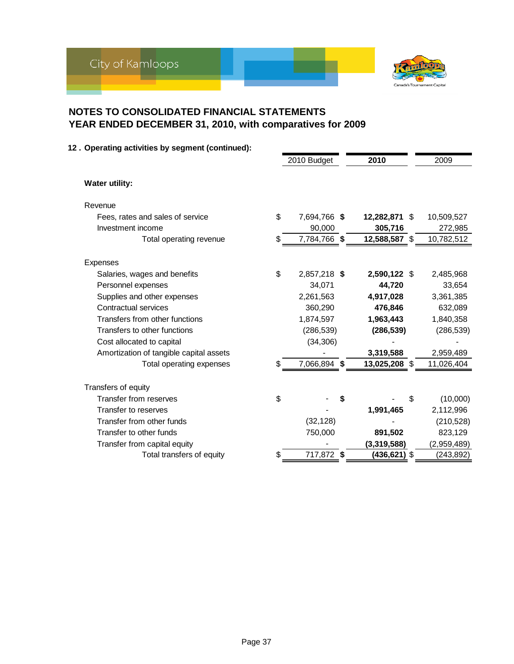

#### **12 . Operating activities by segment (continued):**

|                                         | 2010 Budget        | 2010          |     | 2009        |
|-----------------------------------------|--------------------|---------------|-----|-------------|
| <b>Water utility:</b>                   |                    |               |     |             |
| Revenue                                 |                    |               |     |             |
| Fees, rates and sales of service        | \$<br>7,694,766 \$ | 12,282,871    | -\$ | 10,509,527  |
| Investment income                       | 90,000             | 305,716       |     | 272,985     |
| Total operating revenue                 | \$<br>7,784,766 \$ | 12,588,587 \$ |     | 10,782,512  |
| Expenses                                |                    |               |     |             |
| Salaries, wages and benefits            | \$<br>2,857,218 \$ | 2,590,122 \$  |     | 2,485,968   |
| Personnel expenses                      | 34,071             | 44,720        |     | 33,654      |
| Supplies and other expenses             | 2,261,563          | 4,917,028     |     | 3,361,385   |
| Contractual services                    | 360,290            | 476,846       |     | 632,089     |
| Transfers from other functions          | 1,874,597          | 1,963,443     |     | 1,840,358   |
| Transfers to other functions            | (286, 539)         | (286, 539)    |     | (286, 539)  |
| Cost allocated to capital               | (34, 306)          |               |     |             |
| Amortization of tangible capital assets |                    | 3,319,588     |     | 2,959,489   |
| Total operating expenses                | \$<br>7,066,894 \$ | 13,025,208 \$ |     | 11,026,404  |
| Transfers of equity                     |                    |               |     |             |
| Transfer from reserves                  | \$                 |               | \$  | (10,000)    |
| Transfer to reserves                    |                    | 1,991,465     |     | 2,112,996   |
| Transfer from other funds               | (32, 128)          |               |     | (210, 528)  |
| Transfer to other funds                 | 750,000            | 891,502       |     | 823,129     |
| Transfer from capital equity            |                    | (3,319,588)   |     | (2,959,489) |
| Total transfers of equity               | \$<br>717,872 \$   | (436,621) \$  |     | (243,892)   |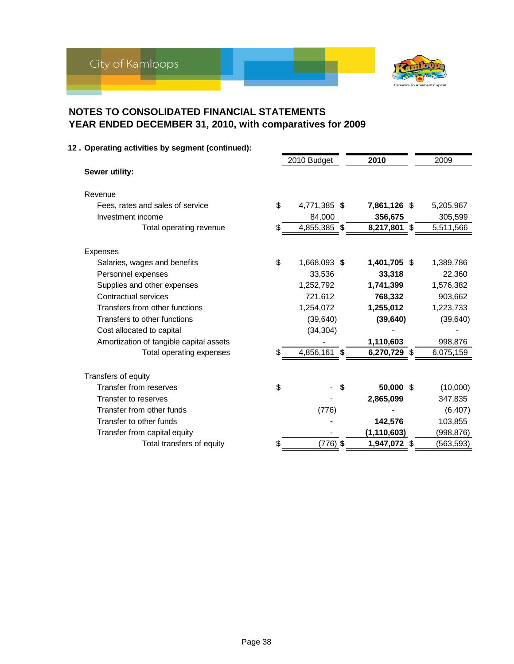

|                                         |                           |    | 2010 Budget  |   | 2010          | 2009       |
|-----------------------------------------|---------------------------|----|--------------|---|---------------|------------|
| Sewer utility:                          |                           |    |              |   |               |            |
| Revenue                                 |                           |    |              |   |               |            |
| Fees, rates and sales of service        |                           | \$ | 4,771,385 \$ |   | 7,861,126 \$  | 5,205,967  |
| Investment income                       |                           |    | 84,000       |   | 356,675       | 305,599    |
|                                         | Total operating revenue   | S  | 4,855,385 \$ |   | 8,217,801 \$  | 5,511,566  |
| Expenses                                |                           |    |              |   |               |            |
| Salaries, wages and benefits            |                           | \$ | 1,668,093 \$ |   | 1,401,705 \$  | 1,389,786  |
| Personnel expenses                      |                           |    | 33,536       |   | 33,318        | 22,360     |
| Supplies and other expenses             |                           |    | 1,252,792    |   | 1,741,399     | 1,576,382  |
| Contractual services                    |                           |    | 721,612      |   | 768,332       | 903,662    |
| Transfers from other functions          |                           |    | 1,254,072    |   | 1,255,012     | 1,223,733  |
| Transfers to other functions            |                           |    | (39, 640)    |   | (39, 640)     | (39, 640)  |
| Cost allocated to capital               |                           |    | (34, 304)    |   |               |            |
| Amortization of tangible capital assets |                           |    |              |   | 1,110,603     | 998,876    |
|                                         | Total operating expenses  |    | 4,856,161 \$ |   | 6,270,729 \$  | 6,075,159  |
| Transfers of equity                     |                           |    |              |   |               |            |
| Transfer from reserves                  |                           | \$ |              | S | 50,000 \$     | (10,000)   |
| Transfer to reserves                    |                           |    |              |   | 2,865,099     | 347,835    |
| Transfer from other funds               |                           |    | (776)        |   |               | (6, 407)   |
| Transfer to other funds                 |                           |    |              |   | 142,576       | 103,855    |
| Transfer from capital equity            |                           |    |              |   | (1, 110, 603) | (998, 876) |
|                                         | Total transfers of equity | \$ | $(776)$ \$   |   | 1,947,072 \$  | (563,593)  |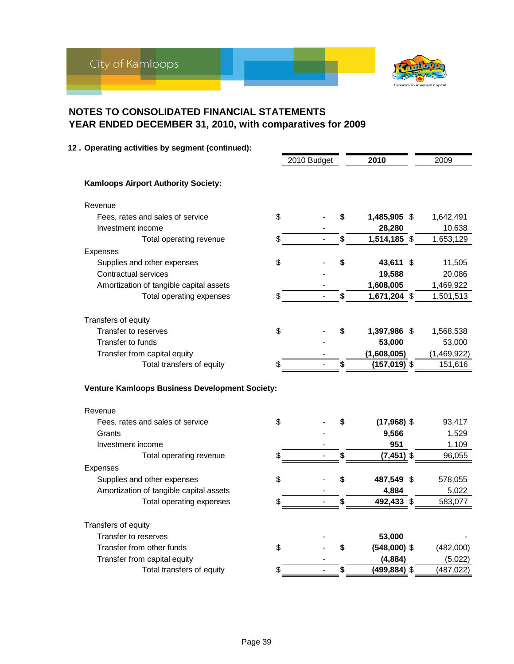

| 12. Operating activities by segment (continued): |                      |    |                 |             |
|--------------------------------------------------|----------------------|----|-----------------|-------------|
|                                                  | 2010 Budget          |    | 2010            | 2009        |
| <b>Kamloops Airport Authority Society:</b>       |                      |    |                 |             |
| Revenue                                          |                      |    |                 |             |
| Fees, rates and sales of service                 | \$                   | \$ | 1,485,905 \$    | 1,642,491   |
| Investment income                                |                      |    | 28,280          | 10,638      |
| Total operating revenue                          | \$                   | \$ | 1,514,185 \$    | 1,653,129   |
| Expenses                                         |                      |    |                 |             |
| Supplies and other expenses                      | \$                   | \$ | 43,611 \$       | 11,505      |
| <b>Contractual services</b>                      |                      |    | 19,588          | 20,086      |
| Amortization of tangible capital assets          |                      |    | 1,608,005       | 1,469,922   |
| Total operating expenses                         |                      | \$ | 1,671,204 \$    | 1,501,513   |
|                                                  |                      |    |                 |             |
| Transfers of equity                              |                      |    |                 |             |
| Transfer to reserves                             | \$                   | \$ | 1,397,986 \$    | 1,568,538   |
| Transfer to funds                                |                      |    | 53,000          | 53,000      |
| Transfer from capital equity                     |                      |    | (1,608,005)     | (1,469,922) |
| Total transfers of equity                        | \$                   | \$ | $(157,019)$ \$  | 151,616     |
| Venture Kamloops Business Development Society:   |                      |    |                 |             |
| Revenue                                          |                      |    |                 |             |
| Fees, rates and sales of service                 | \$                   | S  | $(17,968)$ \$   | 93,417      |
| Grants                                           |                      |    | 9,566           | 1,529       |
| Investment income                                |                      |    | 951             | 1,109       |
| Total operating revenue                          | \$                   | \$ | $(7,451)$ \$    | 96,055      |
| Expenses                                         |                      |    |                 |             |
| Supplies and other expenses                      | \$                   | \$ | 487,549 \$      | 578,055     |
| Amortization of tangible capital assets          |                      |    | 4,884           | 5,022       |
| Total operating expenses                         | \$                   | \$ | 492,433 \$      | 583,077     |
| Transfers of equity                              |                      |    |                 |             |
| Transfer to reserves                             |                      |    | 53,000          |             |
| Transfer from other funds                        | \$                   | \$ | $(548,000)$ \$  | (482,000)   |
| Transfer from capital equity                     |                      |    | (4,884)         | (5,022)     |
| Total transfers of equity                        | \$<br>$\overline{a}$ | \$ | $(499, 884)$ \$ | (487, 022)  |
|                                                  |                      |    |                 |             |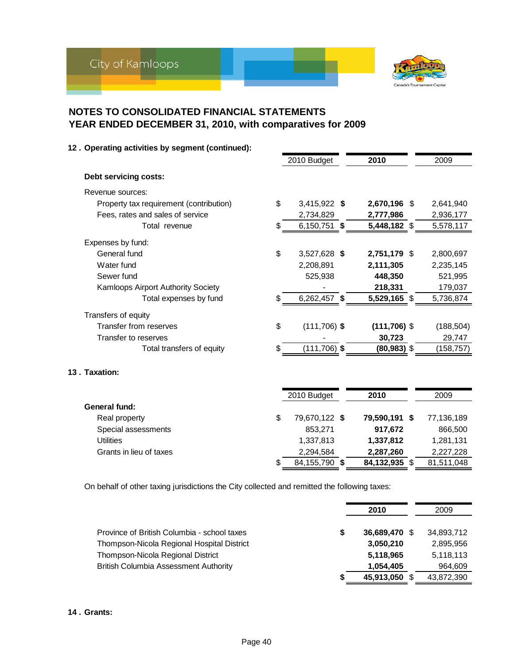

| 12. Operating activities by segment (continued): |    |                 |                |            |
|--------------------------------------------------|----|-----------------|----------------|------------|
|                                                  |    | 2010 Budget     | 2010           | 2009       |
| Debt servicing costs:                            |    |                 |                |            |
| Revenue sources:                                 |    |                 |                |            |
| Property tax requirement (contribution)          | \$ | 3,415,922 \$    | 2,670,196 \$   | 2,641,940  |
| Fees, rates and sales of service                 |    | 2,734,829       | 2,777,986      | 2,936,177  |
| Total revenue                                    |    | 6,150,751 \$    | 5,448,182 \$   | 5,578,117  |
| Expenses by fund:                                |    |                 |                |            |
| General fund                                     | \$ | 3,527,628 \$    | 2,751,179 \$   | 2,800,697  |
| Water fund                                       |    | 2,208,891       | 2,111,305      | 2,235,145  |
| Sewer fund                                       |    | 525,938         | 448,350        | 521,995    |
| Kamloops Airport Authority Society               |    |                 | 218,331        | 179,037    |
| Total expenses by fund                           |    | 6,262,457 \$    | 5,529,165 \$   | 5,736,874  |
| Transfers of equity                              |    |                 |                |            |
| Transfer from reserves                           | \$ | $(111,706)$ \$  | $(111,706)$ \$ | (188, 504) |
| Transfer to reserves                             |    |                 | 30,723         | 29,747     |
| Total transfers of equity                        | S  | $(111, 706)$ \$ | $(80, 983)$ \$ | (158, 757) |
| 13. Taxation:                                    |    |                 |                |            |
|                                                  |    | 2010 Budget     | 2010           | 2009       |
| General fund:                                    |    |                 |                |            |
| Real property                                    | \$ | 79,670,122 \$   | 79,590,191 \$  | 77,136,189 |
| Special assessments                              |    | 853,271         | 917,672        | 866,500    |
| <b>Utilities</b>                                 |    | 1,337,813       | 1,337,812      | 1,281,131  |
| Grants in lieu of taxes                          |    | 2,294,584       | 2,287,260      | 2,227,228  |

On behalf of other taxing jurisdictions the City collected and remitted the following taxes:

|                                              | 2010          | 2009       |
|----------------------------------------------|---------------|------------|
| Province of British Columbia - school taxes  | 36,689,470 \$ | 34,893,712 |
| Thompson-Nicola Regional Hospital District   | 3,050,210     | 2,895,956  |
| Thompson-Nicola Regional District            | 5,118,965     | 5,118,113  |
| <b>British Columbia Assessment Authority</b> | 1,054,405     | 964,609    |
|                                              | 45,913,050 \$ | 43,872,390 |

 $\overline{\$}$  84,155,790  $\overline{\$}$  84,132,935  $\overline{\$}$  81,511,048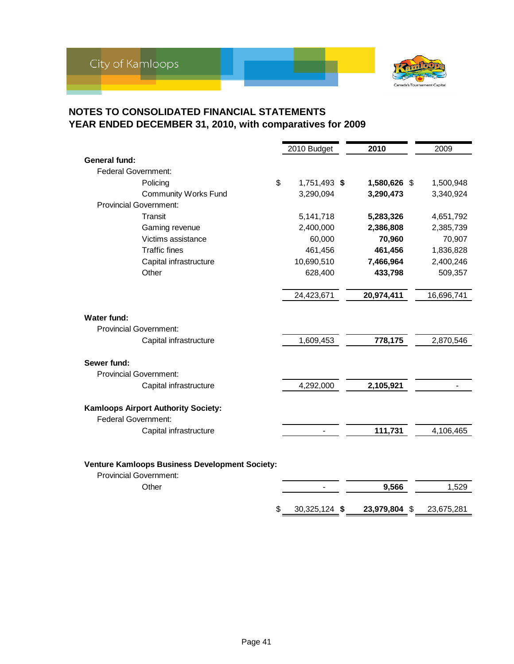

|                                                                                        | 2010 Budget         | 2010          | 2009       |
|----------------------------------------------------------------------------------------|---------------------|---------------|------------|
| <b>General fund:</b>                                                                   |                     |               |            |
| <b>Federal Government:</b>                                                             |                     |               |            |
| Policing                                                                               | \$<br>1,751,493 \$  | 1,580,626 \$  | 1,500,948  |
| <b>Community Works Fund</b>                                                            | 3,290,094           | 3,290,473     | 3,340,924  |
| <b>Provincial Government:</b>                                                          |                     |               |            |
| Transit                                                                                | 5,141,718           | 5,283,326     | 4,651,792  |
| Gaming revenue                                                                         | 2,400,000           | 2,386,808     | 2,385,739  |
| Victims assistance                                                                     | 60,000              | 70,960        | 70,907     |
| <b>Traffic fines</b>                                                                   | 461,456             | 461,456       | 1,836,828  |
| Capital infrastructure                                                                 | 10,690,510          | 7,466,964     | 2,400,246  |
| Other                                                                                  | 628,400             | 433,798       | 509,357    |
|                                                                                        | 24,423,671          | 20,974,411    | 16,696,741 |
| <b>Water fund:</b><br><b>Provincial Government:</b><br>Capital infrastructure          | 1,609,453           | 778,175       | 2,870,546  |
| Sewer fund:                                                                            |                     |               |            |
| <b>Provincial Government:</b>                                                          |                     |               |            |
| Capital infrastructure                                                                 | 4,292,000           | 2,105,921     |            |
| <b>Kamloops Airport Authority Society:</b><br><b>Federal Government:</b>               |                     |               |            |
| Capital infrastructure                                                                 |                     | 111,731       | 4,106,465  |
| <b>Venture Kamloops Business Development Society:</b><br><b>Provincial Government:</b> |                     |               |            |
| Other                                                                                  |                     | 9,566         | 1,529      |
|                                                                                        | \$<br>30,325,124 \$ | 23,979,804 \$ | 23,675,281 |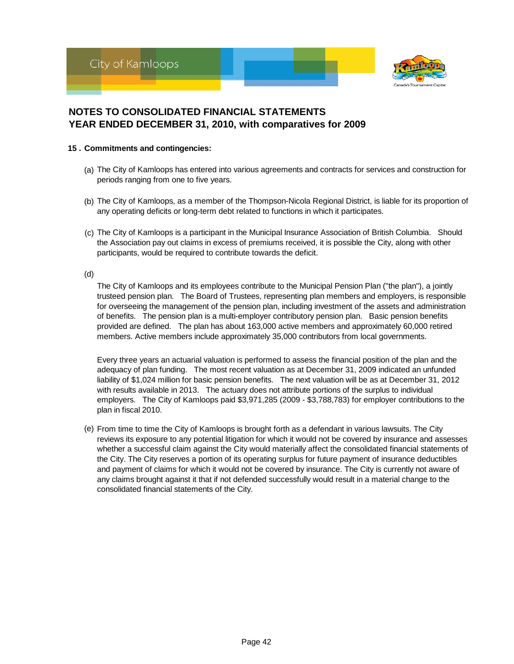



#### **15 . Commitments and contingencies:**

- (a) The City of Kamloops has entered into various agreements and contracts for services and construction for periods ranging from one to five years.
- (b) The City of Kamloops, as a member of the Thompson-Nicola Regional District, is liable for its proportion of any operating deficits or long-term debt related to functions in which it participates.
- (c) The City of Kamloops is a participant in the Municipal Insurance Association of British Columbia. Should the Association pay out claims in excess of premiums received, it is possible the City, along with other participants, would be required to contribute towards the deficit.

(d)

The City of Kamloops and its employees contribute to the Municipal Pension Plan ("the plan"), a jointly trusteed pension plan. The Board of Trustees, representing plan members and employers, is responsible for overseeing the management of the pension plan, including investment of the assets and administration of benefits. The pension plan is a multi-employer contributory pension plan. Basic pension benefits provided are defined. The plan has about 163,000 active members and approximately 60,000 retired members. Active members include approximately 35,000 contributors from local governments.

Every three years an actuarial valuation is performed to assess the financial position of the plan and the adequacy of plan funding. The most recent valuation as at December 31, 2009 indicated an unfunded liability of \$1,024 million for basic pension benefits. The next valuation will be as at December 31, 2012 with results available in 2013. The actuary does not attribute portions of the surplus to individual employers. The City of Kamloops paid \$3,971,285 (2009 - \$3,788,783) for employer contributions to the plan in fiscal 2010.

(e) From time to time the City of Kamloops is brought forth as a defendant in various lawsuits. The City reviews its exposure to any potential litigation for which it would not be covered by insurance and assesses whether a successful claim against the City would materially affect the consolidated financial statements of the City. The City reserves a portion of its operating surplus for future payment of insurance deductibles and payment of claims for which it would not be covered by insurance. The City is currently not aware of any claims brought against it that if not defended successfully would result in a material change to the consolidated financial statements of the City.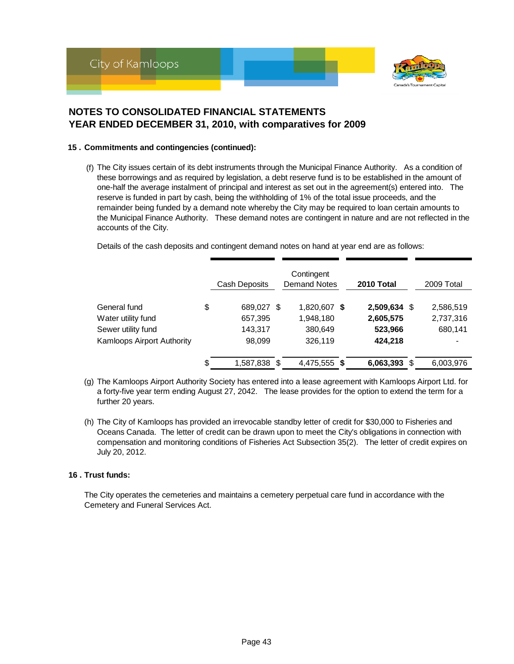

#### **15 . Commitments and contingencies (continued):**

(f) The City issues certain of its debt instruments through the Municipal Finance Authority. As a condition of these borrowings and as required by legislation, a debt reserve fund is to be established in the amount of one-half the average instalment of principal and interest as set out in the agreement(s) entered into. The reserve is funded in part by cash, being the withholding of 1% of the total issue proceeds, and the remainder being funded by a demand note whereby the City may be required to loan certain amounts to the Municipal Finance Authority. These demand notes are contingent in nature and are not reflected in the accounts of the City.

Details of the cash deposits and contingent demand notes on hand at year end are as follows:

|                                   | Cash Deposits      | Contingent<br><b>Demand Notes</b> | 2010 Total     | 2009 Total |
|-----------------------------------|--------------------|-----------------------------------|----------------|------------|
| General fund                      | \$<br>689,027 \$   | 1,820,607 \$                      | 2,509,634 \$   | 2,586,519  |
| Water utility fund                | 657,395            | 1,948,180                         | 2,605,575      | 2,737,316  |
| Sewer utility fund                | 143,317            | 380,649                           | 523,966        | 680,141    |
| <b>Kamloops Airport Authority</b> | 98,099             | 326,119                           | 424,218        |            |
|                                   | \$<br>1,587,838 \$ | 4,475,555 \$                      | $6,063,393$ \$ | 6,003,976  |

- (g) The Kamloops Airport Authority Society has entered into a lease agreement with Kamloops Airport Ltd. for a forty-five year term ending August 27, 2042. The lease provides for the option to extend the term for a further 20 years.
- (h) The City of Kamloops has provided an irrevocable standby letter of credit for \$30,000 to Fisheries and Oceans Canada. The letter of credit can be drawn upon to meet the City's obligations in connection with compensation and monitoring conditions of Fisheries Act Subsection 35(2). The letter of credit expires on July 20, 2012.

#### **16 . Trust funds:**

The City operates the cemeteries and maintains a cemetery perpetual care fund in accordance with the Cemetery and Funeral Services Act.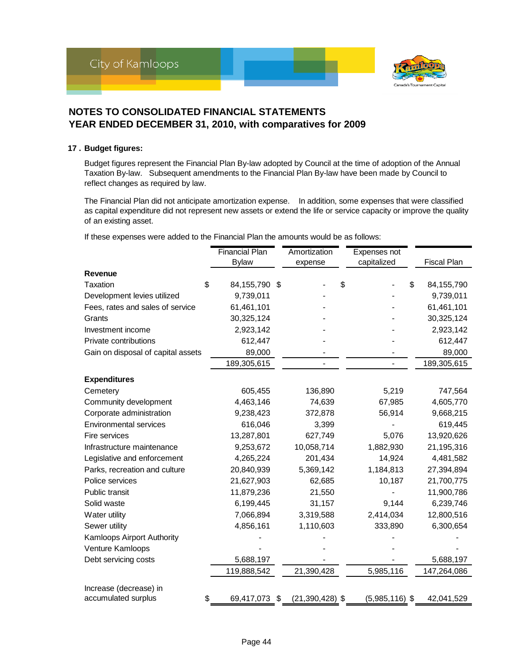

#### **17 . Budget figures:**

Budget figures represent the Financial Plan By-law adopted by Council at the time of adoption of the Annual Taxation By-law. Subsequent amendments to the Financial Plan By-law have been made by Council to reflect changes as required by law.

The Financial Plan did not anticipate amortization expense. In addition, some expenses that were classified as capital expenditure did not represent new assets or extend the life or service capacity or improve the quality of an existing asset.

If these expenses were added to the Financial Plan the amounts would be as follows:

|                                    | <b>Financial Plan</b> | Amortization              | Expenses not     |   |                    |
|------------------------------------|-----------------------|---------------------------|------------------|---|--------------------|
|                                    | <b>Bylaw</b>          | expense                   | capitalized      |   | <b>Fiscal Plan</b> |
| Revenue                            |                       |                           |                  |   |                    |
| \$<br><b>Taxation</b>              | 84,155,790            | \$                        | \$               | S | 84,155,790         |
| Development levies utilized        | 9,739,011             |                           |                  |   | 9,739,011          |
| Fees, rates and sales of service   | 61,461,101            |                           |                  |   | 61,461,101         |
| Grants                             | 30,325,124            |                           |                  |   | 30,325,124         |
| Investment income                  | 2,923,142             |                           |                  |   | 2,923,142          |
| Private contributions              | 612,447               |                           |                  |   | 612,447            |
| Gain on disposal of capital assets | 89,000                |                           |                  |   | 89,000             |
|                                    | 189,305,615           |                           |                  |   | 189,305,615        |
| <b>Expenditures</b>                |                       |                           |                  |   |                    |
| Cemetery                           | 605,455               | 136,890                   | 5,219            |   | 747,564            |
| Community development              | 4,463,146             | 74,639                    | 67,985           |   | 4,605,770          |
| Corporate administration           | 9,238,423             | 372,878                   | 56,914           |   | 9,668,215          |
| <b>Environmental services</b>      | 616,046               | 3,399                     |                  |   | 619,445            |
| Fire services                      | 13,287,801            | 627,749                   | 5,076            |   | 13,920,626         |
| Infrastructure maintenance         | 9,253,672             | 10,058,714                | 1,882,930        |   | 21,195,316         |
| Legislative and enforcement        | 4,265,224             | 201,434                   | 14,924           |   | 4,481,582          |
| Parks, recreation and culture      | 20,840,939            | 5,369,142                 | 1,184,813        |   | 27,394,894         |
| Police services                    | 21,627,903            | 62,685                    | 10,187           |   | 21,700,775         |
| Public transit                     | 11,879,236            | 21,550                    |                  |   | 11,900,786         |
| Solid waste                        | 6,199,445             | 31,157                    | 9,144            |   | 6,239,746          |
| Water utility                      | 7,066,894             | 3,319,588                 | 2,414,034        |   | 12,800,516         |
| Sewer utility                      | 4,856,161             | 1,110,603                 | 333,890          |   | 6,300,654          |
| Kamloops Airport Authority         |                       |                           |                  |   |                    |
| Venture Kamloops                   |                       |                           |                  |   |                    |
| Debt servicing costs               | 5,688,197             |                           |                  |   | 5,688,197          |
|                                    | 119,888,542           | 21,390,428                | 5,985,116        |   | 147,264,086        |
| Increase (decrease) in             |                       |                           |                  |   |                    |
| \$<br>accumulated surplus          | 69,417,073            | \$<br>$(21, 390, 428)$ \$ | $(5,985,116)$ \$ |   | 42,041,529         |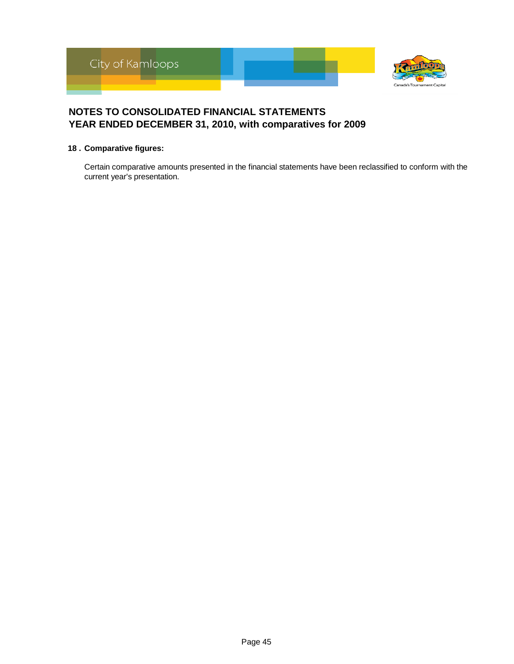

#### **18 . Comparative figures:**

Certain comparative amounts presented in the financial statements have been reclassified to conform with the current year's presentation.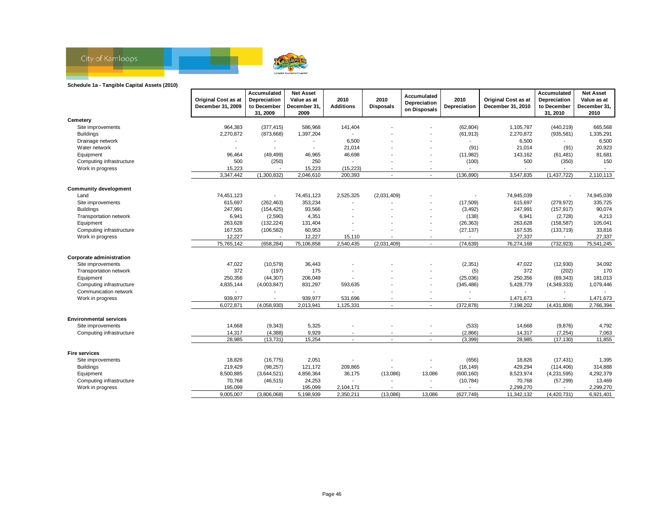

#### **Schedule 1a - Tangible Capital Assets (2010)**

| Cemetery<br>964,383<br>(377, 415)<br>586,968<br>141,404<br>(62, 804)<br>1,105,787<br>(440, 219)<br>665,568<br>Site improvements<br><b>Buildings</b><br>2,270,872<br>(873, 668)<br>1,397,204<br>(61, 913)<br>2,270,872<br>(935, 581)<br>1,335,291<br>$\sim$<br>6,500<br>Drainage network<br>6,500<br>6,500<br>$\overline{\phantom{a}}$<br>$\overline{\phantom{a}}$<br>20,923<br>Water network<br>21,014<br>(91)<br>21,014<br>(91)<br>46,698<br>81,681<br>96,464<br>(49, 499)<br>46,965<br>(11, 982)<br>143,162<br>Equipment<br>(61, 481)<br>150<br>Computing infrastructure<br>500<br>(250)<br>250<br>(100)<br>500<br>(350)<br>15,223<br>Work in progress<br>15,223<br>(15, 223)<br>3,347,442<br>(1,300,832)<br>200,393<br>(136, 890)<br>3,547,835<br>(1,437,722)<br>2,110,113<br>2,046,610<br>$\blacksquare$<br>$\blacksquare$<br><b>Community development</b><br>74,451,123<br>74,451,123<br>2,525,325<br>(2,031,409)<br>74,945,039<br>74,945,039<br>Land<br>615.697<br>353,234<br>(17,509)<br>615.697<br>(279, 972)<br>335,725<br>Site improvements<br>(262, 463)<br>93,566<br>90,074<br><b>Buildings</b><br>247,991<br>(3, 492)<br>247,991<br>(157, 917)<br>(154, 425)<br>6,941<br>4,351<br>(138)<br>4,213<br>Transportation network<br>(2,590)<br>6,941<br>(2,728)<br>105,041<br>Equipment<br>263,628<br>(132, 224)<br>131,404<br>(26, 363)<br>263,628<br>(158, 587)<br>33,816<br>Computing infrastructure<br>167,535<br>(106, 582)<br>60,953<br>(27, 137)<br>167,535<br>(133, 719)<br>12,227<br>12,227<br>27,337<br>27,337<br>Work in progress<br>15,110<br>75,765,142<br>(74, 639)<br>76,274,168<br>(732, 923)<br>75,541,245<br>(658, 284)<br>75,106,858<br>2,540,435<br>(2,031,409)<br>$\overline{\phantom{a}}$<br>Corporate administration<br>47,022<br>36,443<br>(2, 351)<br>34,092<br>Site improvements<br>(10, 579)<br>47,022<br>(12,930)<br>372<br>372<br>(197)<br>175<br>(202)<br>170<br>Transportation network<br>(5)<br>250,356<br>(44, 307)<br>206,049<br>(25,036)<br>250,356<br>181,013<br>Equipment<br>(69, 343)<br>Computing infrastructure<br>4,835,144<br>831,297<br>593,635<br>(345, 486)<br>5,428,779<br>1,079,446<br>(4,003,847)<br>(4,349,333)<br>Communication network<br>939,977<br>Work in progress<br>939,977<br>531,696<br>1,471,673<br>1,471,673<br>6,072,871<br>(4,058,930)<br>(372, 878)<br>7,198,202<br>(4, 431, 808)<br>2,766,394<br>2,013,941<br>1,125,331<br>$\overline{\phantom{a}}$<br>$\blacksquare$<br><b>Environmental services</b><br>5,325<br>4,792<br>Site improvements<br>14,668<br>(9, 343)<br>(533)<br>14,668<br>(9,876)<br>14,317<br>(4, 388)<br>9,929<br>(2,866)<br>(7, 254)<br>7,063<br>Computing infrastructure<br>14,317<br>28.985<br>15,254<br>(3, 399)<br>(17, 130)<br>11,855<br>(13, 731)<br>28,985<br>$\blacksquare$<br>$\overline{a}$<br><b>Fire services</b><br>18,826<br>(16, 775)<br>2,051<br>(656)<br>18,826<br>(17, 431)<br>1,395<br>Site improvements<br>314,888<br><b>Buildings</b><br>219,429<br>(98, 257)<br>121,172<br>209,865<br>(16, 149)<br>429,294<br>(114, 406)<br>$\overline{\phantom{a}}$<br>8,500,885<br>4,856,364<br>36,175<br>13,086<br>(600, 160)<br>8,523,974<br>4,292,379<br>Equipment<br>(3,644,521)<br>(13,086)<br>(4,231,595)<br>70,768<br>(46, 515)<br>24,253<br>(10, 784)<br>70,768<br>(57, 299)<br>13,469<br>Computing infrastructure<br>195,099<br>2,299,270<br>2,299,270<br>Work in progress<br>195,099<br>2,104,171<br>$\overline{\phantom{a}}$<br>$\overline{\phantom{a}}$<br>6,921,401<br>9,005,007<br>(3,806,068)<br>5,198,939<br>2,350,211<br>(13,086)<br>13,086<br>(627, 749)<br>11,342,132<br>(4, 420, 731) | <b>Original Cost as at</b><br>December 31, 2009 | Accumulated<br>Depreciation<br>to December<br>31, 2009 | <b>Net Asset</b><br>Value as at<br>December 31,<br>2009 | 2010<br><b>Additions</b> | 2010<br><b>Disposals</b> | Accumulated<br>Depreciation<br>on Disposals | 2010<br>Depreciation | <b>Original Cost as at</b><br>December 31, 2010 | Accumulated<br>Depreciation<br>to December<br>31, 2010 | <b>Net Asset</b><br>Value as at<br>December 31,<br>2010 |
|-------------------------------------------------------------------------------------------------------------------------------------------------------------------------------------------------------------------------------------------------------------------------------------------------------------------------------------------------------------------------------------------------------------------------------------------------------------------------------------------------------------------------------------------------------------------------------------------------------------------------------------------------------------------------------------------------------------------------------------------------------------------------------------------------------------------------------------------------------------------------------------------------------------------------------------------------------------------------------------------------------------------------------------------------------------------------------------------------------------------------------------------------------------------------------------------------------------------------------------------------------------------------------------------------------------------------------------------------------------------------------------------------------------------------------------------------------------------------------------------------------------------------------------------------------------------------------------------------------------------------------------------------------------------------------------------------------------------------------------------------------------------------------------------------------------------------------------------------------------------------------------------------------------------------------------------------------------------------------------------------------------------------------------------------------------------------------------------------------------------------------------------------------------------------------------------------------------------------------------------------------------------------------------------------------------------------------------------------------------------------------------------------------------------------------------------------------------------------------------------------------------------------------------------------------------------------------------------------------------------------------------------------------------------------------------------------------------------------------------------------------------------------------------------------------------------------------------------------------------------------------------------------------------------------------------------------------------------------------------------------------------------------------------------------------------------------------------------------------------------------------------------------------------------------------------------------------------------------------------------------------------------------------------------------------------------------------------------------------------------------------------------------------------------------------------------------------------------------------------------------------------------------------------------------------------------------------------------------------------|-------------------------------------------------|--------------------------------------------------------|---------------------------------------------------------|--------------------------|--------------------------|---------------------------------------------|----------------------|-------------------------------------------------|--------------------------------------------------------|---------------------------------------------------------|
|                                                                                                                                                                                                                                                                                                                                                                                                                                                                                                                                                                                                                                                                                                                                                                                                                                                                                                                                                                                                                                                                                                                                                                                                                                                                                                                                                                                                                                                                                                                                                                                                                                                                                                                                                                                                                                                                                                                                                                                                                                                                                                                                                                                                                                                                                                                                                                                                                                                                                                                                                                                                                                                                                                                                                                                                                                                                                                                                                                                                                                                                                                                                                                                                                                                                                                                                                                                                                                                                                                                                                                                                             |                                                 |                                                        |                                                         |                          |                          |                                             |                      |                                                 |                                                        |                                                         |
|                                                                                                                                                                                                                                                                                                                                                                                                                                                                                                                                                                                                                                                                                                                                                                                                                                                                                                                                                                                                                                                                                                                                                                                                                                                                                                                                                                                                                                                                                                                                                                                                                                                                                                                                                                                                                                                                                                                                                                                                                                                                                                                                                                                                                                                                                                                                                                                                                                                                                                                                                                                                                                                                                                                                                                                                                                                                                                                                                                                                                                                                                                                                                                                                                                                                                                                                                                                                                                                                                                                                                                                                             |                                                 |                                                        |                                                         |                          |                          |                                             |                      |                                                 |                                                        |                                                         |
|                                                                                                                                                                                                                                                                                                                                                                                                                                                                                                                                                                                                                                                                                                                                                                                                                                                                                                                                                                                                                                                                                                                                                                                                                                                                                                                                                                                                                                                                                                                                                                                                                                                                                                                                                                                                                                                                                                                                                                                                                                                                                                                                                                                                                                                                                                                                                                                                                                                                                                                                                                                                                                                                                                                                                                                                                                                                                                                                                                                                                                                                                                                                                                                                                                                                                                                                                                                                                                                                                                                                                                                                             |                                                 |                                                        |                                                         |                          |                          |                                             |                      |                                                 |                                                        |                                                         |
|                                                                                                                                                                                                                                                                                                                                                                                                                                                                                                                                                                                                                                                                                                                                                                                                                                                                                                                                                                                                                                                                                                                                                                                                                                                                                                                                                                                                                                                                                                                                                                                                                                                                                                                                                                                                                                                                                                                                                                                                                                                                                                                                                                                                                                                                                                                                                                                                                                                                                                                                                                                                                                                                                                                                                                                                                                                                                                                                                                                                                                                                                                                                                                                                                                                                                                                                                                                                                                                                                                                                                                                                             |                                                 |                                                        |                                                         |                          |                          |                                             |                      |                                                 |                                                        |                                                         |
|                                                                                                                                                                                                                                                                                                                                                                                                                                                                                                                                                                                                                                                                                                                                                                                                                                                                                                                                                                                                                                                                                                                                                                                                                                                                                                                                                                                                                                                                                                                                                                                                                                                                                                                                                                                                                                                                                                                                                                                                                                                                                                                                                                                                                                                                                                                                                                                                                                                                                                                                                                                                                                                                                                                                                                                                                                                                                                                                                                                                                                                                                                                                                                                                                                                                                                                                                                                                                                                                                                                                                                                                             |                                                 |                                                        |                                                         |                          |                          |                                             |                      |                                                 |                                                        |                                                         |
|                                                                                                                                                                                                                                                                                                                                                                                                                                                                                                                                                                                                                                                                                                                                                                                                                                                                                                                                                                                                                                                                                                                                                                                                                                                                                                                                                                                                                                                                                                                                                                                                                                                                                                                                                                                                                                                                                                                                                                                                                                                                                                                                                                                                                                                                                                                                                                                                                                                                                                                                                                                                                                                                                                                                                                                                                                                                                                                                                                                                                                                                                                                                                                                                                                                                                                                                                                                                                                                                                                                                                                                                             |                                                 |                                                        |                                                         |                          |                          |                                             |                      |                                                 |                                                        |                                                         |
|                                                                                                                                                                                                                                                                                                                                                                                                                                                                                                                                                                                                                                                                                                                                                                                                                                                                                                                                                                                                                                                                                                                                                                                                                                                                                                                                                                                                                                                                                                                                                                                                                                                                                                                                                                                                                                                                                                                                                                                                                                                                                                                                                                                                                                                                                                                                                                                                                                                                                                                                                                                                                                                                                                                                                                                                                                                                                                                                                                                                                                                                                                                                                                                                                                                                                                                                                                                                                                                                                                                                                                                                             |                                                 |                                                        |                                                         |                          |                          |                                             |                      |                                                 |                                                        |                                                         |
|                                                                                                                                                                                                                                                                                                                                                                                                                                                                                                                                                                                                                                                                                                                                                                                                                                                                                                                                                                                                                                                                                                                                                                                                                                                                                                                                                                                                                                                                                                                                                                                                                                                                                                                                                                                                                                                                                                                                                                                                                                                                                                                                                                                                                                                                                                                                                                                                                                                                                                                                                                                                                                                                                                                                                                                                                                                                                                                                                                                                                                                                                                                                                                                                                                                                                                                                                                                                                                                                                                                                                                                                             |                                                 |                                                        |                                                         |                          |                          |                                             |                      |                                                 |                                                        |                                                         |
|                                                                                                                                                                                                                                                                                                                                                                                                                                                                                                                                                                                                                                                                                                                                                                                                                                                                                                                                                                                                                                                                                                                                                                                                                                                                                                                                                                                                                                                                                                                                                                                                                                                                                                                                                                                                                                                                                                                                                                                                                                                                                                                                                                                                                                                                                                                                                                                                                                                                                                                                                                                                                                                                                                                                                                                                                                                                                                                                                                                                                                                                                                                                                                                                                                                                                                                                                                                                                                                                                                                                                                                                             |                                                 |                                                        |                                                         |                          |                          |                                             |                      |                                                 |                                                        |                                                         |
|                                                                                                                                                                                                                                                                                                                                                                                                                                                                                                                                                                                                                                                                                                                                                                                                                                                                                                                                                                                                                                                                                                                                                                                                                                                                                                                                                                                                                                                                                                                                                                                                                                                                                                                                                                                                                                                                                                                                                                                                                                                                                                                                                                                                                                                                                                                                                                                                                                                                                                                                                                                                                                                                                                                                                                                                                                                                                                                                                                                                                                                                                                                                                                                                                                                                                                                                                                                                                                                                                                                                                                                                             |                                                 |                                                        |                                                         |                          |                          |                                             |                      |                                                 |                                                        |                                                         |
|                                                                                                                                                                                                                                                                                                                                                                                                                                                                                                                                                                                                                                                                                                                                                                                                                                                                                                                                                                                                                                                                                                                                                                                                                                                                                                                                                                                                                                                                                                                                                                                                                                                                                                                                                                                                                                                                                                                                                                                                                                                                                                                                                                                                                                                                                                                                                                                                                                                                                                                                                                                                                                                                                                                                                                                                                                                                                                                                                                                                                                                                                                                                                                                                                                                                                                                                                                                                                                                                                                                                                                                                             |                                                 |                                                        |                                                         |                          |                          |                                             |                      |                                                 |                                                        |                                                         |
|                                                                                                                                                                                                                                                                                                                                                                                                                                                                                                                                                                                                                                                                                                                                                                                                                                                                                                                                                                                                                                                                                                                                                                                                                                                                                                                                                                                                                                                                                                                                                                                                                                                                                                                                                                                                                                                                                                                                                                                                                                                                                                                                                                                                                                                                                                                                                                                                                                                                                                                                                                                                                                                                                                                                                                                                                                                                                                                                                                                                                                                                                                                                                                                                                                                                                                                                                                                                                                                                                                                                                                                                             |                                                 |                                                        |                                                         |                          |                          |                                             |                      |                                                 |                                                        |                                                         |
|                                                                                                                                                                                                                                                                                                                                                                                                                                                                                                                                                                                                                                                                                                                                                                                                                                                                                                                                                                                                                                                                                                                                                                                                                                                                                                                                                                                                                                                                                                                                                                                                                                                                                                                                                                                                                                                                                                                                                                                                                                                                                                                                                                                                                                                                                                                                                                                                                                                                                                                                                                                                                                                                                                                                                                                                                                                                                                                                                                                                                                                                                                                                                                                                                                                                                                                                                                                                                                                                                                                                                                                                             |                                                 |                                                        |                                                         |                          |                          |                                             |                      |                                                 |                                                        |                                                         |
|                                                                                                                                                                                                                                                                                                                                                                                                                                                                                                                                                                                                                                                                                                                                                                                                                                                                                                                                                                                                                                                                                                                                                                                                                                                                                                                                                                                                                                                                                                                                                                                                                                                                                                                                                                                                                                                                                                                                                                                                                                                                                                                                                                                                                                                                                                                                                                                                                                                                                                                                                                                                                                                                                                                                                                                                                                                                                                                                                                                                                                                                                                                                                                                                                                                                                                                                                                                                                                                                                                                                                                                                             |                                                 |                                                        |                                                         |                          |                          |                                             |                      |                                                 |                                                        |                                                         |
|                                                                                                                                                                                                                                                                                                                                                                                                                                                                                                                                                                                                                                                                                                                                                                                                                                                                                                                                                                                                                                                                                                                                                                                                                                                                                                                                                                                                                                                                                                                                                                                                                                                                                                                                                                                                                                                                                                                                                                                                                                                                                                                                                                                                                                                                                                                                                                                                                                                                                                                                                                                                                                                                                                                                                                                                                                                                                                                                                                                                                                                                                                                                                                                                                                                                                                                                                                                                                                                                                                                                                                                                             |                                                 |                                                        |                                                         |                          |                          |                                             |                      |                                                 |                                                        |                                                         |
|                                                                                                                                                                                                                                                                                                                                                                                                                                                                                                                                                                                                                                                                                                                                                                                                                                                                                                                                                                                                                                                                                                                                                                                                                                                                                                                                                                                                                                                                                                                                                                                                                                                                                                                                                                                                                                                                                                                                                                                                                                                                                                                                                                                                                                                                                                                                                                                                                                                                                                                                                                                                                                                                                                                                                                                                                                                                                                                                                                                                                                                                                                                                                                                                                                                                                                                                                                                                                                                                                                                                                                                                             |                                                 |                                                        |                                                         |                          |                          |                                             |                      |                                                 |                                                        |                                                         |
|                                                                                                                                                                                                                                                                                                                                                                                                                                                                                                                                                                                                                                                                                                                                                                                                                                                                                                                                                                                                                                                                                                                                                                                                                                                                                                                                                                                                                                                                                                                                                                                                                                                                                                                                                                                                                                                                                                                                                                                                                                                                                                                                                                                                                                                                                                                                                                                                                                                                                                                                                                                                                                                                                                                                                                                                                                                                                                                                                                                                                                                                                                                                                                                                                                                                                                                                                                                                                                                                                                                                                                                                             |                                                 |                                                        |                                                         |                          |                          |                                             |                      |                                                 |                                                        |                                                         |
|                                                                                                                                                                                                                                                                                                                                                                                                                                                                                                                                                                                                                                                                                                                                                                                                                                                                                                                                                                                                                                                                                                                                                                                                                                                                                                                                                                                                                                                                                                                                                                                                                                                                                                                                                                                                                                                                                                                                                                                                                                                                                                                                                                                                                                                                                                                                                                                                                                                                                                                                                                                                                                                                                                                                                                                                                                                                                                                                                                                                                                                                                                                                                                                                                                                                                                                                                                                                                                                                                                                                                                                                             |                                                 |                                                        |                                                         |                          |                          |                                             |                      |                                                 |                                                        |                                                         |
|                                                                                                                                                                                                                                                                                                                                                                                                                                                                                                                                                                                                                                                                                                                                                                                                                                                                                                                                                                                                                                                                                                                                                                                                                                                                                                                                                                                                                                                                                                                                                                                                                                                                                                                                                                                                                                                                                                                                                                                                                                                                                                                                                                                                                                                                                                                                                                                                                                                                                                                                                                                                                                                                                                                                                                                                                                                                                                                                                                                                                                                                                                                                                                                                                                                                                                                                                                                                                                                                                                                                                                                                             |                                                 |                                                        |                                                         |                          |                          |                                             |                      |                                                 |                                                        |                                                         |
|                                                                                                                                                                                                                                                                                                                                                                                                                                                                                                                                                                                                                                                                                                                                                                                                                                                                                                                                                                                                                                                                                                                                                                                                                                                                                                                                                                                                                                                                                                                                                                                                                                                                                                                                                                                                                                                                                                                                                                                                                                                                                                                                                                                                                                                                                                                                                                                                                                                                                                                                                                                                                                                                                                                                                                                                                                                                                                                                                                                                                                                                                                                                                                                                                                                                                                                                                                                                                                                                                                                                                                                                             |                                                 |                                                        |                                                         |                          |                          |                                             |                      |                                                 |                                                        |                                                         |
|                                                                                                                                                                                                                                                                                                                                                                                                                                                                                                                                                                                                                                                                                                                                                                                                                                                                                                                                                                                                                                                                                                                                                                                                                                                                                                                                                                                                                                                                                                                                                                                                                                                                                                                                                                                                                                                                                                                                                                                                                                                                                                                                                                                                                                                                                                                                                                                                                                                                                                                                                                                                                                                                                                                                                                                                                                                                                                                                                                                                                                                                                                                                                                                                                                                                                                                                                                                                                                                                                                                                                                                                             |                                                 |                                                        |                                                         |                          |                          |                                             |                      |                                                 |                                                        |                                                         |
|                                                                                                                                                                                                                                                                                                                                                                                                                                                                                                                                                                                                                                                                                                                                                                                                                                                                                                                                                                                                                                                                                                                                                                                                                                                                                                                                                                                                                                                                                                                                                                                                                                                                                                                                                                                                                                                                                                                                                                                                                                                                                                                                                                                                                                                                                                                                                                                                                                                                                                                                                                                                                                                                                                                                                                                                                                                                                                                                                                                                                                                                                                                                                                                                                                                                                                                                                                                                                                                                                                                                                                                                             |                                                 |                                                        |                                                         |                          |                          |                                             |                      |                                                 |                                                        |                                                         |
|                                                                                                                                                                                                                                                                                                                                                                                                                                                                                                                                                                                                                                                                                                                                                                                                                                                                                                                                                                                                                                                                                                                                                                                                                                                                                                                                                                                                                                                                                                                                                                                                                                                                                                                                                                                                                                                                                                                                                                                                                                                                                                                                                                                                                                                                                                                                                                                                                                                                                                                                                                                                                                                                                                                                                                                                                                                                                                                                                                                                                                                                                                                                                                                                                                                                                                                                                                                                                                                                                                                                                                                                             |                                                 |                                                        |                                                         |                          |                          |                                             |                      |                                                 |                                                        |                                                         |
|                                                                                                                                                                                                                                                                                                                                                                                                                                                                                                                                                                                                                                                                                                                                                                                                                                                                                                                                                                                                                                                                                                                                                                                                                                                                                                                                                                                                                                                                                                                                                                                                                                                                                                                                                                                                                                                                                                                                                                                                                                                                                                                                                                                                                                                                                                                                                                                                                                                                                                                                                                                                                                                                                                                                                                                                                                                                                                                                                                                                                                                                                                                                                                                                                                                                                                                                                                                                                                                                                                                                                                                                             |                                                 |                                                        |                                                         |                          |                          |                                             |                      |                                                 |                                                        |                                                         |
|                                                                                                                                                                                                                                                                                                                                                                                                                                                                                                                                                                                                                                                                                                                                                                                                                                                                                                                                                                                                                                                                                                                                                                                                                                                                                                                                                                                                                                                                                                                                                                                                                                                                                                                                                                                                                                                                                                                                                                                                                                                                                                                                                                                                                                                                                                                                                                                                                                                                                                                                                                                                                                                                                                                                                                                                                                                                                                                                                                                                                                                                                                                                                                                                                                                                                                                                                                                                                                                                                                                                                                                                             |                                                 |                                                        |                                                         |                          |                          |                                             |                      |                                                 |                                                        |                                                         |
|                                                                                                                                                                                                                                                                                                                                                                                                                                                                                                                                                                                                                                                                                                                                                                                                                                                                                                                                                                                                                                                                                                                                                                                                                                                                                                                                                                                                                                                                                                                                                                                                                                                                                                                                                                                                                                                                                                                                                                                                                                                                                                                                                                                                                                                                                                                                                                                                                                                                                                                                                                                                                                                                                                                                                                                                                                                                                                                                                                                                                                                                                                                                                                                                                                                                                                                                                                                                                                                                                                                                                                                                             |                                                 |                                                        |                                                         |                          |                          |                                             |                      |                                                 |                                                        |                                                         |
|                                                                                                                                                                                                                                                                                                                                                                                                                                                                                                                                                                                                                                                                                                                                                                                                                                                                                                                                                                                                                                                                                                                                                                                                                                                                                                                                                                                                                                                                                                                                                                                                                                                                                                                                                                                                                                                                                                                                                                                                                                                                                                                                                                                                                                                                                                                                                                                                                                                                                                                                                                                                                                                                                                                                                                                                                                                                                                                                                                                                                                                                                                                                                                                                                                                                                                                                                                                                                                                                                                                                                                                                             |                                                 |                                                        |                                                         |                          |                          |                                             |                      |                                                 |                                                        |                                                         |
|                                                                                                                                                                                                                                                                                                                                                                                                                                                                                                                                                                                                                                                                                                                                                                                                                                                                                                                                                                                                                                                                                                                                                                                                                                                                                                                                                                                                                                                                                                                                                                                                                                                                                                                                                                                                                                                                                                                                                                                                                                                                                                                                                                                                                                                                                                                                                                                                                                                                                                                                                                                                                                                                                                                                                                                                                                                                                                                                                                                                                                                                                                                                                                                                                                                                                                                                                                                                                                                                                                                                                                                                             |                                                 |                                                        |                                                         |                          |                          |                                             |                      |                                                 |                                                        |                                                         |
|                                                                                                                                                                                                                                                                                                                                                                                                                                                                                                                                                                                                                                                                                                                                                                                                                                                                                                                                                                                                                                                                                                                                                                                                                                                                                                                                                                                                                                                                                                                                                                                                                                                                                                                                                                                                                                                                                                                                                                                                                                                                                                                                                                                                                                                                                                                                                                                                                                                                                                                                                                                                                                                                                                                                                                                                                                                                                                                                                                                                                                                                                                                                                                                                                                                                                                                                                                                                                                                                                                                                                                                                             |                                                 |                                                        |                                                         |                          |                          |                                             |                      |                                                 |                                                        |                                                         |
|                                                                                                                                                                                                                                                                                                                                                                                                                                                                                                                                                                                                                                                                                                                                                                                                                                                                                                                                                                                                                                                                                                                                                                                                                                                                                                                                                                                                                                                                                                                                                                                                                                                                                                                                                                                                                                                                                                                                                                                                                                                                                                                                                                                                                                                                                                                                                                                                                                                                                                                                                                                                                                                                                                                                                                                                                                                                                                                                                                                                                                                                                                                                                                                                                                                                                                                                                                                                                                                                                                                                                                                                             |                                                 |                                                        |                                                         |                          |                          |                                             |                      |                                                 |                                                        |                                                         |
|                                                                                                                                                                                                                                                                                                                                                                                                                                                                                                                                                                                                                                                                                                                                                                                                                                                                                                                                                                                                                                                                                                                                                                                                                                                                                                                                                                                                                                                                                                                                                                                                                                                                                                                                                                                                                                                                                                                                                                                                                                                                                                                                                                                                                                                                                                                                                                                                                                                                                                                                                                                                                                                                                                                                                                                                                                                                                                                                                                                                                                                                                                                                                                                                                                                                                                                                                                                                                                                                                                                                                                                                             |                                                 |                                                        |                                                         |                          |                          |                                             |                      |                                                 |                                                        |                                                         |
|                                                                                                                                                                                                                                                                                                                                                                                                                                                                                                                                                                                                                                                                                                                                                                                                                                                                                                                                                                                                                                                                                                                                                                                                                                                                                                                                                                                                                                                                                                                                                                                                                                                                                                                                                                                                                                                                                                                                                                                                                                                                                                                                                                                                                                                                                                                                                                                                                                                                                                                                                                                                                                                                                                                                                                                                                                                                                                                                                                                                                                                                                                                                                                                                                                                                                                                                                                                                                                                                                                                                                                                                             |                                                 |                                                        |                                                         |                          |                          |                                             |                      |                                                 |                                                        |                                                         |
|                                                                                                                                                                                                                                                                                                                                                                                                                                                                                                                                                                                                                                                                                                                                                                                                                                                                                                                                                                                                                                                                                                                                                                                                                                                                                                                                                                                                                                                                                                                                                                                                                                                                                                                                                                                                                                                                                                                                                                                                                                                                                                                                                                                                                                                                                                                                                                                                                                                                                                                                                                                                                                                                                                                                                                                                                                                                                                                                                                                                                                                                                                                                                                                                                                                                                                                                                                                                                                                                                                                                                                                                             |                                                 |                                                        |                                                         |                          |                          |                                             |                      |                                                 |                                                        |                                                         |
|                                                                                                                                                                                                                                                                                                                                                                                                                                                                                                                                                                                                                                                                                                                                                                                                                                                                                                                                                                                                                                                                                                                                                                                                                                                                                                                                                                                                                                                                                                                                                                                                                                                                                                                                                                                                                                                                                                                                                                                                                                                                                                                                                                                                                                                                                                                                                                                                                                                                                                                                                                                                                                                                                                                                                                                                                                                                                                                                                                                                                                                                                                                                                                                                                                                                                                                                                                                                                                                                                                                                                                                                             |                                                 |                                                        |                                                         |                          |                          |                                             |                      |                                                 |                                                        |                                                         |
|                                                                                                                                                                                                                                                                                                                                                                                                                                                                                                                                                                                                                                                                                                                                                                                                                                                                                                                                                                                                                                                                                                                                                                                                                                                                                                                                                                                                                                                                                                                                                                                                                                                                                                                                                                                                                                                                                                                                                                                                                                                                                                                                                                                                                                                                                                                                                                                                                                                                                                                                                                                                                                                                                                                                                                                                                                                                                                                                                                                                                                                                                                                                                                                                                                                                                                                                                                                                                                                                                                                                                                                                             |                                                 |                                                        |                                                         |                          |                          |                                             |                      |                                                 |                                                        |                                                         |
|                                                                                                                                                                                                                                                                                                                                                                                                                                                                                                                                                                                                                                                                                                                                                                                                                                                                                                                                                                                                                                                                                                                                                                                                                                                                                                                                                                                                                                                                                                                                                                                                                                                                                                                                                                                                                                                                                                                                                                                                                                                                                                                                                                                                                                                                                                                                                                                                                                                                                                                                                                                                                                                                                                                                                                                                                                                                                                                                                                                                                                                                                                                                                                                                                                                                                                                                                                                                                                                                                                                                                                                                             |                                                 |                                                        |                                                         |                          |                          |                                             |                      |                                                 |                                                        |                                                         |
|                                                                                                                                                                                                                                                                                                                                                                                                                                                                                                                                                                                                                                                                                                                                                                                                                                                                                                                                                                                                                                                                                                                                                                                                                                                                                                                                                                                                                                                                                                                                                                                                                                                                                                                                                                                                                                                                                                                                                                                                                                                                                                                                                                                                                                                                                                                                                                                                                                                                                                                                                                                                                                                                                                                                                                                                                                                                                                                                                                                                                                                                                                                                                                                                                                                                                                                                                                                                                                                                                                                                                                                                             |                                                 |                                                        |                                                         |                          |                          |                                             |                      |                                                 |                                                        |                                                         |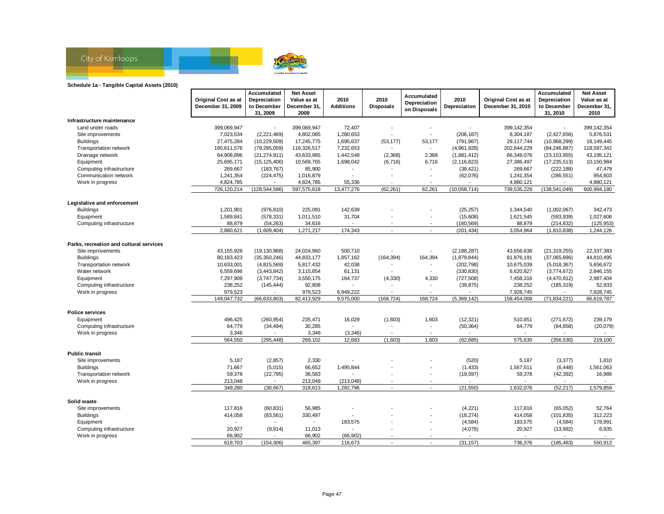

#### **Schedule 1a - Tangible Capital Assets (2010)**

|                                         |                     | Accumulated     | <b>Net Asset</b>                    |                          |                          |                              |                          |                            | Accumulated     | <b>Net Asset</b> |
|-----------------------------------------|---------------------|-----------------|-------------------------------------|--------------------------|--------------------------|------------------------------|--------------------------|----------------------------|-----------------|------------------|
|                                         | Original Cost as at | Depreciation    | Value as at                         | 2010                     | 2010                     | Accumulated                  | 2010                     | <b>Original Cost as at</b> | Depreciation    | Value as at      |
|                                         | December 31, 2009   | to December     | December 31,                        | <b>Additions</b>         | <b>Disposals</b>         | Depreciation<br>on Disposals | Depreciation             | December 31, 2010          | to December     | December 31,     |
|                                         |                     | 31, 2009        | 2009                                |                          |                          |                              |                          |                            | 31, 2010        | 2010             |
| Infrastructure maintenance              |                     |                 |                                     |                          |                          |                              |                          |                            |                 |                  |
| Land under roads                        | 399,069,947         |                 | 399,069,947                         | 72,407                   |                          |                              | $\overline{\phantom{a}}$ | 399,142,354                | $\blacksquare$  | 399,142,354      |
| Site improvements                       | 7,023,534           | (2,221,469)     | 4,802,065                           | 1,280,653                |                          | $\overline{\phantom{a}}$     | (206, 187)               | 8,304,187                  | (2,427,656)     | 5,876,531        |
| <b>Buildings</b>                        | 27,475,284          | (10, 229, 509)  | 17,245,775                          | 1,695,637                | (53, 177)                | 53,177                       | (791, 967)               | 29,117,744                 | (10,968,299)    | 18,149,445       |
| Transportation network                  | 195,611,576         | (79, 285, 059)  | 116,326,517                         | 7,232,653                |                          | $\blacksquare$               | (4,961,828)              | 202,844,229                | (84, 246, 887)  | 118,597,342      |
| Drainage network                        | 64,908,896          | (21, 274, 911)  | 43,633,985                          | 1,442,548                | (2,368)                  | 2,368                        | (1,881,412)              | 66,349,076                 | (23, 153, 955)  | 43,195,121       |
| Equipment                               | 25,695,171          | (15, 125, 406)  | 10,569,765                          | 1,698,042                | (6,716)                  | 6,716                        | (2, 116, 823)            | 27,386,497                 | (17, 235, 513)  | 10,150,984       |
| Computing infrastructure                | 269,667             | (183, 767)      | 85,900                              |                          |                          |                              | (38, 421)                | 269,667                    | (222, 188)      | 47,479           |
| Communication network                   | 1,241,354           | (224, 475)      | 1,016,879                           | $\overline{\phantom{a}}$ |                          |                              | (62,076)                 | 1,241,354                  | (286, 551)      | 954,803          |
| Work in progress                        | 4,824,785           |                 | 4,824,785                           | 55,336                   |                          |                              |                          | 4,880,121                  |                 | 4,880,121        |
|                                         | 726,120,214         | (128, 544, 596) | 597,575,618                         | 13,477,276               | (62, 261)                | 62,261                       | (10,058,714)             | 739,535,229                | (138, 541, 049) | 600,994,180      |
| Legislative and enforcement             |                     |                 |                                     |                          |                          |                              |                          |                            |                 |                  |
| <b>Buildings</b>                        | 1,201,901           | (976, 810)      | 225,091                             | 142,639                  |                          |                              | (25, 257)                | 1,344,540                  | (1,002,067)     | 342,473          |
| Equipment                               | 1,589,841           | (578, 331)      | 1,011,510                           | 31,704                   |                          | ٠                            | (15,608)                 | 1,621,545                  | (593, 939)      | 1,027,606        |
| Computing infrastructure                | 88,879              | (54, 263)       | 34,616                              | $\overline{\phantom{a}}$ |                          | ٠                            | (160, 569)               | 88,879                     | (214, 832)      | (125, 953)       |
|                                         | 2,880,621           | (1,609,404)     | 1,271,217                           | 174,343                  | $\mathbf{r}$             | $\mathbf{r}$                 | (201, 434)               | 3,054,964                  | (1,810,838)     | 1,244,126        |
|                                         |                     |                 |                                     |                          |                          |                              |                          |                            |                 |                  |
| Parks, recreation and cultural services |                     |                 |                                     |                          |                          |                              |                          |                            |                 |                  |
| Site improvements                       | 43,155,928          | (19, 130, 968)  | 24,024,960                          | 500,710                  |                          |                              | (2, 188, 287)            | 43,656,638                 | (21, 319, 255)  | 22,337,383       |
| <b>Buildings</b>                        | 80,183,423          | (35,350,246)    | 44,833,177                          | 1,857,162                | (164, 394)               | 164,394                      | (1,879,844)              | 81,876,191                 | (37,065,696)    | 44,810,495       |
| Transportation network                  | 10,633,001          | (4,815,569)     | 5,817,432                           | 42,038                   |                          |                              | (202, 798)               | 10,675,039                 | (5,018,367)     | 5,656,672        |
| Water network                           | 6,559,696           | (3,443,842)     | 3,115,854                           | 61,131                   |                          | $\blacksquare$               | (330, 830)               | 6,620,827                  | (3,774,672)     | 2,846,155        |
| Equipment                               | 7,297,909           | (3,747,734)     | 3,550,175                           | 164,737                  | (4, 330)                 | 4,330                        | (727, 508)               | 7,458,316                  | (4,470,912)     | 2,987,404        |
| Computing infrastructure                | 238,252             | (145, 444)      | 92,808                              |                          |                          |                              | (39, 875)                | 238,252                    | (185, 319)      | 52,933           |
| Work in progress                        | 979,523             |                 | 979,523                             | 6,949,222                |                          | $\overline{\phantom{a}}$     |                          | 7,928,745                  |                 | 7,928,745        |
|                                         | 149,047,732         | (66, 633, 803)  | 82,413,929                          | 9,575,000                | (168, 724)               | 168,724                      | (5,369,142)              | 158,454,008                | (71, 834, 221)  | 86,619,787       |
| <b>Police services</b>                  |                     |                 |                                     |                          |                          |                              |                          |                            |                 |                  |
| Equipment                               | 496,425             | (260, 954)      | 235,471                             | 16,029                   | (1,603)                  | 1,603                        | (12, 321)                | 510,851                    | (271, 672)      | 239,179          |
| Computing infrastructure                | 64,779              | (34, 494)       | 30,285                              |                          |                          | $\overline{\phantom{a}}$     | (50, 364)                | 64,779                     | (84, 858)       | (20,079)         |
| Work in progress                        | 3,346               |                 | 3,346                               | (3,346)                  |                          |                              |                          |                            |                 |                  |
|                                         | 564,550             | (295, 448)      | 269,102                             | 12,683                   | (1,603)                  | 1,603                        | (62, 685)                | 575,630                    | (356, 530)      | 219,100          |
| <b>Public transit</b>                   |                     |                 |                                     |                          |                          |                              |                          |                            |                 |                  |
| Site improvements                       | 5,187               | (2,857)         | 2,330                               |                          |                          |                              | (520)                    | 5,187                      | (3,377)         | 1,810            |
| <b>Buildings</b>                        | 71,667              | (5,015)         | 66,652                              | 1,495,844                |                          | $\overline{a}$               | (1, 433)                 | 1,567,511                  | (6, 448)        | 1,561,063        |
| Transportation network                  | 59,378              | (22, 795)       | 36,583                              |                          |                          | $\overline{\phantom{a}}$     | (19, 597)                | 59,378                     | (42, 392)       | 16,986           |
| Work in progress                        | 213,048             |                 | 213,048                             | (213, 048)               |                          |                              |                          |                            |                 |                  |
|                                         | 349.280             | (30, 667)       | 318,613                             | 1,282,796                | $\overline{\phantom{a}}$ | $\overline{\phantom{a}}$     | (21, 550)                | 1,632,076                  | (52, 217)       | 1,579,859        |
|                                         |                     |                 |                                     |                          |                          |                              |                          |                            |                 |                  |
| Solid waste                             |                     |                 |                                     |                          |                          |                              |                          |                            |                 |                  |
| Site improvements                       | 117,816             | (60, 831)       | 56,985                              |                          |                          | $\overline{a}$               | (4,221)                  | 117,816                    | (65, 052)       | 52,764           |
| <b>Buildings</b>                        | 414,058             | (83, 561)       | 330,497<br>$\overline{\phantom{a}}$ |                          |                          |                              | (18, 274)                | 414,058                    | (101, 835)      | 312,223          |
| Equipment                               |                     |                 |                                     | 183,575                  |                          |                              | (4, 584)                 | 183,575                    | (4, 584)        | 178,991          |
| Computing infrastructure                | 20,927<br>66,902    | (9,914)         | 11,013                              |                          |                          |                              | (4,078)                  | 20,927                     | (13,992)        | 6,935            |
| Work in progress                        | 619,703             | (154, 306)      | 66,902<br>465,397                   | (66, 902)<br>116,673     | $\overline{a}$           | $\overline{a}$               | (31, 157)                | 736,376                    | (185, 463)      | 550,913          |
|                                         |                     |                 |                                     |                          |                          |                              |                          |                            |                 |                  |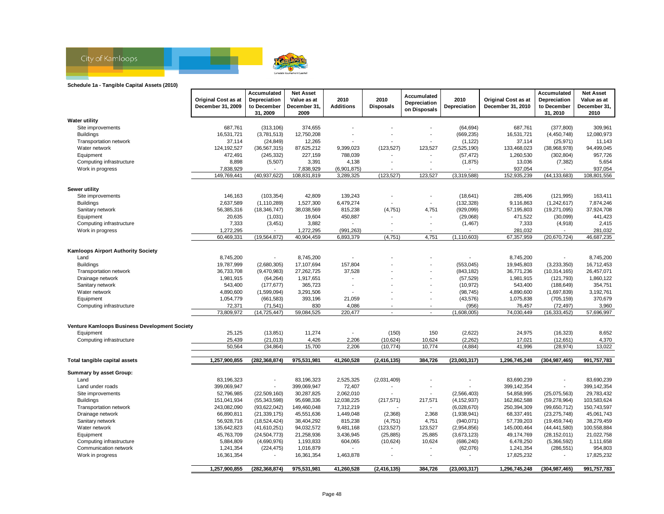

#### **Schedule 1a - Tangible Capital Assets (2010)**

|                                               |                            | Accumulated     | <b>Net Asset</b> |                  |                  |                          |               |                            | Accumulated              | <b>Net Asset</b> |
|-----------------------------------------------|----------------------------|-----------------|------------------|------------------|------------------|--------------------------|---------------|----------------------------|--------------------------|------------------|
|                                               | <b>Original Cost as at</b> | Depreciation    | Value as at      | 2010             | 2010             | Accumulated              | 2010          | <b>Original Cost as at</b> | Depreciation             | Value as at      |
|                                               | December 31, 2009          | to December     | December 31.     | <b>Additions</b> | <b>Disposals</b> | Depreciation             | Depreciation  | December 31, 2010          | to December              | December 31,     |
|                                               |                            | 31, 2009        | 2009             |                  |                  | on Disposals             |               |                            | 31, 2010                 | 2010             |
| Water utility                                 |                            |                 |                  |                  |                  |                          |               |                            |                          |                  |
| Site improvements                             | 687.761                    | (313, 106)      | 374,655          |                  |                  |                          | (64, 694)     | 687,761                    | (377, 800)               | 309,961          |
| <b>Buildings</b>                              | 16,531,721                 | (3,781,513)     | 12,750,208       |                  |                  |                          | (669, 235)    | 16,531,721                 | (4, 450, 748)            | 12,080,973       |
| Transportation network                        | 37,114                     | (24, 849)       | 12,265           |                  |                  |                          | (1, 122)      | 37,114                     | (25, 971)                | 11,143           |
| Water network                                 | 124,192,527                | (36, 567, 315)  | 87,625,212       | 9,399,023        | (123, 527)       | 123,527                  | (2,525,190)   | 133,468,023                | (38,968,978)             | 94,499,045       |
| Equipment                                     | 472,491                    | (245, 332)      | 227,159          | 788,039          |                  |                          | (57, 472)     | 1,260,530                  | (302, 804)               | 957,726          |
| Computing infrastructure                      | 8,898                      | (5,507)         | 3,391            | 4,138            |                  |                          | (1,875)       | 13,036                     | (7, 382)                 | 5,654            |
| Work in progress                              | 7,838,929                  |                 | 7,838,929        | (6,901,875)      |                  |                          |               | 937,054                    |                          | 937,054          |
|                                               | 149,769,441                | (40, 937, 622)  | 108,831,819      | 3,289,325        | (123, 527)       | 123,527                  | (3,319,588)   | 152,935,239                | (44, 133, 683)           | 108,801,556      |
|                                               |                            |                 |                  |                  |                  |                          |               |                            |                          |                  |
| Sewer utility                                 |                            |                 |                  |                  |                  |                          |               |                            |                          |                  |
| Site improvements                             | 146,163                    | (103, 354)      | 42,809           | 139,243          |                  |                          | (18, 641)     | 285,406                    | (121, 995)               | 163,411          |
| <b>Buildings</b>                              | 2,637,589                  | (1, 110, 289)   | 1,527,300        | 6,479,274        |                  | $\overline{a}$           | (132, 328)    | 9,116,863                  | (1,242,617)              | 7,874,246        |
|                                               |                            |                 |                  |                  |                  |                          |               |                            |                          |                  |
| Sanitary network                              | 56,385,316                 | (18, 346, 747)  | 38,038,569       | 815,238          | (4,751)          | 4,751                    | (929,099)     | 57,195,803                 | (19, 271, 095)           | 37,924,708       |
| Equipment                                     | 20,635                     | (1,031)         | 19,604           | 450,887          |                  |                          | (29,068)      | 471,522                    | (30,099)                 | 441,423          |
| Computing infrastructure                      | 7,333                      | (3, 451)        | 3,882            | $\blacksquare$   |                  |                          | (1, 467)      | 7,333                      | (4,918)                  | 2,415            |
| Work in progress                              | 1,272,295                  |                 | 1,272,295        | (991, 263)       |                  |                          |               | 281,032                    |                          | 281,032          |
|                                               | 60,469,331                 | (19, 564, 872)  | 40,904,459       | 6,893,379        | (4,751)          | 4,751                    | (1, 110, 603) | 67,357,959                 | (20, 670, 724)           | 46,687,235       |
| <b>Kamloops Airport Authority Society</b>     |                            |                 |                  |                  |                  |                          |               |                            |                          |                  |
| Land                                          | 8,745,200                  |                 | 8,745,200        |                  |                  |                          |               | 8,745,200                  |                          | 8,745,200        |
| <b>Buildings</b>                              | 19,787,999                 | (2,680,305)     | 17,107,694       | 157,804          |                  | $\overline{a}$           | (553,045)     | 19,945,803                 | (3,233,350)              | 16,712,453       |
| Transportation network                        | 36,733,708                 | (9,470,983)     | 27,262,725       | 37,528           |                  |                          | (843, 182)    | 36,771,236                 | (10, 314, 165)           | 26,457,071       |
| Drainage network                              | 1,981,915                  | (64, 264)       | 1,917,651        | $\blacksquare$   |                  |                          | (57, 529)     | 1,981,915                  | (121, 793)               | 1,860,122        |
|                                               |                            |                 |                  | $\blacksquare$   |                  | $\overline{a}$           | (10, 972)     |                            |                          | 354,751          |
| Sanitary network                              | 543,400                    | (177, 677)      | 365,723          |                  |                  |                          |               | 543,400                    | (188, 649)               |                  |
| Water network                                 | 4,890,600                  | (1,599,094)     | 3,291,506        |                  |                  |                          | (98, 745)     | 4,890,600                  | (1,697,839)              | 3,192,761        |
| Equipment                                     | 1,054,779                  | (661, 583)      | 393,196          | 21,059           |                  | ٠                        | (43, 576)     | 1,075,838                  | (705, 159)               | 370,679          |
| Computing infrastructure                      | 72,371                     | (71, 541)       | 830              | 4,086            |                  |                          | (956)         | 76,457                     | (72, 497)                | 3,960            |
|                                               | 73,809,972                 | (14, 725, 447)  | 59,084,525       | 220,477          | $\blacksquare$   | $\overline{\phantom{a}}$ | (1,608,005)   | 74,030,449                 | (16, 333, 452)           | 57,696,997       |
| Venture Kamloops Business Development Society |                            |                 |                  |                  |                  |                          |               |                            |                          |                  |
| Equipment                                     | 25,125                     | (13, 851)       | 11,274           | $\overline{a}$   | (150)            | 150                      | (2,622)       | 24,975                     | (16, 323)                | 8,652            |
| Computing infrastructure                      | 25,439                     | (21, 013)       | 4,426            | 2,206            | (10,624)         | 10,624                   | (2, 262)      | 17,021                     | (12,651)                 | 4,370            |
|                                               | 50,564                     | (34, 864)       | 15,700           | 2,206            | (10, 774)        | 10,774                   | (4,884)       | 41,996                     | (28, 974)                | 13,022           |
|                                               |                            |                 |                  |                  |                  |                          |               |                            |                          |                  |
| Total tangible capital assets                 | 1,257,900,855              | (282, 368, 874) | 975,531,981      | 41,260,528       | (2, 416, 135)    | 384,726                  | (23,003,317)  | 1,296,745,248              | (304, 987, 465)          | 991,757,783      |
| Summary by asset Group:                       |                            |                 |                  |                  |                  |                          |               |                            |                          |                  |
| Land                                          | 83,196,323                 |                 | 83,196,323       | 2,525,325        | (2,031,409)      |                          |               | 83,690,239                 |                          | 83,690,239       |
| Land under roads                              | 399,069,947                |                 | 399,069,947      | 72,407           |                  |                          |               | 399,142,354                | $\overline{\phantom{a}}$ | 399,142,354      |
| Site improvements                             | 52,796,985                 | (22,509,160)    | 30,287,825       | 2,062,010        |                  | $\overline{\phantom{a}}$ | (2,566,403)   | 54,858,995                 | (25,075,563)             | 29,783,432       |
|                                               | 151,041,934                | (55, 343, 598)  |                  | 12,038,225       |                  |                          |               | 162,862,588                |                          | 103,583,624      |
| <b>Buildings</b>                              |                            |                 | 95,698,336       |                  | (217, 571)       | 217,571                  | (4, 152, 937) |                            | (59, 278, 964)           |                  |
| Transportation network                        | 243,082,090                | (93, 622, 042)  | 149,460,048      | 7,312,219        |                  | $\overline{\phantom{a}}$ | (6,028,670)   | 250,394,309                | (99,650,712)             | 150,743,597      |
| Drainage network                              | 66,890,811                 | (21, 339, 175)  | 45,551,636       | 1,449,048        | (2,368)          | 2,368                    | (1,938,941)   | 68,337,491                 | (23, 275, 748)           | 45,061,743       |
| Sanitary network                              | 56,928,716                 | (18, 524, 424)  | 38,404,292       | 815,238          | (4,751)          | 4,751                    | (940, 071)    | 57,739,203                 | (19, 459, 744)           | 38,279,459       |
| Water network                                 | 135,642,823                | (41,610,251)    | 94,032,572       | 9,481,168        | (123, 527)       | 123,527                  | (2,954,856)   | 145,000,464                | (44, 441, 580)           | 100,558,884      |
| Equipment                                     | 45,763,709                 | (24, 504, 773)  | 21,258,936       | 3,436,945        | (25, 885)        | 25,885                   | (3,673,123)   | 49,174,769                 | (28, 152, 011)           | 21,022,758       |
| Computing infrastructure                      | 5,884,809                  | (4,690,976)     | 1,193,833        | 604,065          | (10,624)         | 10,624                   | (686, 240)    | 6,478,250                  | (5,366,592)              | 1,111,658        |
| Communication network                         | 1,241,354                  | (224, 475)      | 1,016,879        |                  |                  |                          | (62,076)      | 1,241,354                  | (286, 551)               | 954,803          |
| Work in progress                              | 16,361,354                 |                 | 16,361,354       | 1,463,878        |                  |                          |               | 17,825,232                 |                          | 17,825,232       |
|                                               | 1,257,900,855              | (282.368.874)   | 975.531.981      | 41.260.528       | (2, 416, 135)    | 384,726                  | (23,003,317)  | 1.296.745.248              | (304.987.465)            | 991,757,783      |
|                                               |                            |                 |                  |                  |                  |                          |               |                            |                          |                  |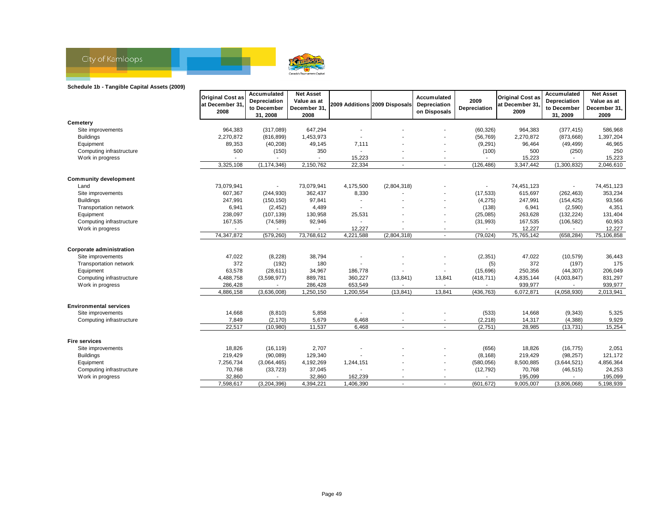

#### **Schedule 1b - Tangible Capital Assets (2009)**

|                                 | <b>Original Cost as</b> | Accumulated<br>Depreciation | <b>Net Asset</b><br>Value as at |                               |                          | Accumulated                  | 2009         | <b>Original Cost as</b> | Accumulated<br>Depreciation | <b>Net Asset</b><br>Value as at |
|---------------------------------|-------------------------|-----------------------------|---------------------------------|-------------------------------|--------------------------|------------------------------|--------------|-------------------------|-----------------------------|---------------------------------|
|                                 | at December 31<br>2008  | to December                 | December 31,                    | 2009 Additions 2009 Disposals |                          | Depreciation<br>on Disposals | Depreciation | at December 31<br>2009  | to December                 | December 31,                    |
|                                 |                         | 31, 2008                    | 2008                            |                               |                          |                              |              |                         | 31, 2009                    | 2009                            |
| Cemeterv                        |                         |                             |                                 |                               |                          |                              |              |                         |                             |                                 |
| Site improvements               | 964,383                 | (317,089)                   | 647,294                         |                               |                          |                              | (60, 326)    | 964,383                 | (377, 415)                  | 586,968                         |
| <b>Buildings</b>                | 2,270,872               | (816, 899)                  | 1,453,973                       |                               |                          |                              | (56, 769)    | 2,270,872               | (873, 668)                  | 1,397,204                       |
| Equipment                       | 89,353                  | (40, 208)                   | 49,145                          | 7,111                         |                          |                              | (9, 291)     | 96,464                  | (49, 499)                   | 46,965                          |
| Computing infrastructure        | 500                     | (150)                       | 350                             |                               |                          |                              | (100)        | 500                     | (250)                       | 250                             |
| Work in progress                |                         |                             |                                 | 15,223                        |                          |                              |              | 15,223                  |                             | 15,223                          |
|                                 | 3,325,108               | (1, 174, 346)               | 2,150,762                       | 22,334                        |                          |                              | (126, 486)   | 3,347,442               | (1,300,832)                 | 2,046,610                       |
| <b>Community development</b>    |                         |                             |                                 |                               |                          |                              |              |                         |                             |                                 |
| Land                            | 73,079,941              |                             | 73,079,941                      | 4,175,500                     | (2,804,318)              |                              |              | 74,451,123              |                             | 74,451,123                      |
| Site improvements               | 607,367                 | (244, 930)                  | 362,437                         | 8,330                         |                          |                              | (17, 533)    | 615,697                 | (262, 463)                  | 353,234                         |
| <b>Buildings</b>                | 247,991                 | (150, 150)                  | 97,841                          |                               |                          |                              | (4, 275)     | 247,991                 | (154, 425)                  | 93,566                          |
| Transportation network          | 6,941                   | (2, 452)                    | 4,489                           | $\overline{\phantom{a}}$      |                          |                              | (138)        | 6,941                   | (2,590)                     | 4,351                           |
| Equipment                       | 238,097                 | (107, 139)                  | 130,958                         | 25,531                        |                          | $\blacksquare$               | (25,085)     | 263,628                 | (132, 224)                  | 131,404                         |
| Computing infrastructure        | 167,535                 | (74, 589)                   | 92,946                          |                               |                          | $\overline{\phantom{a}}$     | (31, 993)    | 167,535                 | (106, 582)                  | 60,953                          |
| Work in progress                |                         |                             |                                 | 12,227                        |                          | $\overline{\phantom{a}}$     |              | 12,227                  |                             | 12,227                          |
|                                 | 74,347,872              | (579, 260)                  | 73,768,612                      | 4,221,588                     | (2,804,318)              | $\mathbf{r}$                 | (79.024)     | 75,765,142              | (658, 284)                  | 75,106,858                      |
| <b>Corporate administration</b> |                         |                             |                                 |                               |                          |                              |              |                         |                             |                                 |
| Site improvements               | 47,022                  | (8, 228)                    | 38,794                          |                               |                          |                              | (2, 351)     | 47,022                  | (10, 579)                   | 36,443                          |
| Transportation network          | 372                     | (192)                       | 180                             |                               |                          |                              | (5)          | 372                     | (197)                       | 175                             |
| Equipment                       | 63,578                  | (28, 611)                   | 34,967                          | 186,778                       |                          |                              | (15,696)     | 250,356                 | (44, 307)                   | 206,049                         |
| Computing infrastructure        | 4,488,758               | (3,598,977)                 | 889,781                         | 360,227                       | (13, 841)                | 13,841                       | (418, 711)   | 4,835,144               | (4,003,847)                 | 831,297                         |
| Work in progress                | 286,428                 |                             | 286,428                         | 653,549                       |                          |                              |              | 939,977                 |                             | 939,977                         |
|                                 | 4,886,158               | (3,636,008)                 | 1,250,150                       | 1,200,554                     | (13, 841)                | 13,841                       | (436, 763)   | 6,072,871               | (4,058,930)                 | 2,013,941                       |
| <b>Environmental services</b>   |                         |                             |                                 |                               |                          |                              |              |                         |                             |                                 |
| Site improvements               | 14,668                  | (8, 810)                    | 5,858                           |                               |                          |                              | (533)        | 14,668                  | (9, 343)                    | 5,325                           |
| Computing infrastructure        | 7,849                   | (2, 170)                    | 5,679                           | 6,468                         | ٠                        | $\blacksquare$               | (2, 218)     | 14,317                  | (4, 388)                    | 9,929                           |
|                                 | 22,517                  | (10,980)                    | 11,537                          | 6,468                         | $\blacksquare$           | $\blacksquare$               | (2,751)      | 28,985                  | (13, 731)                   | 15,254                          |
| <b>Fire services</b>            |                         |                             |                                 |                               |                          |                              |              |                         |                             |                                 |
| Site improvements               | 18,826                  | (16, 119)                   | 2,707                           |                               |                          |                              | (656)        | 18,826                  | (16, 775)                   | 2,051                           |
| <b>Buildings</b>                | 219,429                 | (90,089)                    | 129,340                         |                               |                          |                              | (8, 168)     | 219,429                 | (98, 257)                   | 121,172                         |
| Equipment                       | 7,256,734               | (3,064,465)                 | 4,192,269                       | 1,244,151                     |                          | $\blacksquare$               | (580, 056)   | 8,500,885               | (3,644,521)                 | 4,856,364                       |
| Computing infrastructure        | 70,768                  | (33, 723)                   | 37,045                          |                               |                          |                              | (12, 792)    | 70,768                  | (46, 515)                   | 24,253                          |
| Work in progress                | 32,860                  |                             | 32,860                          | 162,239                       |                          |                              |              | 195,099                 |                             | 195,099                         |
|                                 | 7,598,617               | (3,204,396)                 | 4,394,221                       | 1,406,390                     | $\overline{\phantom{a}}$ | $\sim$                       | (601, 672)   | 9,005,007               | (3,806,068)                 | 5,198,939                       |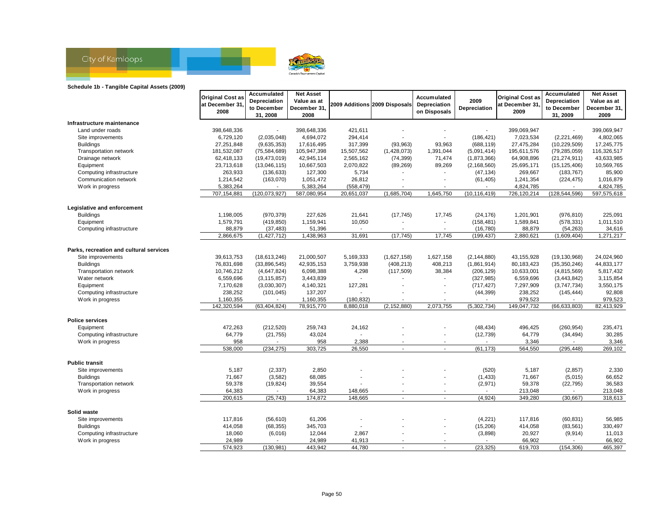

#### **Schedule 1b - Tangible Capital Assets (2009)**

|                                         |                          | Accumulated              | <b>Net Asset</b>        |                         |                               | Accumulated              |                |                         | Accumulated     | <b>Net Asset</b> |
|-----------------------------------------|--------------------------|--------------------------|-------------------------|-------------------------|-------------------------------|--------------------------|----------------|-------------------------|-----------------|------------------|
|                                         | <b>Original Cost as</b>  | Depreciation             | Value as at             |                         |                               |                          | 2009           | <b>Original Cost as</b> | Depreciation    | Value as at      |
|                                         | at December 31,          | to December              | December 31.            |                         | 2009 Additions 2009 Disposals | Depreciation             | Depreciation   | at December 31          | to December     | December 31,     |
|                                         | 2008                     | 31, 2008                 | 2008                    |                         |                               | on Disposals             |                | 2009                    | 31, 2009        | 2009             |
| Infrastructure maintenance              |                          |                          |                         |                         |                               |                          |                |                         |                 |                  |
| Land under roads                        | 398,648,336              |                          | 398,648,336             | 421,611                 |                               |                          |                | 399,069,947             |                 | 399,069,947      |
| Site improvements                       | 6,729,120                | (2,035,048)              | 4,694,072               | 294,414                 | $\overline{a}$                |                          | (186, 421)     | 7,023,534               | (2, 221, 469)   | 4,802,065        |
| <b>Buildings</b>                        | 27,251,848               | (9,635,353)              | 17,616,495              | 317,399                 | (93,963)                      | 93,963                   | (688, 119)     | 27,475,284              | (10, 229, 509)  | 17,245,775       |
| Transportation network                  | 181,532,087              | (75, 584, 689)           | 105,947,398             | 15,507,562              | (1,428,073)                   | 1,391,044                | (5,091,414)    | 195,611,576             | (79, 285, 059)  | 116,326,517      |
| Drainage network                        | 62,418,133               | (19, 473, 019)           | 42,945,114              | 2,565,162               | (74, 399)                     | 71,474                   | (1,873,366)    | 64,908,896              | (21, 274, 911)  | 43,633,985       |
| Equipment                               | 23,713,618               | (13,046,115)             | 10,667,503              | 2,070,822               | (89, 269)                     | 89,269                   | (2, 168, 560)  | 25,695,171              | (15, 125, 406)  | 10,569,765       |
| Computing infrastructure                | 263,933                  | (136, 633)               | 127,300                 | 5,734                   |                               |                          | (47, 134)      | 269,667                 | (183, 767)      | 85,900           |
| Communication network                   | 1,214,542                | (163,070)                | 1,051,472               | 26,812                  |                               |                          | (61, 405)      | 1,241,354               | (224, 475)      | 1,016,879        |
| Work in progress                        | 5,383,264                |                          | 5,383,264               | (558, 479)              |                               |                          |                | 4,824,785               |                 | 4,824,785        |
|                                         | 707,154,881              | (120, 073, 927)          | 587,080,954             | 20,651,037              | (1,685,704)                   | 1,645,750                | (10, 116, 419) | 726,120,214             | (128, 544, 596) | 597,575,618      |
|                                         |                          |                          |                         |                         |                               |                          |                |                         |                 |                  |
| Legislative and enforcement             |                          |                          |                         |                         |                               |                          |                |                         |                 |                  |
| <b>Buildings</b>                        | 1,198,005                | (970, 379)               | 227,626                 | 21,641                  | (17, 745)                     | 17,745                   | (24, 176)      | 1,201,901               | (976, 810)      | 225,091          |
| Equipment                               | 1,579,791                | (419, 850)               | 1,159,941               | 10,050                  |                               |                          | (158, 481)     | 1,589,841               | (578, 331)      | 1,011,510        |
| Computing infrastructure                | 88,879                   | (37, 483)                | 51,396                  | $\blacksquare$          | $\blacksquare$                | $\overline{\phantom{a}}$ | (16, 780)      | 88,879                  | (54, 263)       | 34,616           |
|                                         | 2,866,675                | (1, 427, 712)            | 1,438,963               | 31,691                  | (17, 745)                     | 17,745                   | (199, 437)     | 2,880,621               | (1,609,404)     | 1,271,217        |
| Parks, recreation and cultural services |                          |                          |                         |                         |                               |                          |                |                         |                 |                  |
| Site improvements                       | 39,613,753               | (18, 613, 246)           | 21,000,507              | 5,169,333               | (1,627,158)                   | 1,627,158                | (2, 144, 880)  | 43,155,928              | (19, 130, 968)  | 24,024,960       |
| <b>Buildings</b>                        | 76,831,698               | (33,896,545)             | 42,935,153              | 3,759,938               | (408, 213)                    | 408,213                  | (1,861,914)    | 80,183,423              | (35, 350, 246)  | 44,833,177       |
| Transportation network                  | 10,746,212               | (4,647,824)              | 6,098,388               | 4,298                   | (117, 509)                    | 38,384                   | (206, 129)     | 10,633,001              | (4,815,569)     | 5,817,432        |
| Water network                           | 6,559,696                | (3, 115, 857)            | 3,443,839               |                         |                               |                          | (327, 985)     | 6,559,696               | (3,443,842)     | 3,115,854        |
| Equipment                               | 7,170,628                | (3,030,307)              | 4,140,321               | 127,281                 |                               | $\overline{\phantom{a}}$ | (717, 427)     | 7,297,909               | (3,747,734)     | 3,550,175        |
| Computing infrastructure                | 238,252                  |                          | 137,207                 |                         |                               |                          | (44, 399)      | 238,252                 |                 | 92,808           |
|                                         |                          | (101, 045)               |                         |                         |                               |                          |                | 979,523                 | (145, 444)      | 979,523          |
| Work in progress                        | 1,160,355<br>142,320,594 | (63, 404, 824)           | 1,160,355<br>78,915,770 | (180, 832)<br>8,880,018 | (2, 152, 880)                 | 2,073,755                | (5,302,734)    | 149,047,732             | (66, 633, 803)  | 82,413,929       |
|                                         |                          |                          |                         |                         |                               |                          |                |                         |                 |                  |
| <b>Police services</b>                  |                          |                          |                         |                         |                               |                          |                |                         |                 |                  |
| Equipment                               | 472,263                  | (212, 520)               | 259,743                 | 24,162                  |                               |                          | (48, 434)      | 496,425                 | (260, 954)      | 235,471          |
| Computing infrastructure                | 64,779                   | (21, 755)                | 43,024                  |                         |                               |                          | (12, 739)      | 64,779                  | (34, 494)       | 30,285           |
| Work in progress                        | 958                      | $\overline{\phantom{a}}$ | 958                     | 2,388                   |                               |                          | $\sim$         | 3,346                   |                 | 3,346            |
|                                         | 538,000                  | (234, 275)               | 303,725                 | 26,550                  | $\sim$                        | $\blacksquare$           | (61, 173)      | 564,550                 | (295, 448)      | 269,102          |
| <b>Public transit</b>                   |                          |                          |                         |                         |                               |                          |                |                         |                 |                  |
| Site improvements                       | 5,187                    | (2, 337)                 | 2,850                   |                         |                               |                          | (520)          | 5,187                   | (2, 857)        | 2,330            |
|                                         |                          |                          |                         |                         |                               |                          |                |                         |                 | 66,652           |
| <b>Buildings</b>                        | 71,667                   | (3, 582)                 | 68,085                  |                         |                               |                          | (1, 433)       | 71,667                  | (5,015)         |                  |
| Transportation network                  | 59,378                   | (19, 824)                | 39,554                  |                         |                               |                          | (2,971)        | 59,378                  | (22, 795)       | 36,583           |
| Work in progress                        | 64,383                   |                          | 64,383                  | 148,665                 |                               |                          |                | 213,048                 |                 | 213,048          |
|                                         | 200,615                  | (25, 743)                | 174,872                 | 148,665                 | $\overline{a}$                | $\overline{a}$           | (4, 924)       | 349,280                 | (30, 667)       | 318,613          |
| Solid waste                             |                          |                          |                         |                         |                               |                          |                |                         |                 |                  |
| Site improvements                       | 117,816                  | (56, 610)                | 61,206                  |                         |                               |                          | (4,221)        | 117,816                 | (60, 831)       | 56,985           |
| <b>Buildings</b>                        | 414,058                  | (68, 355)                | 345,703                 |                         |                               |                          | (15,206)       | 414,058                 | (83, 561)       | 330,497          |
| Computing infrastructure                | 18,060                   | (6,016)                  | 12,044                  | 2,867                   |                               |                          | (3,898)        | 20,927                  | (9, 914)        | 11,013           |
| Work in progress                        | 24,989                   |                          | 24,989                  | 41,913                  | $\blacksquare$                | $\blacksquare$           | $\blacksquare$ | 66,902                  |                 | 66,902           |
|                                         | 574,923                  | (130, 981)               | 443,942                 | 44,780                  | $\sim$                        | $\blacksquare$           | (23, 325)      | 619,703                 | (154, 306)      | 465,397          |
|                                         |                          |                          |                         |                         |                               |                          |                |                         |                 |                  |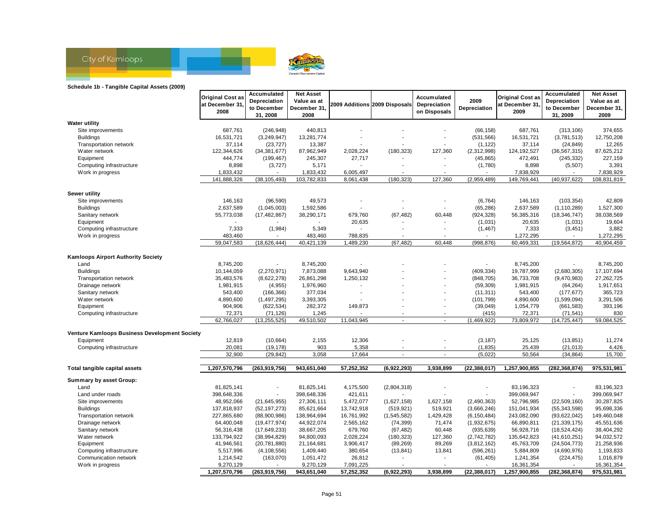

#### **Schedule 1b - Tangible Capital Assets (2009)**

|                                               | <b>Original Cost as</b>   | Accumulated                  | <b>Net Asset</b>          |            |                               | Accumulated              |                            | <b>Original Cost as</b>   | Accumulated                      | <b>Net Asset</b>     |
|-----------------------------------------------|---------------------------|------------------------------|---------------------------|------------|-------------------------------|--------------------------|----------------------------|---------------------------|----------------------------------|----------------------|
|                                               | at December 31.           | Depreciation                 | Value as at               |            | 2009 Additions 2009 Disposals | Depreciation             | 2009                       | at December 31            | Depreciation                     | Value as at          |
|                                               | 2008                      | to December<br>31, 2008      | December 31,<br>2008      |            |                               | on Disposals             | Depreciation               | 2009                      | to December<br>31, 2009          | December 31,<br>2009 |
| <b>Water utility</b>                          |                           |                              |                           |            |                               |                          |                            |                           |                                  |                      |
| Site improvements                             | 687,761                   | (246, 948)                   | 440,813                   |            |                               |                          | (66, 158)                  | 687,761                   | (313, 106)                       | 374,655              |
| <b>Buildings</b>                              | 16,531,721                | (3,249,947)                  | 13,281,774                |            |                               |                          | (531, 566)                 | 16,531,721                | (3,781,513)                      | 12,750,208           |
| Transportation network                        | 37,114                    |                              | 13,387                    |            |                               |                          | (1, 122)                   | 37,114                    | (24, 849)                        | 12,265               |
| Water network                                 | 122,344,626               | (23, 727)                    | 87,962,949                | 2,028,224  | (180, 323)                    | 127,360                  | (2,312,998)                | 124,192,527               |                                  | 87,625,212           |
| Equipment                                     | 444,774                   | (34, 381, 677)<br>(199, 467) | 245,307                   | 27,717     |                               |                          | (45, 865)                  | 472,491                   | (36, 567, 315)                   | 227,159              |
|                                               | 8,898                     |                              |                           |            |                               |                          |                            | 8,898                     | (245, 332)                       |                      |
| Computing infrastructure<br>Work in progress  | 1,833,432                 | (3,727)                      | 5,171<br>1,833,432        | 6,005,497  |                               |                          | (1,780)                    | 7,838,929                 | (5,507)                          | 3,391<br>7,838,929   |
|                                               | 141,888,326               | (38, 105, 493)               | 103,782,833               | 8,061,438  | (180, 323)                    | 127,360                  | (2,959,489)                | 149,769,441               | (40, 937, 622)                   | 108,831,819          |
|                                               |                           |                              |                           |            |                               |                          |                            |                           |                                  |                      |
| Sewer utility                                 |                           |                              |                           |            |                               |                          |                            |                           |                                  |                      |
| Site improvements                             | 146,163                   | (96, 590)                    | 49,573                    |            |                               |                          | (6, 764)                   | 146,163                   | (103, 354)                       | 42,809               |
| <b>Buildings</b>                              | 2,637,589                 | (1,045,003)                  | 1,592,586                 |            |                               |                          | (65, 286)                  | 2,637,589                 | (1, 110, 289)                    | 1,527,300            |
| Sanitary network                              | 55,773,038                | (17, 482, 867)               | 38,290,171                | 679,760    | (67, 482)                     | 60,448                   | (924, 328)                 | 56,385,316                | (18, 346, 747)                   | 38,038,569           |
| Equipment                                     |                           |                              |                           | 20,635     |                               |                          | (1,031)                    | 20,635                    | (1,031)                          | 19,604               |
| Computing infrastructure                      | 7,333                     | (1,984)                      | 5,349                     |            |                               |                          | (1, 467)                   | 7,333                     | (3, 451)                         | 3,882                |
| Work in progress                              | 483,460                   |                              | 483,460                   | 788,835    |                               |                          | $\overline{a}$             | 1,272,295                 |                                  | 1,272,295            |
|                                               | 59,047,583                | (18, 626, 444)               | 40,421,139                | 1,489,230  | (67, 482)                     | 60,448                   | (998, 876)                 | 60,469,331                | (19, 564, 872)                   | 40,904,459           |
|                                               |                           |                              |                           |            |                               |                          |                            |                           |                                  |                      |
| <b>Kamloops Airport Authority Society</b>     |                           |                              |                           |            |                               |                          |                            |                           |                                  |                      |
| Land                                          | 8,745,200                 | $\blacksquare$               | 8,745,200                 |            |                               |                          | $\blacksquare$             | 8,745,200                 |                                  | 8,745,200            |
| <b>Buildings</b>                              | 10,144,059                | (2,270,971)                  | 7,873,088                 | 9,643,940  |                               |                          | (409, 334)                 | 19,787,999                | (2,680,305)                      | 17,107,694           |
| Transportation network                        | 35,483,576                | (8,622,278)                  | 26,861,298                | 1,250,132  |                               |                          | (848, 705)                 | 36,733,708                | (9,470,983)                      | 27,262,725           |
| Drainage network                              | 1,981,915                 | (4,955)                      | 1,976,960                 |            |                               |                          | (59, 309)                  | 1,981,915                 | (64, 264)                        | 1,917,651            |
| Sanitary network                              | 543,400                   | (166, 366)                   | 377,034                   |            |                               |                          | (11, 311)                  | 543,400                   | (177, 677)                       | 365,723              |
| Water network                                 | 4,890,600                 | (1,497,295)                  | 3,393,305                 |            |                               |                          | (101, 799)                 | 4,890,600                 | (1,599,094)                      | 3,291,506            |
| Equipment                                     | 904,906                   | (622, 534)                   | 282,372                   | 149,873    | $\overline{a}$                |                          | (39,049)                   | 1,054,779                 | (661, 583)                       | 393,196              |
| Computing infrastructure                      | 72,371                    | (71, 126)                    | 1,245                     |            |                               |                          | (415)                      | 72,371                    | (71, 541)                        | 830                  |
|                                               | 62,766,027                | (13, 255, 525)               | 49,510,502                | 11,043,945 | $\sim$                        | $\blacksquare$           | (1,469,922)                | 73,809,972                | (14, 725, 447)                   | 59,084,525           |
| Venture Kamloops Business Development Society |                           |                              |                           |            |                               |                          |                            |                           |                                  |                      |
| Equipment                                     | 12,819                    | (10, 664)                    | 2,155                     | 12,306     |                               |                          | (3, 187)                   | 25,125                    | (13, 851)                        | 11,274               |
| Computing infrastructure                      | 20,081                    | (19, 178)                    | 903                       | 5,358      |                               |                          | (1, 835)                   | 25,439                    | (21, 013)                        | 4,426                |
|                                               | 32,900                    | (29, 842)                    | 3,058                     | 17,664     | ÷.                            | $\overline{\phantom{a}}$ | (5,022)                    | 50,564                    | (34, 864)                        | 15,700               |
|                                               |                           |                              |                           |            |                               |                          |                            |                           |                                  |                      |
| Total tangible capital assets                 | 1,207,570,796             | (263, 919, 756)              | 943,651,040               | 57,252,352 | (6,922,293)                   | 3,938,899                | (22, 388, 017)             | 1,257,900,855             | (282, 368, 874)                  | 975,531,981          |
| Summary by asset Group:                       |                           |                              |                           |            |                               |                          |                            |                           |                                  |                      |
| Land                                          | 81,825,141                | $\overline{\phantom{a}}$     | 81,825,141                | 4,175,500  | (2,804,318)                   |                          | $\overline{\phantom{a}}$   | 83,196,323                |                                  | 83,196,323           |
| Land under roads                              |                           |                              |                           | 421,611    |                               |                          |                            |                           |                                  | 399,069,947          |
|                                               | 398,648,336<br>48,952,066 |                              | 398,648,336<br>27,306,111 | 5,472,077  |                               |                          |                            | 399,069,947<br>52,796,985 |                                  | 30,287,825           |
| Site improvements<br><b>Buildings</b>         | 137,818,937               | (21, 645, 955)               | 85,621,664                | 13,742,918 | (1,627,158)<br>(519, 921)     | 1,627,158<br>519,921     | (2,490,363)<br>(3,666,246) | 151,041,934               | (22, 509, 160)<br>(55, 343, 598) | 95,698,336           |
|                                               |                           | (52, 197, 273)               |                           |            |                               |                          |                            |                           |                                  |                      |
| Transportation network                        | 227,865,680               | (88,900,986)                 | 138,964,694               | 16,761,992 | (1, 545, 582)                 | 1,429,428                | (6, 150, 484)              | 243,082,090               | (93, 622, 042)                   | 149,460,048          |
| Drainage network                              | 64,400,048                | (19, 477, 974)               | 44,922,074                | 2,565,162  | (74, 399)                     | 71,474                   | (1,932,675)                | 66,890,811                | (21, 339, 175)                   | 45,551,636           |
| Sanitary network                              | 56,316,438                | (17,649,233)                 | 38,667,205                | 679,760    | (67, 482)                     | 60,448                   | (935, 639)                 | 56,928,716                | (18, 524, 424)                   | 38,404,292           |
| Water network                                 | 133,794,922               | (38,994,829)                 | 94,800,093                | 2,028,224  | (180, 323)                    | 127,360                  | (2,742,782)                | 135,642,823               | (41,610,251)                     | 94,032,572           |
| Equipment                                     | 41,946,561                | (20, 781, 880)               | 21,164,681                | 3,906,417  | (89, 269)                     | 89,269                   | (3,812,162)                | 45,763,709                | (24, 504, 773)                   | 21,258,936           |
| Computing infrastructure                      | 5,517,996                 | (4, 108, 556)                | 1,409,440                 | 380,654    | (13, 841)                     | 13,841                   | (596, 261)                 | 5,884,809                 | (4,690,976)                      | 1,193,833            |
| Communication network                         | 1,214,542                 | (163,070)                    | 1,051,472                 | 26,812     |                               |                          | (61, 405)                  | 1,241,354                 | (224, 475)                       | 1,016,879            |
| Work in progress                              | 9,270,129                 |                              | 9,270,129                 | 7,091,225  |                               |                          |                            | 16,361,354                |                                  | 16,361,354           |
|                                               | 1,207,570,796             | (263,919,756)                | 943,651,040               | 57,252,352 | (6,922,293)                   | 3,938,899                | (22, 388, 017)             | 1,257,900,855             | (282, 368, 874)                  | 975,531,981          |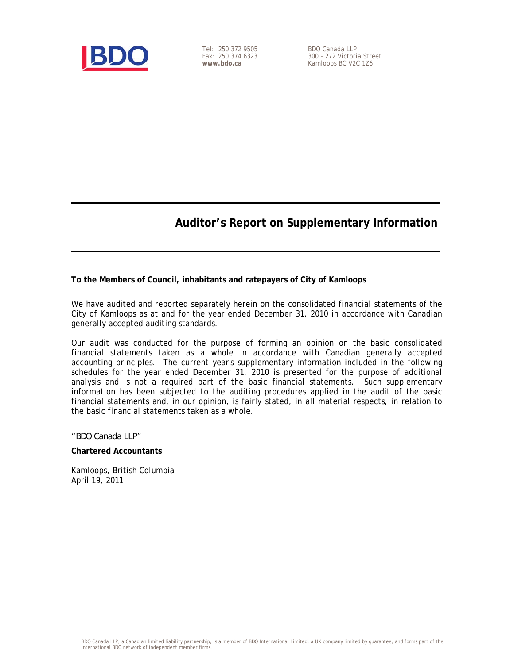

Tel: 250 372 9505 Fax: 250 374 6323 **www.bdo.ca** 

BDO Canada LLP 300 – 272 Victoria Street Kamloops BC V2C 1Z6

### **Auditor's Report on Supplementary Information**

**To the Members of Council, inhabitants and ratepayers of City of Kamloops** 

We have audited and reported separately herein on the consolidated financial statements of the City of Kamloops as at and for the year ended December 31, 2010 in accordance with Canadian generally accepted auditing standards.

Our audit was conducted for the purpose of forming an opinion on the basic consolidated financial statements taken as a whole in accordance with Canadian generally accepted accounting principles. The current year's supplementary information included in the following schedules for the year ended December 31, 2010 is presented for the purpose of additional analysis and is not a required part of the basic financial statements. Such supplementary information has been subjected to the auditing procedures applied in the audit of the basic financial statements and, in our opinion, is fairly stated, in all material respects, in relation to the basic financial statements taken as a whole.

#### *"BDO Canada LLP"*

#### **Chartered Accountants**

Kamloops, British Columbia April 19, 2011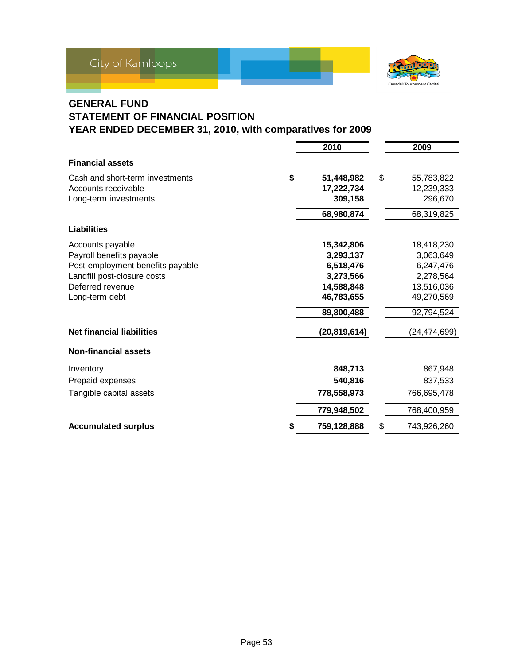

### **GENERAL FUND STATEMENT OF FINANCIAL POSITION YEAR ENDED DECEMBER 31, 2010, with comparatives for 2009**

|                                  | 2010             |    | 2009           |
|----------------------------------|------------------|----|----------------|
| <b>Financial assets</b>          |                  |    |                |
| Cash and short-term investments  | \$<br>51,448,982 | \$ | 55,783,822     |
| Accounts receivable              | 17,222,734       |    | 12,239,333     |
| Long-term investments            | 309,158          |    | 296,670        |
|                                  | 68,980,874       |    | 68,319,825     |
| <b>Liabilities</b>               |                  |    |                |
| Accounts payable                 | 15,342,806       |    | 18,418,230     |
| Payroll benefits payable         | 3,293,137        |    | 3,063,649      |
| Post-employment benefits payable | 6,518,476        |    | 6,247,476      |
| Landfill post-closure costs      | 3,273,566        |    | 2,278,564      |
| Deferred revenue                 | 14,588,848       |    | 13,516,036     |
| Long-term debt                   | 46,783,655       |    | 49,270,569     |
|                                  | 89,800,488       |    | 92,794,524     |
| <b>Net financial liabilities</b> | (20,819,614)     |    | (24, 474, 699) |
| <b>Non-financial assets</b>      |                  |    |                |
| Inventory                        | 848,713          |    | 867,948        |
| Prepaid expenses                 | 540,816          |    | 837,533        |
| Tangible capital assets          | 778,558,973      |    | 766,695,478    |
|                                  | 779,948,502      |    | 768,400,959    |
| <b>Accumulated surplus</b>       | 759,128,888      | S  | 743,926,260    |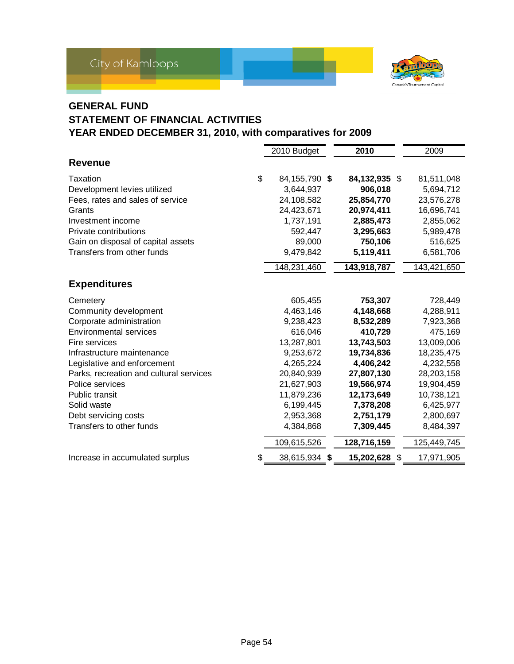

### **GENERAL FUND**

### **STATEMENT OF FINANCIAL ACTIVITIES**

|                                         | 2010 Budget         | 2010          | 2009        |
|-----------------------------------------|---------------------|---------------|-------------|
| <b>Revenue</b>                          |                     |               |             |
| Taxation                                | \$<br>84,155,790 \$ | 84,132,935 \$ | 81,511,048  |
| Development levies utilized             | 3,644,937           | 906,018       | 5,694,712   |
| Fees, rates and sales of service        | 24,108,582          | 25,854,770    | 23,576,278  |
| Grants                                  | 24,423,671          | 20,974,411    | 16,696,741  |
| Investment income                       | 1,737,191           | 2,885,473     | 2,855,062   |
| Private contributions                   | 592,447             | 3,295,663     | 5,989,478   |
| Gain on disposal of capital assets      | 89,000              | 750,106       | 516,625     |
| Transfers from other funds              | 9,479,842           | 5,119,411     | 6,581,706   |
|                                         | 148,231,460         | 143,918,787   | 143,421,650 |
| <b>Expenditures</b>                     |                     |               |             |
| Cemetery                                | 605,455             | 753,307       | 728,449     |
| Community development                   | 4,463,146           | 4,148,668     | 4,288,911   |
| Corporate administration                | 9,238,423           | 8,532,289     | 7,923,368   |
| <b>Environmental services</b>           | 616,046             | 410,729       | 475,169     |
| Fire services                           | 13,287,801          | 13,743,503    | 13,009,006  |
| Infrastructure maintenance              | 9,253,672           | 19,734,836    | 18,235,475  |
| Legislative and enforcement             | 4,265,224           | 4,406,242     | 4,232,558   |
| Parks, recreation and cultural services | 20,840,939          | 27,807,130    | 28,203,158  |
| Police services                         | 21,627,903          | 19,566,974    | 19,904,459  |
| Public transit                          | 11,879,236          | 12,173,649    | 10,738,121  |
| Solid waste                             | 6,199,445           | 7,378,208     | 6,425,977   |
| Debt servicing costs                    | 2,953,368           | 2,751,179     | 2,800,697   |
| Transfers to other funds                | 4,384,868           | 7,309,445     | 8,484,397   |
|                                         | 109,615,526         | 128,716,159   | 125,449,745 |
| Increase in accumulated surplus         | \$<br>38,615,934 \$ | 15,202,628 \$ | 17,971,905  |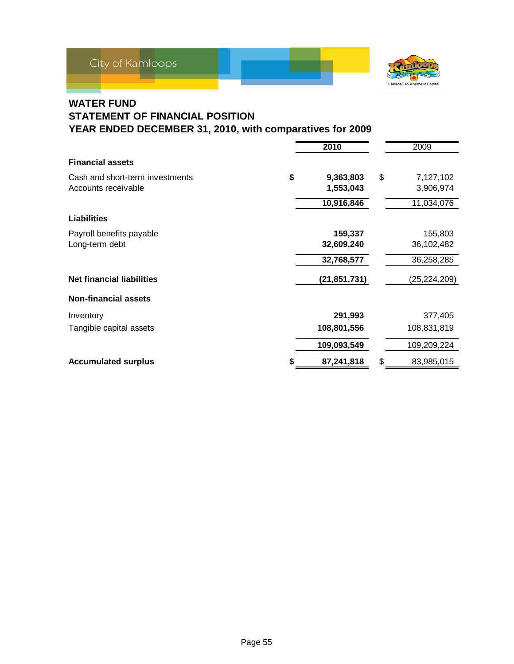

### **WATER FUND**

# **STATEMENT OF FINANCIAL POSITION**

|                                  | 2010            | 2009             |
|----------------------------------|-----------------|------------------|
| <b>Financial assets</b>          |                 |                  |
| Cash and short-term investments  | \$<br>9,363,803 | \$<br>7,127,102  |
| Accounts receivable              | 1,553,043       | 3,906,974        |
|                                  | 10,916,846      | 11,034,076       |
| <b>Liabilities</b>               |                 |                  |
| Payroll benefits payable         | 159,337         | 155,803          |
| Long-term debt                   | 32,609,240      | 36,102,482       |
|                                  | 32,768,577      | 36,258,285       |
| <b>Net financial liabilities</b> | (21, 851, 731)  | (25, 224, 209)   |
| <b>Non-financial assets</b>      |                 |                  |
| Inventory                        | 291,993         | 377,405          |
| Tangible capital assets          | 108,801,556     | 108,831,819      |
|                                  | 109,093,549     | 109,209,224      |
| <b>Accumulated surplus</b>       | 87,241,818      | \$<br>83,985,015 |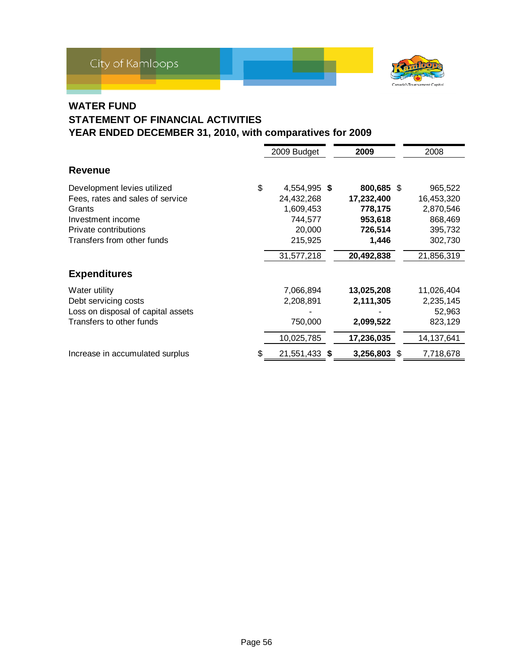

### **WATER FUND**

# **STATEMENT OF FINANCIAL ACTIVITIES**

|                                                                                                                                                       | 2009 Budget                                                                                 | 2009                                                                             | 2008                                                                              |
|-------------------------------------------------------------------------------------------------------------------------------------------------------|---------------------------------------------------------------------------------------------|----------------------------------------------------------------------------------|-----------------------------------------------------------------------------------|
| Revenue                                                                                                                                               |                                                                                             |                                                                                  |                                                                                   |
| Development levies utilized<br>Fees, rates and sales of service<br>Grants<br>Investment income<br>Private contributions<br>Transfers from other funds | \$<br>4,554,995 \$<br>24,432,268<br>1,609,453<br>744,577<br>20,000<br>215,925<br>31,577,218 | 800,685 \$<br>17,232,400<br>778,175<br>953,618<br>726,514<br>1,446<br>20,492,838 | 965,522<br>16,453,320<br>2,870,546<br>868,469<br>395,732<br>302,730<br>21,856,319 |
| <b>Expenditures</b>                                                                                                                                   |                                                                                             |                                                                                  |                                                                                   |
| Water utility<br>Debt servicing costs<br>Loss on disposal of capital assets<br>Transfers to other funds                                               | 7,066,894<br>2,208,891<br>750,000<br>10,025,785                                             | 13,025,208<br>2,111,305<br>2,099,522<br>17,236,035                               | 11,026,404<br>2,235,145<br>52,963<br>823,129<br>14,137,641                        |
| Increase in accumulated surplus                                                                                                                       | \$<br>21,551,433 \$                                                                         | 3,256,803                                                                        | \$<br>7,718,678                                                                   |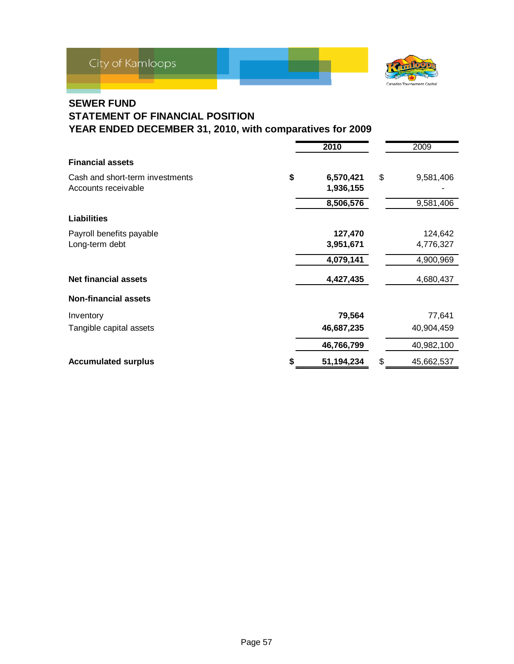

### **SEWER FUND**

# **STATEMENT OF FINANCIAL POSITION**

|                                 | 2010            | 2009             |
|---------------------------------|-----------------|------------------|
| <b>Financial assets</b>         |                 |                  |
| Cash and short-term investments | \$<br>6,570,421 | \$<br>9,581,406  |
| Accounts receivable             | 1,936,155       |                  |
|                                 | 8,506,576       | 9,581,406        |
| <b>Liabilities</b>              |                 |                  |
| Payroll benefits payable        | 127,470         | 124,642          |
| Long-term debt                  | 3,951,671       | 4,776,327        |
|                                 | 4,079,141       | 4,900,969        |
| <b>Net financial assets</b>     | 4,427,435       | 4,680,437        |
| <b>Non-financial assets</b>     |                 |                  |
| Inventory                       | 79,564          | 77,641           |
| Tangible capital assets         | 46,687,235      | 40,904,459       |
|                                 | 46,766,799      | 40,982,100       |
| <b>Accumulated surplus</b>      | 51,194,234      | \$<br>45,662,537 |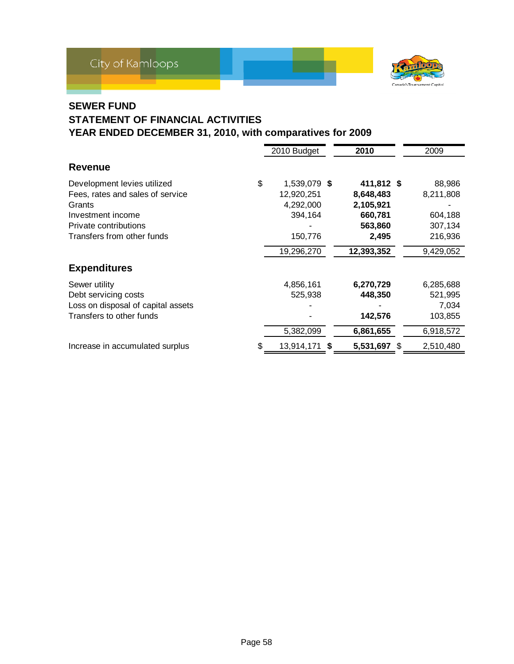

### **SEWER FUND**

## **STATEMENT OF FINANCIAL ACTIVITIES**

|                                                                                                                                                       |    | 2010 Budget                                                                 | 2010                                                                              | 2009                                                              |
|-------------------------------------------------------------------------------------------------------------------------------------------------------|----|-----------------------------------------------------------------------------|-----------------------------------------------------------------------------------|-------------------------------------------------------------------|
| <b>Revenue</b>                                                                                                                                        |    |                                                                             |                                                                                   |                                                                   |
| Development levies utilized<br>Fees, rates and sales of service<br>Grants<br>Investment income<br>Private contributions<br>Transfers from other funds | \$ | 1,539,079 \$<br>12,920,251<br>4,292,000<br>394,164<br>150,776<br>19,296,270 | 411,812 \$<br>8,648,483<br>2,105,921<br>660,781<br>563,860<br>2,495<br>12,393,352 | 88,986<br>8,211,808<br>604,188<br>307,134<br>216,936<br>9,429,052 |
| <b>Expenditures</b>                                                                                                                                   |    |                                                                             |                                                                                   |                                                                   |
| Sewer utility<br>Debt servicing costs<br>Loss on disposal of capital assets<br>Transfers to other funds                                               |    | 4,856,161<br>525,938<br>5,382,099                                           | 6,270,729<br>448,350<br>142,576<br>6,861,655                                      | 6,285,688<br>521,995<br>7,034<br>103,855<br>6,918,572             |
| Increase in accumulated surplus                                                                                                                       | S  | 13,914,171 \$                                                               | 5,531,697 \$                                                                      | 2,510,480                                                         |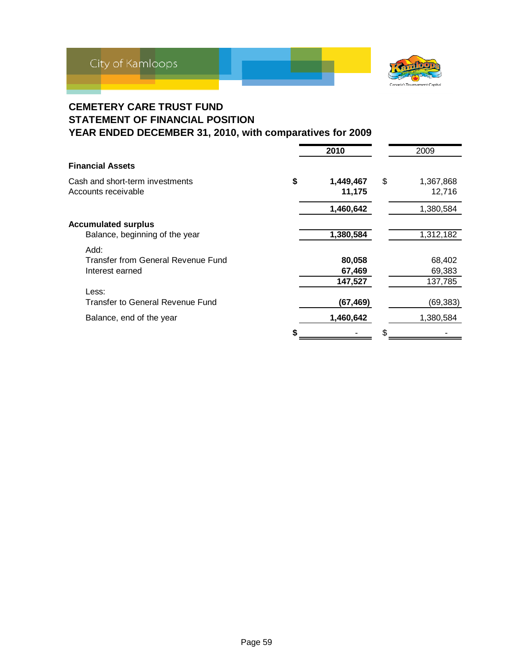

### **CEMETERY CARE TRUST FUND STATEMENT OF FINANCIAL POSITION YEAR ENDED DECEMBER 31, 2010, with comparatives for 2009**

|                                                                       | 2010                        | 2009                        |
|-----------------------------------------------------------------------|-----------------------------|-----------------------------|
| <b>Financial Assets</b>                                               |                             |                             |
| Cash and short-term investments<br>Accounts receivable                | \$<br>1,449,467<br>11,175   | \$<br>1,367,868<br>12,716   |
|                                                                       | 1,460,642                   | 1,380,584                   |
| <b>Accumulated surplus</b><br>Balance, beginning of the year          | 1,380,584                   | 1,312,182                   |
| Add:<br>Transfer from General Revenue Fund<br>Interest earned         | 80,058<br>67,469<br>147,527 | 68,402<br>69,383<br>137,785 |
| Less:<br>Transfer to General Revenue Fund<br>Balance, end of the year | (67,469)<br>1,460,642       | (69,383)<br>1,380,584       |
|                                                                       |                             |                             |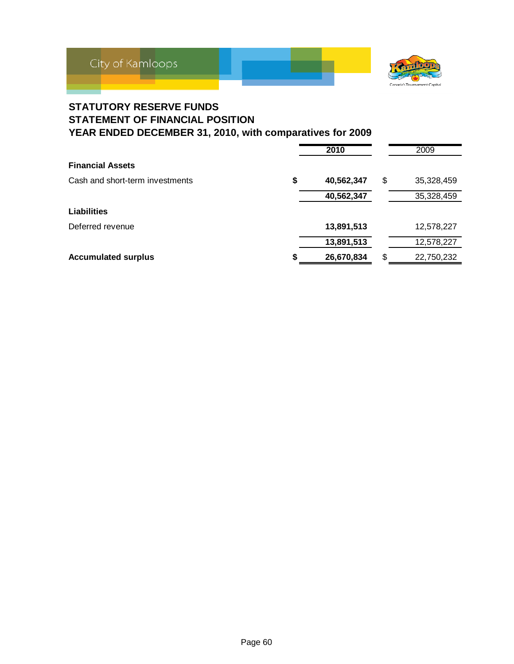

### **STATUTORY RESERVE FUNDS STATEMENT OF FINANCIAL POSITION YEAR ENDED DECEMBER 31, 2010, with comparatives for 2009**

|                                 | 2010             | 2009             |
|---------------------------------|------------------|------------------|
| <b>Financial Assets</b>         |                  |                  |
| Cash and short-term investments | \$<br>40,562,347 | \$<br>35,328,459 |
|                                 | 40,562,347       | 35,328,459       |
| <b>Liabilities</b>              |                  |                  |
| Deferred revenue                | 13,891,513       | 12,578,227       |
|                                 | 13,891,513       | 12,578,227       |
| <b>Accumulated surplus</b>      | 26,670,834       | \$<br>22,750,232 |
|                                 |                  |                  |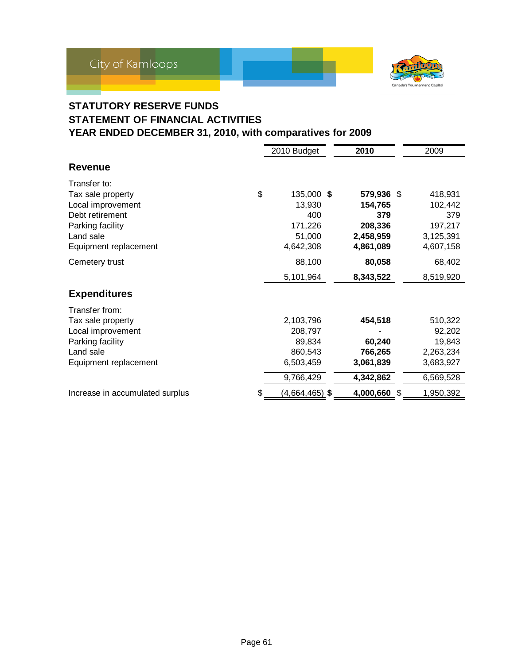

### **STATUTORY RESERVE FUNDS STATEMENT OF FINANCIAL ACTIVITIES YEAR ENDED DECEMBER 31, 2010, with comparatives for 2009**

|                                       | 2010 Budget           | 2010         | 2009      |
|---------------------------------------|-----------------------|--------------|-----------|
| <b>Revenue</b>                        |                       |              |           |
| Transfer to:                          |                       |              |           |
| \$<br>Tax sale property               | 135,000 \$            | 579,936 \$   | 418,931   |
| Local improvement                     | 13,930                | 154,765      | 102,442   |
| Debt retirement                       | 400                   | 379          | 379       |
| Parking facility                      | 171,226               | 208,336      | 197,217   |
| Land sale                             | 51,000                | 2,458,959    | 3,125,391 |
| Equipment replacement                 | 4,642,308             | 4,861,089    | 4,607,158 |
| Cemetery trust                        | 88,100                | 80,058       | 68,402    |
|                                       | 5,101,964             | 8,343,522    | 8,519,920 |
| <b>Expenditures</b>                   |                       |              |           |
| Transfer from:                        |                       |              |           |
| Tax sale property                     | 2,103,796             | 454,518      | 510,322   |
| Local improvement                     | 208,797               |              | 92,202    |
| Parking facility                      | 89,834                | 60,240       | 19,843    |
| Land sale                             | 860,543               | 766,265      | 2,263,234 |
| Equipment replacement                 | 6,503,459             | 3,061,839    | 3,683,927 |
|                                       | 9,766,429             | 4,342,862    | 6,569,528 |
| \$<br>Increase in accumulated surplus | <u>(4,664,465)</u> \$ | 4,000,660 \$ | 1,950,392 |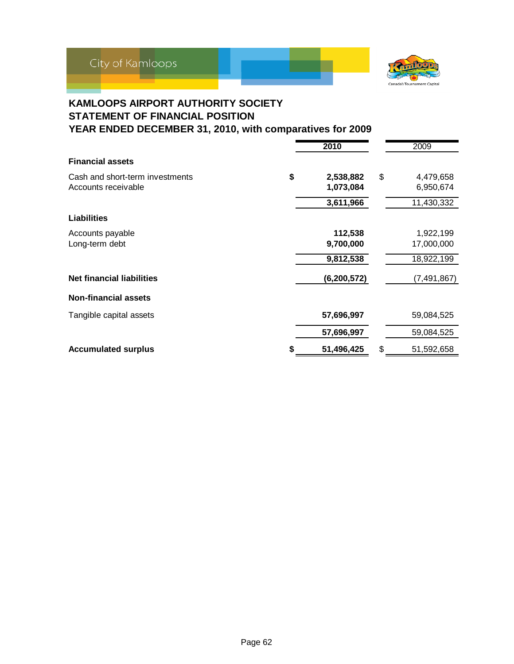



### **KAMLOOPS AIRPORT AUTHORITY SOCIETY STATEMENT OF FINANCIAL POSITION YEAR ENDED DECEMBER 31, 2010, with comparatives for 2009**

|                                                        | 2010                         |    | 2009                   |
|--------------------------------------------------------|------------------------------|----|------------------------|
| <b>Financial assets</b>                                |                              |    |                        |
| Cash and short-term investments<br>Accounts receivable | \$<br>2,538,882<br>1,073,084 | \$ | 4,479,658<br>6,950,674 |
|                                                        | 3,611,966                    |    | 11,430,332             |
| <b>Liabilities</b>                                     |                              |    |                        |
| Accounts payable                                       | 112,538                      |    | 1,922,199              |
| Long-term debt                                         | 9,700,000                    |    | 17,000,000             |
|                                                        | 9,812,538                    |    | 18,922,199             |
| <b>Net financial liabilities</b>                       | (6, 200, 572)                |    | (7, 491, 867)          |
| <b>Non-financial assets</b>                            |                              |    |                        |
| Tangible capital assets                                | 57,696,997                   |    | 59,084,525             |
|                                                        | 57,696,997                   |    | 59,084,525             |
| <b>Accumulated surplus</b>                             | 51,496,425                   | \$ | 51,592,658             |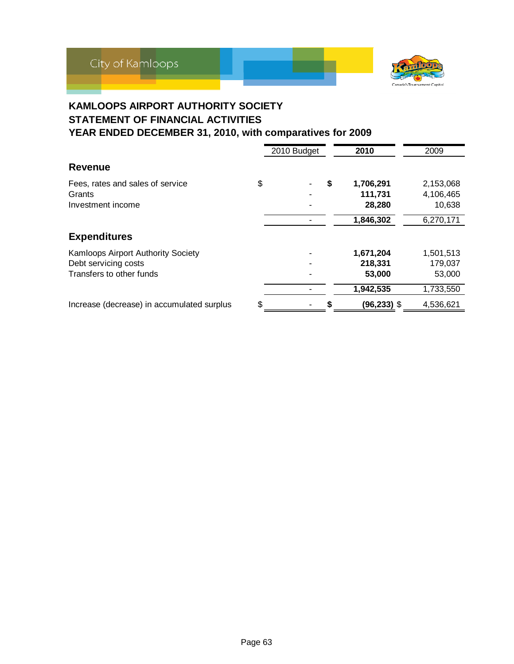



### **KAMLOOPS AIRPORT AUTHORITY SOCIETY STATEMENT OF FINANCIAL ACTIVITIES YEAR ENDED DECEMBER 31, 2010, with comparatives for 2009**

|                                                                                        | 2010 Budget |   | 2010                           | 2009                             |
|----------------------------------------------------------------------------------------|-------------|---|--------------------------------|----------------------------------|
| <b>Revenue</b>                                                                         |             |   |                                |                                  |
| Fees, rates and sales of service<br>Grants<br>Investment income                        | \$          | S | 1,706,291<br>111,731<br>28,280 | 2,153,068<br>4,106,465<br>10,638 |
|                                                                                        |             |   | 1,846,302                      | 6,270,171                        |
| <b>Expenditures</b>                                                                    |             |   |                                |                                  |
| Kamloops Airport Authority Society<br>Debt servicing costs<br>Transfers to other funds |             |   | 1,671,204<br>218,331<br>53,000 | 1,501,513<br>179,037<br>53,000   |
|                                                                                        |             |   | 1,942,535                      | 1,733,550                        |
| Increase (decrease) in accumulated surplus                                             | \$          |   | (96,233) \$                    | 4,536,621                        |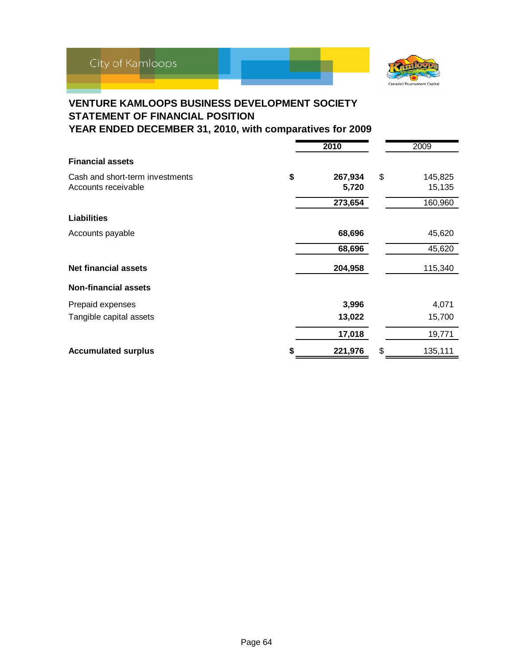

### **VENTURE KAMLOOPS BUSINESS DEVELOPMENT SOCIETY STATEMENT OF FINANCIAL POSITION YEAR ENDED DECEMBER 31, 2010, with comparatives for 2009**

|                                 |    | 2010    | 2009          |
|---------------------------------|----|---------|---------------|
| <b>Financial assets</b>         |    |         |               |
| Cash and short-term investments | \$ | 267,934 | \$<br>145,825 |
| Accounts receivable             |    | 5,720   | 15,135        |
|                                 |    | 273,654 | 160,960       |
| <b>Liabilities</b>              |    |         |               |
| Accounts payable                |    | 68,696  | 45,620        |
|                                 |    | 68,696  | 45,620        |
| <b>Net financial assets</b>     |    | 204,958 | 115,340       |
| <b>Non-financial assets</b>     |    |         |               |
| Prepaid expenses                |    | 3,996   | 4,071         |
| Tangible capital assets         |    | 13,022  | 15,700        |
|                                 |    | 17,018  | 19,771        |
| <b>Accumulated surplus</b>      | S  | 221,976 | \$<br>135,111 |